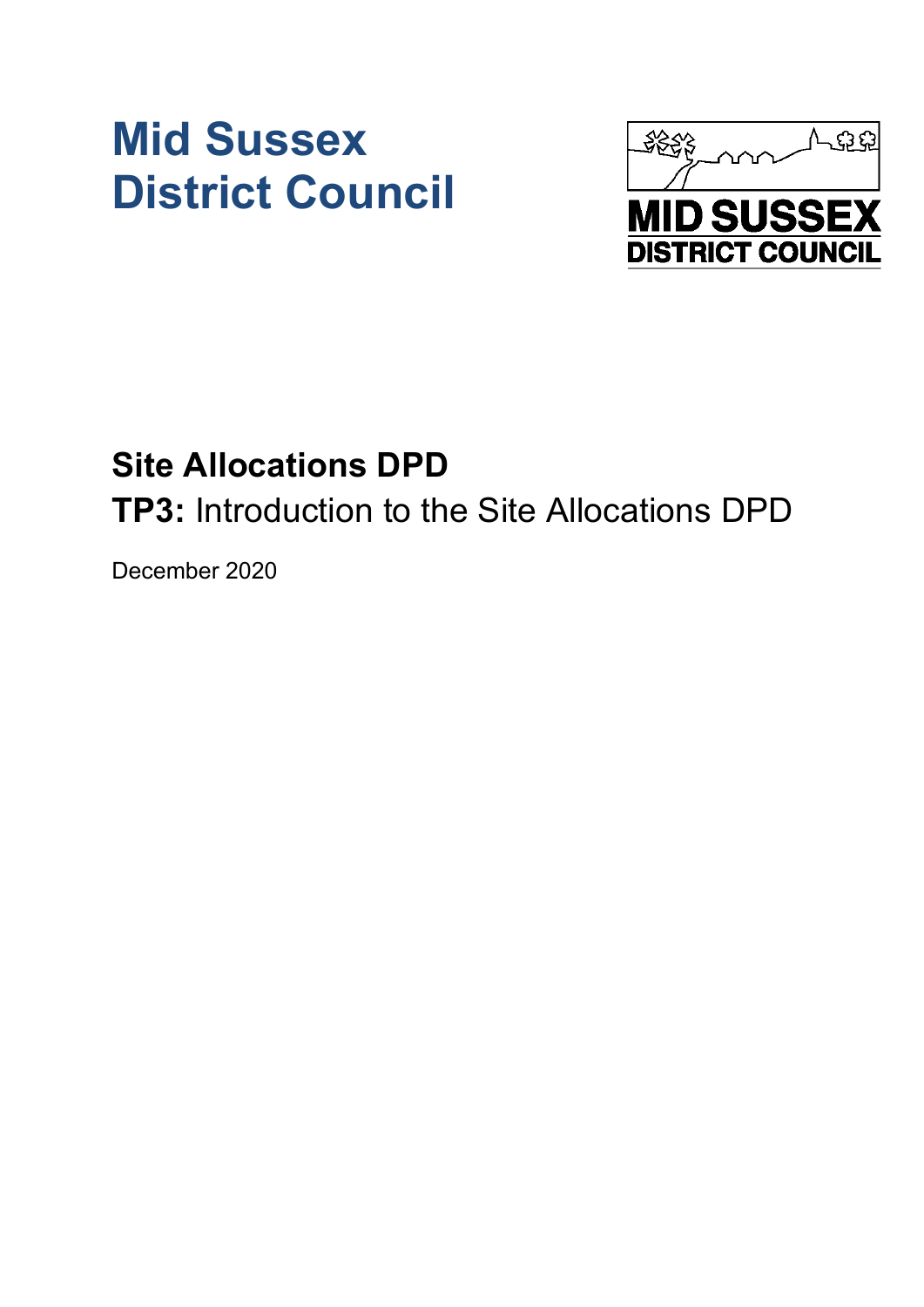# **Mid Sussex District Council**



## **Site Allocations DPD**

**TP3:** Introduction to the Site Allocations DPD

December 2020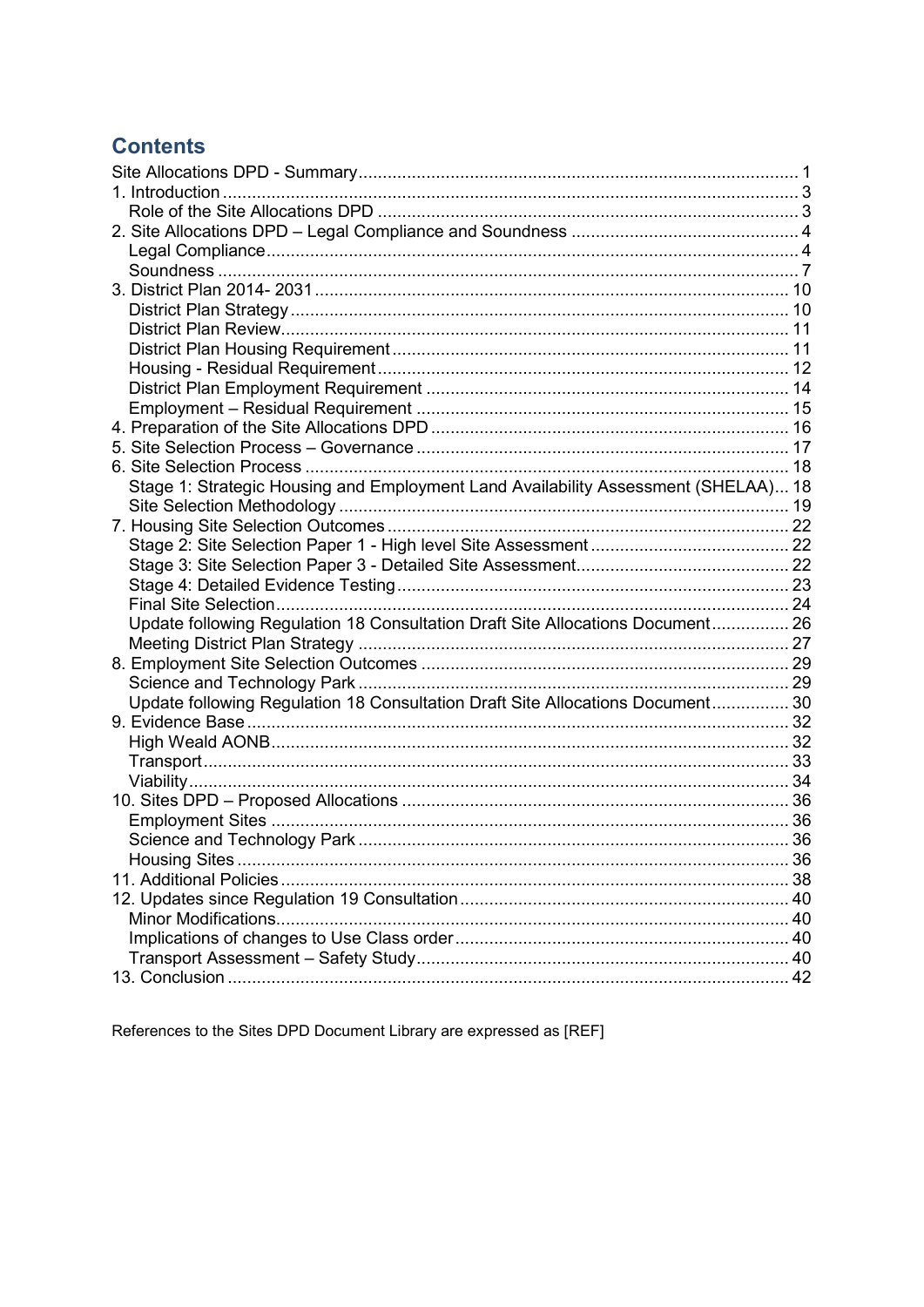## **Contents**

| Stage 1: Strategic Housing and Employment Land Availability Assessment (SHELAA) 18 |  |
|------------------------------------------------------------------------------------|--|
|                                                                                    |  |
|                                                                                    |  |
|                                                                                    |  |
|                                                                                    |  |
|                                                                                    |  |
|                                                                                    |  |
| Update following Regulation 18 Consultation Draft Site Allocations Document 26     |  |
|                                                                                    |  |
|                                                                                    |  |
|                                                                                    |  |
| Update following Regulation 18 Consultation Draft Site Allocations Document 30     |  |
|                                                                                    |  |
|                                                                                    |  |
|                                                                                    |  |
|                                                                                    |  |
|                                                                                    |  |
|                                                                                    |  |
|                                                                                    |  |
|                                                                                    |  |
|                                                                                    |  |
|                                                                                    |  |
|                                                                                    |  |
|                                                                                    |  |
|                                                                                    |  |
|                                                                                    |  |

References to the Sites DPD Document Library are expressed as [REF]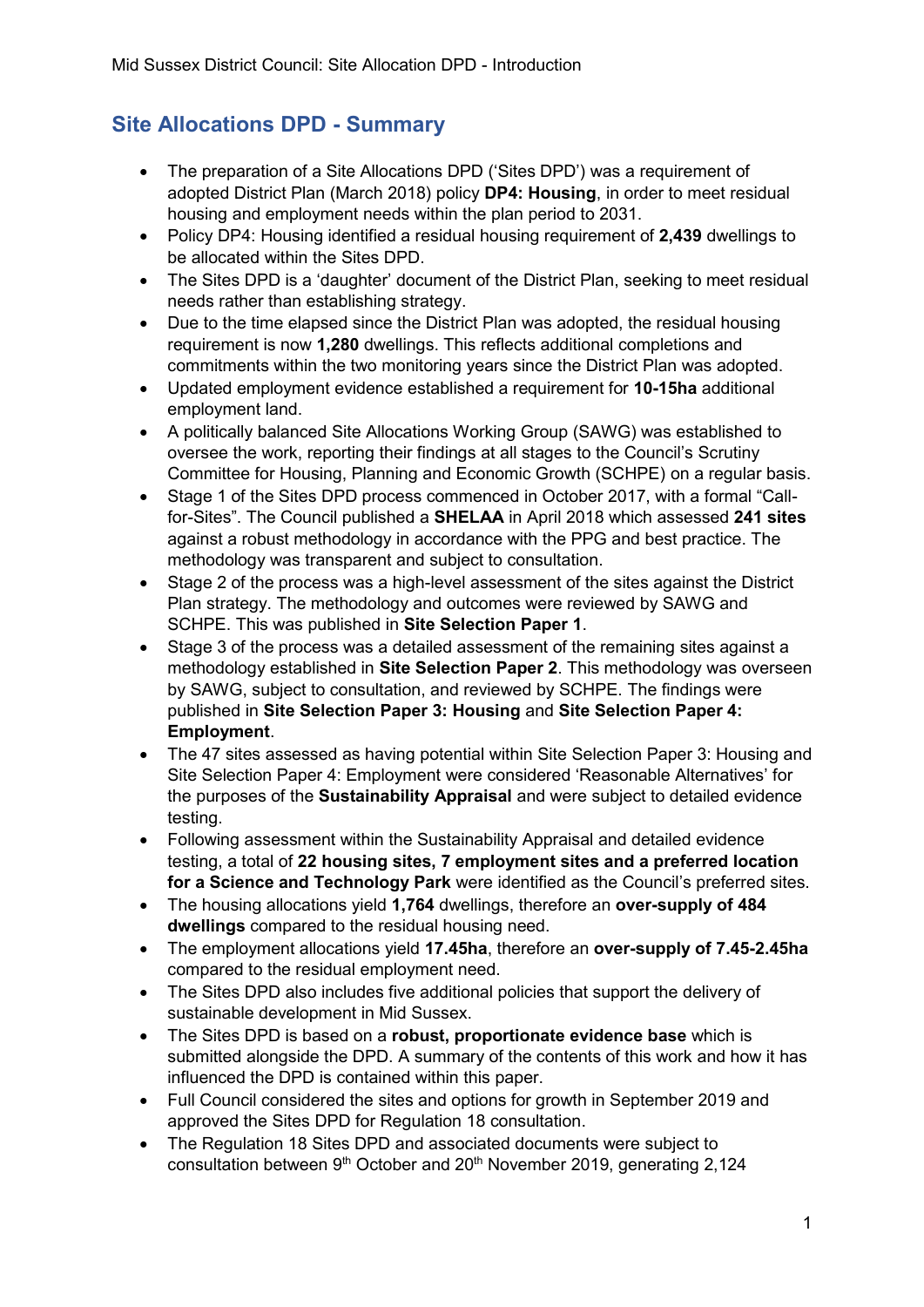## <span id="page-2-0"></span>**Site Allocations DPD - Summary**

- The preparation of a Site Allocations DPD ('Sites DPD') was a requirement of adopted District Plan (March 2018) policy **DP4: Housing**, in order to meet residual housing and employment needs within the plan period to 2031.
- Policy DP4: Housing identified a residual housing requirement of **2,439** dwellings to be allocated within the Sites DPD.
- The Sites DPD is a 'daughter' document of the District Plan, seeking to meet residual needs rather than establishing strategy.
- Due to the time elapsed since the District Plan was adopted, the residual housing requirement is now **1,280** dwellings. This reflects additional completions and commitments within the two monitoring years since the District Plan was adopted.
- Updated employment evidence established a requirement for **10-15ha** additional employment land.
- A politically balanced Site Allocations Working Group (SAWG) was established to oversee the work, reporting their findings at all stages to the Council's Scrutiny Committee for Housing, Planning and Economic Growth (SCHPE) on a regular basis.
- Stage 1 of the Sites DPD process commenced in October 2017, with a formal "Callfor-Sites". The Council published a **SHELAA** in April 2018 which assessed **241 sites** against a robust methodology in accordance with the PPG and best practice. The methodology was transparent and subject to consultation.
- Stage 2 of the process was a high-level assessment of the sites against the District Plan strategy. The methodology and outcomes were reviewed by SAWG and SCHPE. This was published in **Site Selection Paper 1**.
- Stage 3 of the process was a detailed assessment of the remaining sites against a methodology established in **Site Selection Paper 2**. This methodology was overseen by SAWG, subject to consultation, and reviewed by SCHPE. The findings were published in **Site Selection Paper 3: Housing** and **Site Selection Paper 4: Employment**.
- The 47 sites assessed as having potential within Site Selection Paper 3: Housing and Site Selection Paper 4: Employment were considered 'Reasonable Alternatives' for the purposes of the **Sustainability Appraisal** and were subject to detailed evidence testing.
- Following assessment within the Sustainability Appraisal and detailed evidence testing, a total of **22 housing sites, 7 employment sites and a preferred location for a Science and Technology Park** were identified as the Council's preferred sites.
- The housing allocations yield **1,764** dwellings, therefore an **over-supply of 484 dwellings** compared to the residual housing need.
- The employment allocations yield **17.45ha**, therefore an **over-supply of 7.45-2.45ha** compared to the residual employment need.
- The Sites DPD also includes five additional policies that support the delivery of sustainable development in Mid Sussex.
- The Sites DPD is based on a **robust, proportionate evidence base** which is submitted alongside the DPD. A summary of the contents of this work and how it has influenced the DPD is contained within this paper.
- Full Council considered the sites and options for growth in September 2019 and approved the Sites DPD for Regulation 18 consultation.
- The Regulation 18 Sites DPD and associated documents were subject to consultation between 9<sup>th</sup> October and 20<sup>th</sup> November 2019, generating 2,124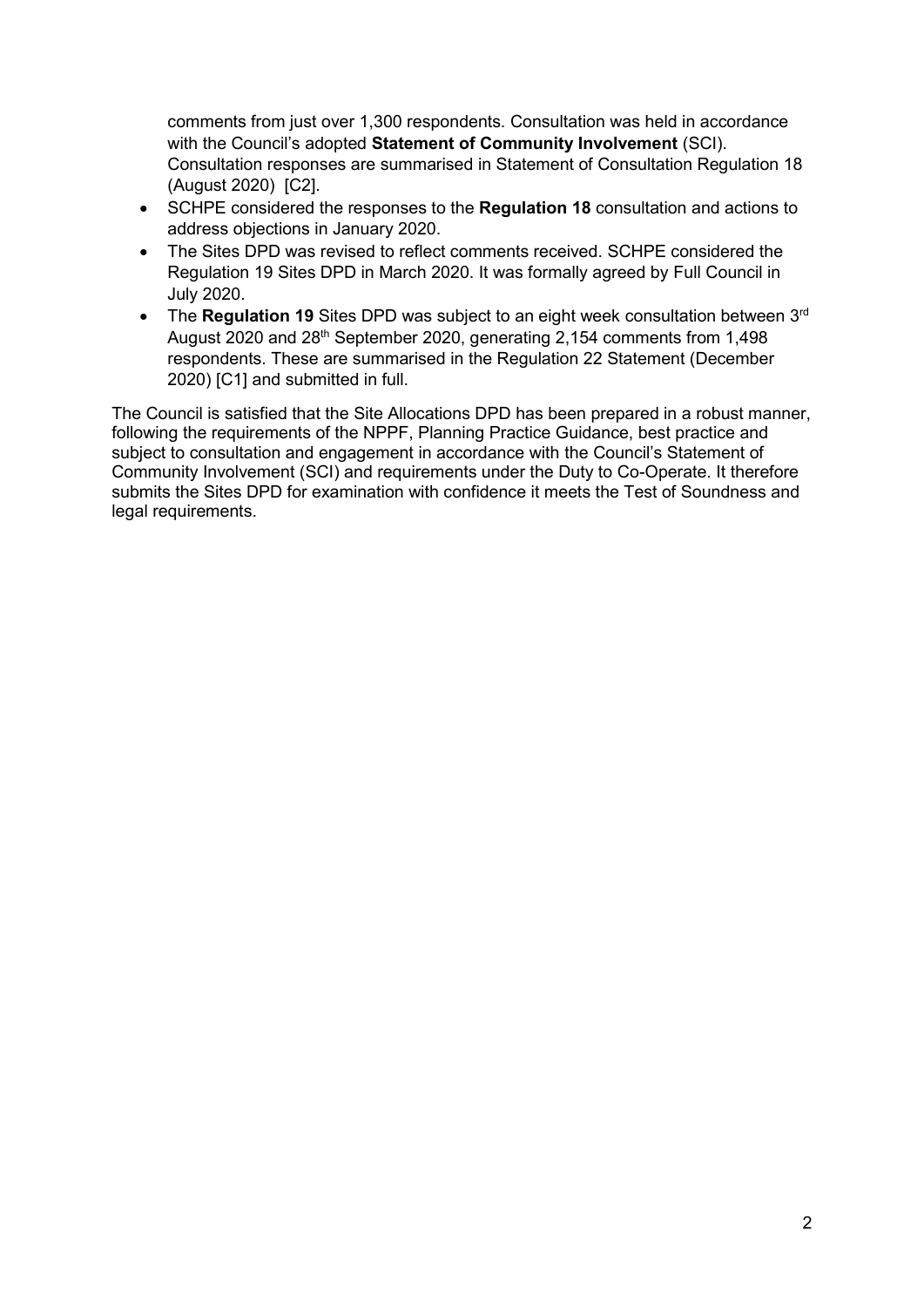comments from just over 1,300 respondents. Consultation was held in accordance with the Council's adopted **Statement of Community Involvement** (SCI). Consultation responses are summarised in Statement of Consultation Regulation 18 (August 2020) [C2].

- SCHPE considered the responses to the **Regulation 18** consultation and actions to address objections in January 2020.
- The Sites DPD was revised to reflect comments received. SCHPE considered the Regulation 19 Sites DPD in March 2020. It was formally agreed by Full Council in July 2020.
- The Regulation 19 Sites DPD was subject to an eight week consultation between 3<sup>rd</sup> August 2020 and 28<sup>th</sup> September 2020, generating 2,154 comments from 1,498 respondents. These are summarised in the Regulation 22 Statement (December 2020) [C1] and submitted in full.

The Council is satisfied that the Site Allocations DPD has been prepared in a robust manner, following the requirements of the NPPF, Planning Practice Guidance, best practice and subject to consultation and engagement in accordance with the Council's Statement of Community Involvement (SCI) and requirements under the Duty to Co-Operate. It therefore submits the Sites DPD for examination with confidence it meets the Test of Soundness and legal requirements.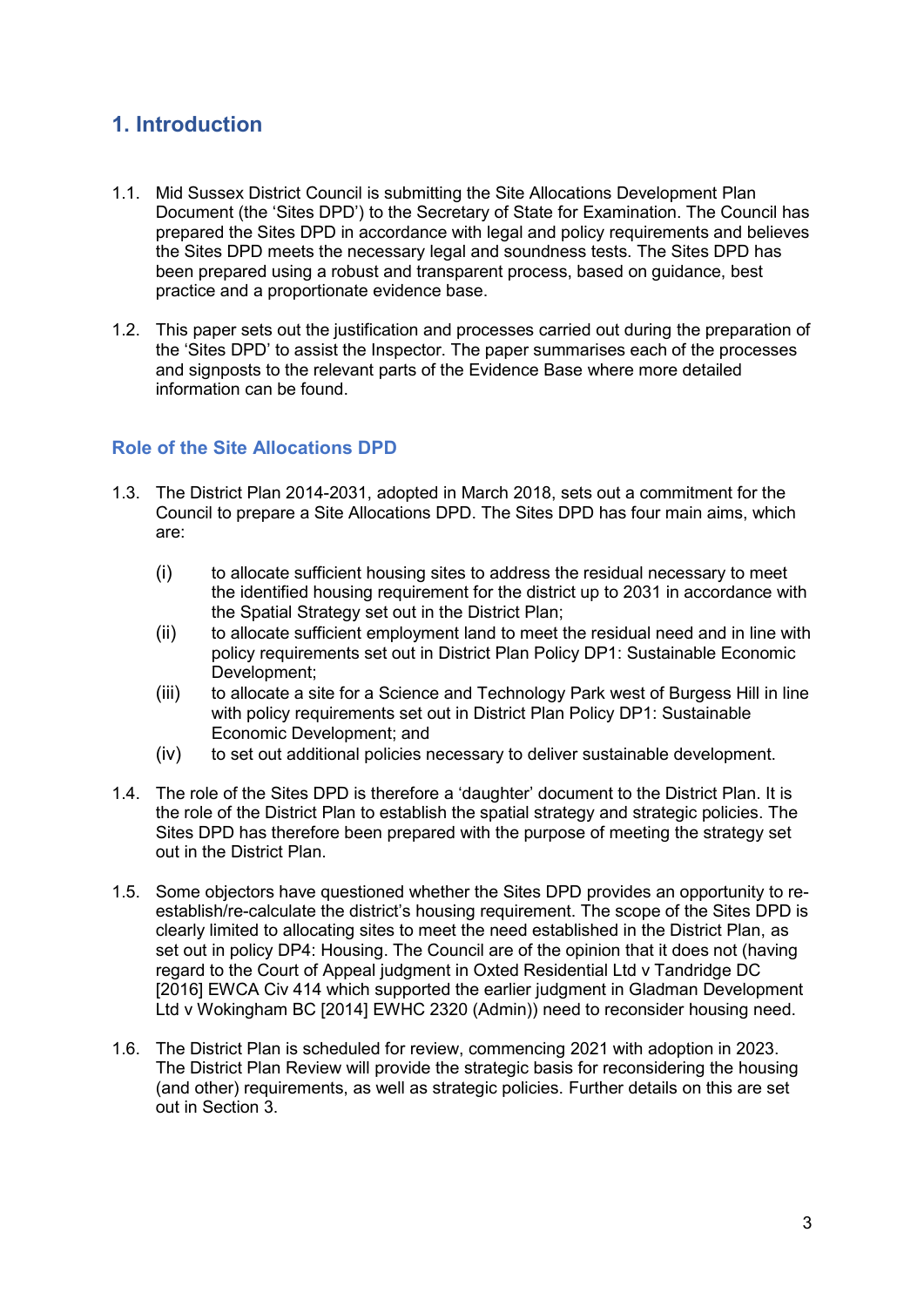## <span id="page-4-0"></span>**1. Introduction**

- 1.1. Mid Sussex District Council is submitting the Site Allocations Development Plan Document (the 'Sites DPD') to the Secretary of State for Examination. The Council has prepared the Sites DPD in accordance with legal and policy requirements and believes the Sites DPD meets the necessary legal and soundness tests. The Sites DPD has been prepared using a robust and transparent process, based on guidance, best practice and a proportionate evidence base.
- 1.2. This paper sets out the justification and processes carried out during the preparation of the 'Sites DPD' to assist the Inspector. The paper summarises each of the processes and signposts to the relevant parts of the Evidence Base where more detailed information can be found.

#### <span id="page-4-1"></span>**Role of the Site Allocations DPD**

- 1.3. The District Plan 2014-2031, adopted in March 2018, sets out a commitment for the Council to prepare a Site Allocations DPD. The Sites DPD has four main aims, which are:
	- (i) to allocate sufficient housing sites to address the residual necessary to meet the identified housing requirement for the district up to 2031 in accordance with the Spatial Strategy set out in the District Plan;
	- (ii) to allocate sufficient employment land to meet the residual need and in line with policy requirements set out in District Plan Policy DP1: Sustainable Economic Development;
	- (iii) to allocate a site for a Science and Technology Park west of Burgess Hill in line with policy requirements set out in District Plan Policy DP1: Sustainable Economic Development; and
	- (iv) to set out additional policies necessary to deliver sustainable development.
- 1.4. The role of the Sites DPD is therefore a 'daughter' document to the District Plan. It is the role of the District Plan to establish the spatial strategy and strategic policies. The Sites DPD has therefore been prepared with the purpose of meeting the strategy set out in the District Plan.
- 1.5. Some objectors have questioned whether the Sites DPD provides an opportunity to reestablish/re-calculate the district's housing requirement. The scope of the Sites DPD is clearly limited to allocating sites to meet the need established in the District Plan, as set out in policy DP4: Housing. The Council are of the opinion that it does not (having regard to the Court of Appeal judgment in Oxted Residential Ltd v Tandridge DC [2016] EWCA Civ 414 which supported the earlier judgment in Gladman Development Ltd v Wokingham BC [2014] EWHC 2320 (Admin)) need to reconsider housing need.
- 1.6. The District Plan is scheduled for review, commencing 2021 with adoption in 2023. The District Plan Review will provide the strategic basis for reconsidering the housing (and other) requirements, as well as strategic policies. Further details on this are set out in Section 3.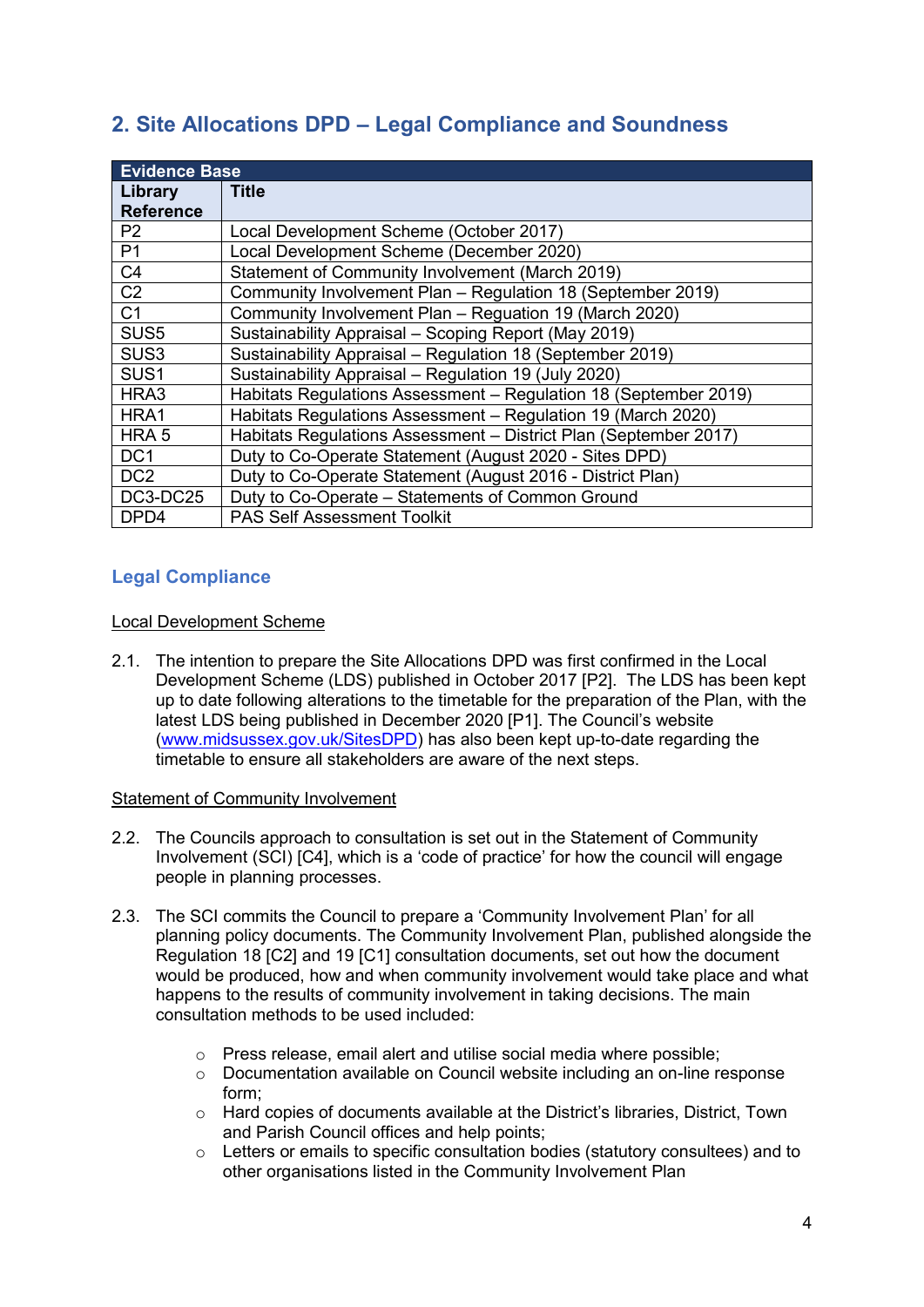## <span id="page-5-0"></span>**2. Site Allocations DPD – Legal Compliance and Soundness**

| <b>Evidence Base</b> |                                                                  |  |  |
|----------------------|------------------------------------------------------------------|--|--|
| Library              | <b>Title</b>                                                     |  |  |
| <b>Reference</b>     |                                                                  |  |  |
| P <sub>2</sub>       | Local Development Scheme (October 2017)                          |  |  |
| P <sub>1</sub>       | Local Development Scheme (December 2020)                         |  |  |
| C <sub>4</sub>       | Statement of Community Involvement (March 2019)                  |  |  |
| C <sub>2</sub>       | Community Involvement Plan - Regulation 18 (September 2019)      |  |  |
| C <sub>1</sub>       | Community Involvement Plan - Reguation 19 (March 2020)           |  |  |
| SUS <sub>5</sub>     | Sustainability Appraisal - Scoping Report (May 2019)             |  |  |
| SUS <sub>3</sub>     | Sustainability Appraisal - Regulation 18 (September 2019)        |  |  |
| SUS <sub>1</sub>     | Sustainability Appraisal - Regulation 19 (July 2020)             |  |  |
| HRA3                 | Habitats Regulations Assessment - Regulation 18 (September 2019) |  |  |
| HRA1                 | Habitats Regulations Assessment - Regulation 19 (March 2020)     |  |  |
| HRA <sub>5</sub>     | Habitats Regulations Assessment - District Plan (September 2017) |  |  |
| DC <sub>1</sub>      | Duty to Co-Operate Statement (August 2020 - Sites DPD)           |  |  |
| DC <sub>2</sub>      | Duty to Co-Operate Statement (August 2016 - District Plan)       |  |  |
| DC3-DC25             | Duty to Co-Operate - Statements of Common Ground                 |  |  |
| DPD4                 | <b>PAS Self Assessment Toolkit</b>                               |  |  |

#### <span id="page-5-1"></span>**Legal Compliance**

#### Local Development Scheme

2.1. The intention to prepare the Site Allocations DPD was first confirmed in the Local Development Scheme (LDS) published in October 2017 [P2]. The LDS has been kept up to date following alterations to the timetable for the preparation of the Plan, with the latest LDS being published in December 2020 [P1]. The Council's website [\(www.midsussex.gov.uk/SitesDPD\)](http://www.midsussex.gov.uk/SitesDPD) has also been kept up-to-date regarding the timetable to ensure all stakeholders are aware of the next steps.

#### Statement of Community Involvement

- 2.2. The Councils approach to consultation is set out in the Statement of Community Involvement (SCI) [C4], which is a 'code of practice' for how the council will engage people in planning processes.
- 2.3. The SCI commits the Council to prepare a 'Community Involvement Plan' for all planning policy documents. The Community Involvement Plan, published alongside the Regulation 18 [C2] and 19 [C1] consultation documents, set out how the document would be produced, how and when community involvement would take place and what happens to the results of community involvement in taking decisions. The main consultation methods to be used included:
	- o Press release, email alert and utilise social media where possible;
	- o Documentation available on Council website including an on-line response form;
	- o Hard copies of documents available at the District's libraries, District, Town and Parish Council offices and help points;
	- o Letters or emails to specific consultation bodies (statutory consultees) and to other organisations listed in the Community Involvement Plan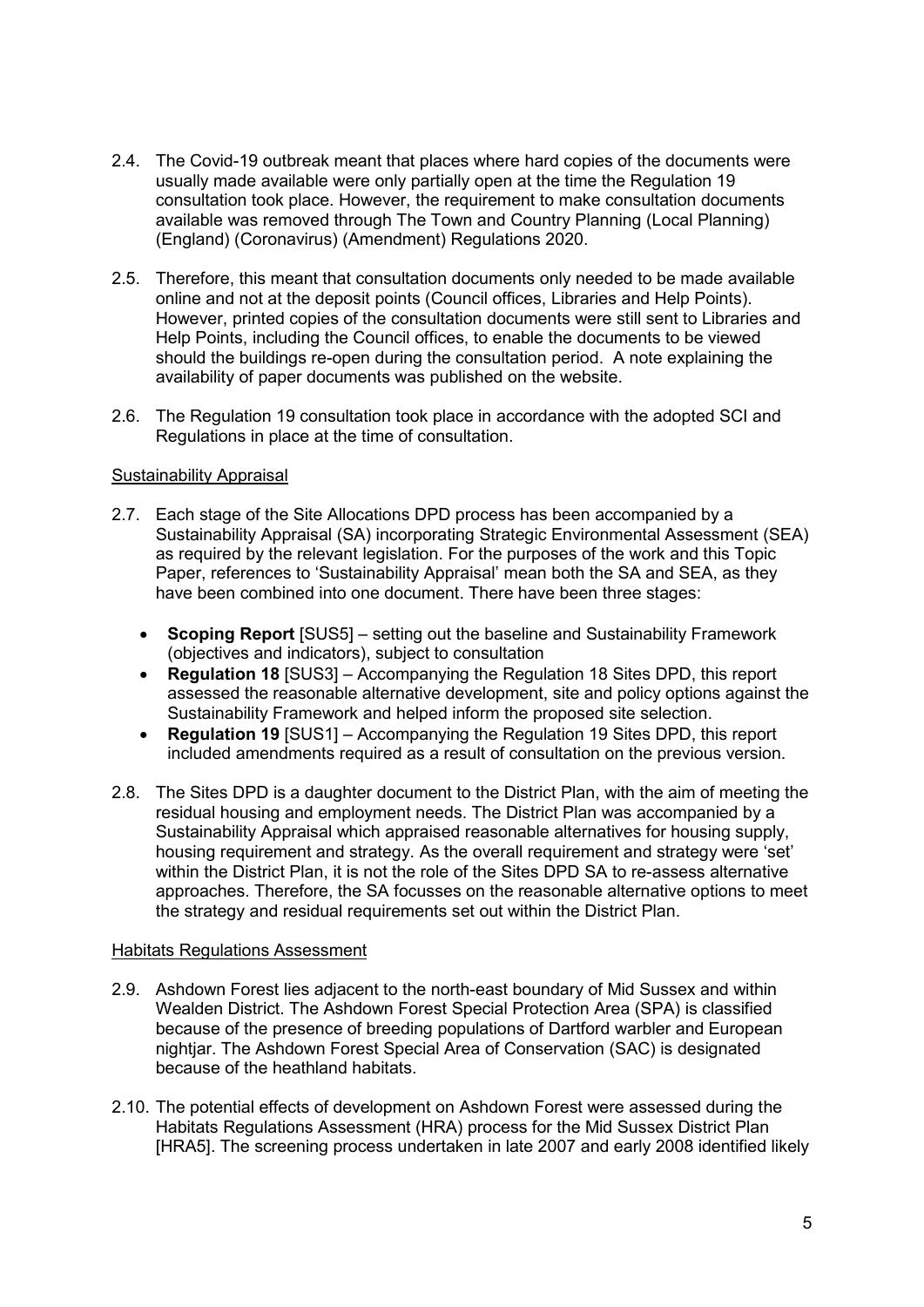- 2.4. The Covid-19 outbreak meant that places where hard copies of the documents were usually made available were only partially open at the time the Regulation 19 consultation took place. However, the requirement to make consultation documents available was removed through The Town and Country Planning (Local Planning) (England) (Coronavirus) (Amendment) Regulations 2020.
- 2.5. Therefore, this meant that consultation documents only needed to be made available online and not at the deposit points (Council offices, Libraries and Help Points). However, printed copies of the consultation documents were still sent to Libraries and Help Points, including the Council offices, to enable the documents to be viewed should the buildings re-open during the consultation period. A note explaining the availability of paper documents was published on the website.
- 2.6. The Regulation 19 consultation took place in accordance with the adopted SCI and Regulations in place at the time of consultation.

#### Sustainability Appraisal

- 2.7. Each stage of the Site Allocations DPD process has been accompanied by a Sustainability Appraisal (SA) incorporating Strategic Environmental Assessment (SEA) as required by the relevant legislation. For the purposes of the work and this Topic Paper, references to 'Sustainability Appraisal' mean both the SA and SEA, as they have been combined into one document. There have been three stages:
	- **Scoping Report** [SUS5] setting out the baseline and Sustainability Framework (objectives and indicators), subject to consultation
	- **Regulation 18** [SUS3] Accompanying the Regulation 18 Sites DPD, this report assessed the reasonable alternative development, site and policy options against the Sustainability Framework and helped inform the proposed site selection.
	- **Regulation 19** [SUS1] Accompanying the Regulation 19 Sites DPD, this report included amendments required as a result of consultation on the previous version.
- 2.8. The Sites DPD is a daughter document to the District Plan, with the aim of meeting the residual housing and employment needs. The District Plan was accompanied by a Sustainability Appraisal which appraised reasonable alternatives for housing supply, housing requirement and strategy. As the overall requirement and strategy were 'set' within the District Plan, it is not the role of the Sites DPD SA to re-assess alternative approaches. Therefore, the SA focusses on the reasonable alternative options to meet the strategy and residual requirements set out within the District Plan.

#### Habitats Regulations Assessment

- 2.9. Ashdown Forest lies adjacent to the north-east boundary of Mid Sussex and within Wealden District. The Ashdown Forest Special Protection Area (SPA) is classified because of the presence of breeding populations of Dartford warbler and European nightjar. The Ashdown Forest Special Area of Conservation (SAC) is designated because of the heathland habitats.
- 2.10. The potential effects of development on Ashdown Forest were assessed during the Habitats Regulations Assessment (HRA) process for the Mid Sussex District Plan [HRA5]. The screening process undertaken in late 2007 and early 2008 identified likely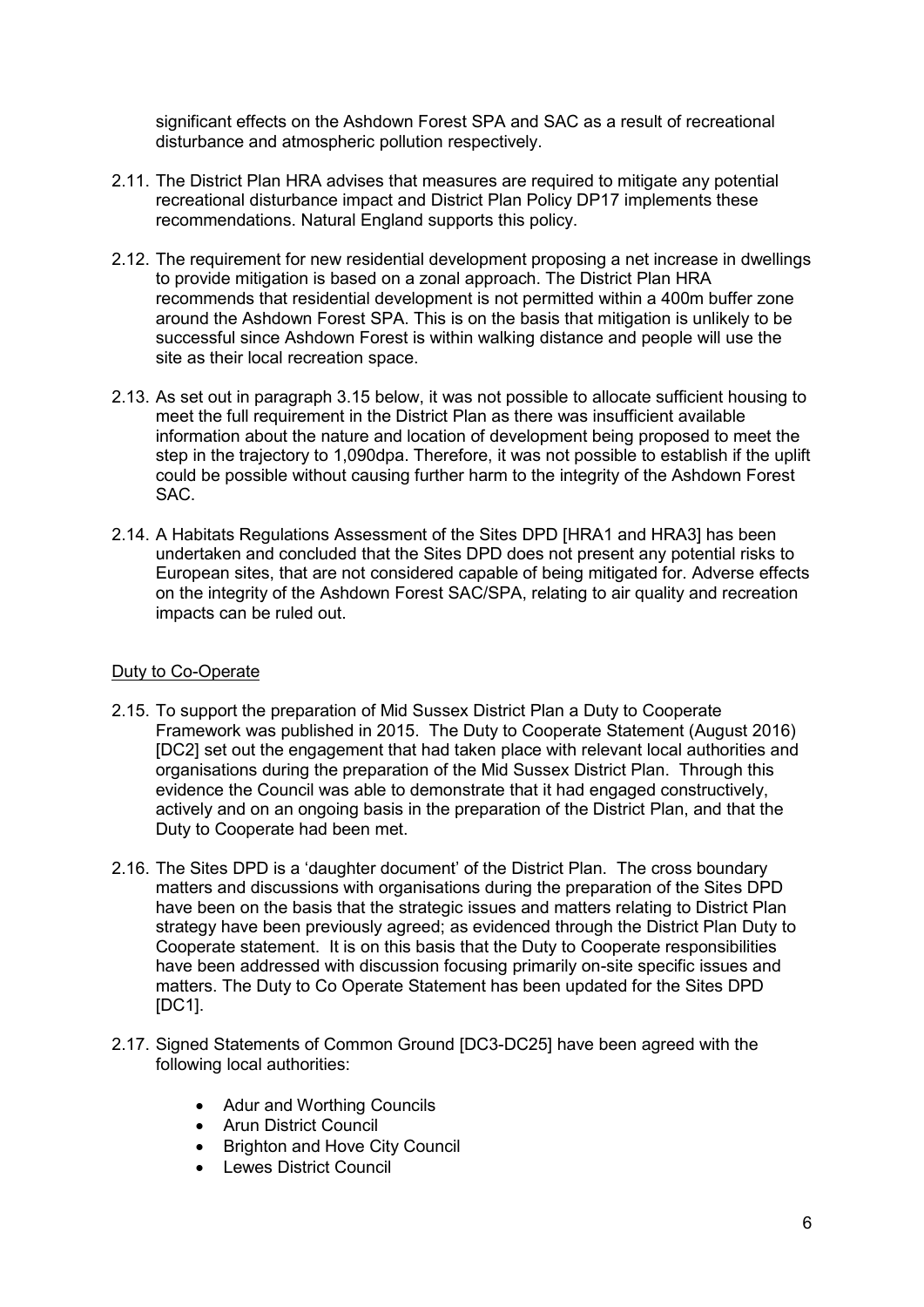significant effects on the Ashdown Forest SPA and SAC as a result of recreational disturbance and atmospheric pollution respectively.

- 2.11. The District Plan HRA advises that measures are required to mitigate any potential recreational disturbance impact and District Plan Policy DP17 implements these recommendations. Natural England supports this policy.
- 2.12. The requirement for new residential development proposing a net increase in dwellings to provide mitigation is based on a zonal approach. The District Plan HRA recommends that residential development is not permitted within a 400m buffer zone around the Ashdown Forest SPA. This is on the basis that mitigation is unlikely to be successful since Ashdown Forest is within walking distance and people will use the site as their local recreation space.
- 2.13. As set out in paragraph 3.15 below, it was not possible to allocate sufficient housing to meet the full requirement in the District Plan as there was insufficient available information about the nature and location of development being proposed to meet the step in the trajectory to 1,090dpa. Therefore, it was not possible to establish if the uplift could be possible without causing further harm to the integrity of the Ashdown Forest SAC.
- 2.14. A Habitats Regulations Assessment of the Sites DPD [HRA1 and HRA3] has been undertaken and concluded that the Sites DPD does not present any potential risks to European sites, that are not considered capable of being mitigated for. Adverse effects on the integrity of the Ashdown Forest SAC/SPA, relating to air quality and recreation impacts can be ruled out.

#### Duty to Co-Operate

- 2.15. To support the preparation of Mid Sussex District Plan a Duty to Cooperate Framework was published in 2015. The Duty to Cooperate Statement (August 2016) [DC2] set out the engagement that had taken place with relevant local authorities and organisations during the preparation of the Mid Sussex District Plan. Through this evidence the Council was able to demonstrate that it had engaged constructively, actively and on an ongoing basis in the preparation of the District Plan, and that the Duty to Cooperate had been met.
- 2.16. The Sites DPD is a 'daughter document' of the District Plan. The cross boundary matters and discussions with organisations during the preparation of the Sites DPD have been on the basis that the strategic issues and matters relating to District Plan strategy have been previously agreed; as evidenced through the District Plan Duty to Cooperate statement. It is on this basis that the Duty to Cooperate responsibilities have been addressed with discussion focusing primarily on-site specific issues and matters. The Duty to Co Operate Statement has been updated for the Sites DPD [DC1].
- 2.17. Signed Statements of Common Ground [DC3-DC25] have been agreed with the following local authorities:
	- Adur and Worthing Councils
	- Arun District Council
	- Brighton and Hove City Council
	- Lewes District Council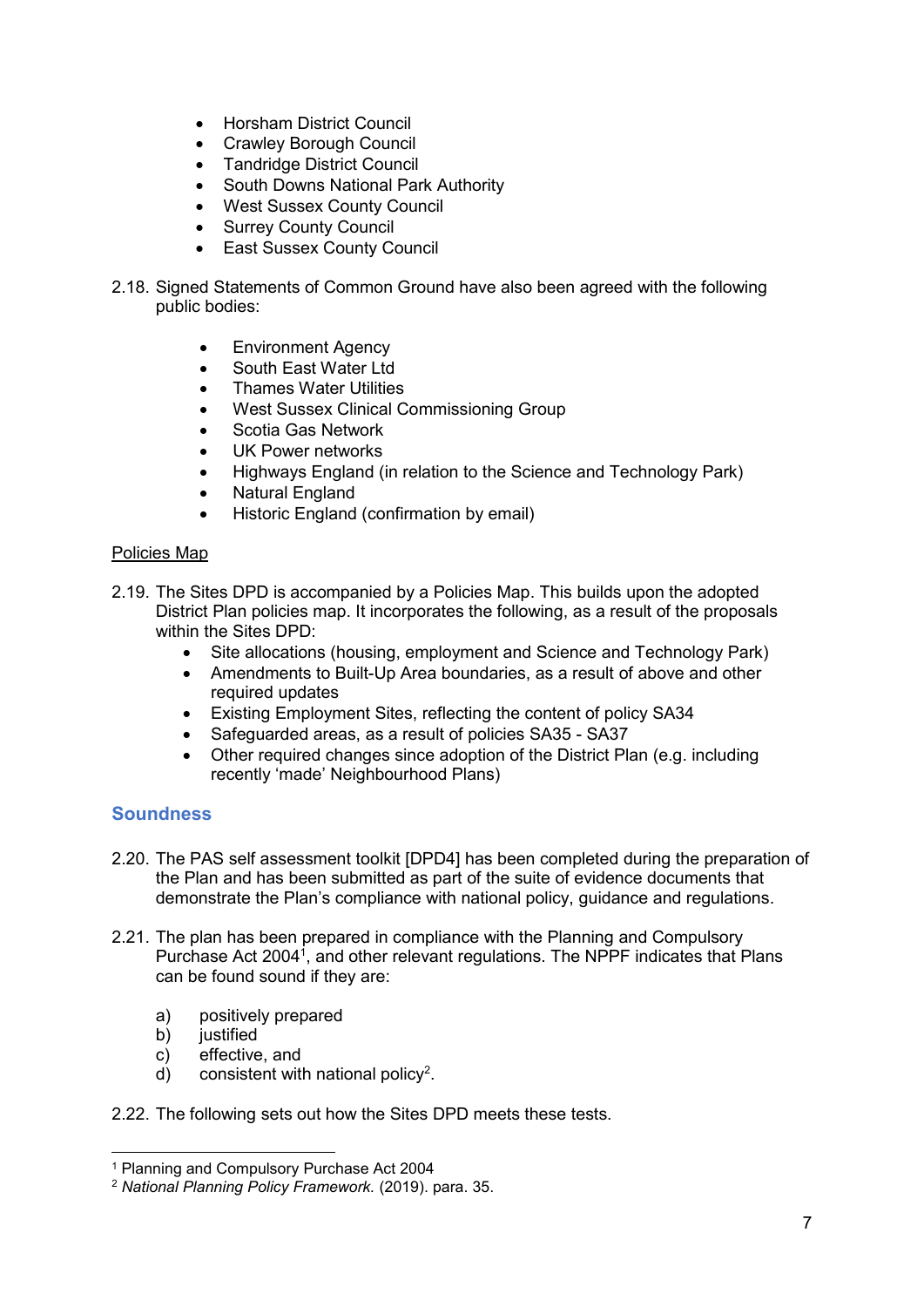- Horsham District Council
- Crawley Borough Council
- Tandridge District Council
- South Downs National Park Authority
- West Sussex County Council
- Surrey County Council
- East Sussex County Council
- 2.18. Signed Statements of Common Ground have also been agreed with the following public bodies:
	- Environment Agency
	- South East Water Ltd
	- Thames Water Utilities
	- West Sussex Clinical Commissioning Group
	- Scotia Gas Network
	- UK Power networks
	- Highways England (in relation to the Science and Technology Park)
	- Natural England
	- Historic England (confirmation by email)

#### Policies Map

- 2.19. The Sites DPD is accompanied by a Policies Map. This builds upon the adopted District Plan policies map. It incorporates the following, as a result of the proposals within the Sites DPD:
	- Site allocations (housing, employment and Science and Technology Park)
	- Amendments to Built-Up Area boundaries, as a result of above and other required updates
	- Existing Employment Sites, reflecting the content of policy SA34
	- Safeguarded areas, as a result of policies SA35 SA37
	- Other required changes since adoption of the District Plan (e.g. including recently 'made' Neighbourhood Plans)

#### <span id="page-8-0"></span>**Soundness**

-

- 2.20. The PAS self assessment toolkit [DPD4] has been completed during the preparation of the Plan and has been submitted as part of the suite of evidence documents that demonstrate the Plan's compliance with national policy, guidance and regulations.
- 2.21. The plan has been prepared in compliance with the Planning and Compulsory Purchase Act 2004<sup>1</sup>, and other relevant regulations. The NPPF indicates that Plans can be found sound if they are:
	- a) positively prepared
	- b) justified
	- c) effective, and
	- d) consistent with national policy<sup>2</sup>.
- 2.22. The following sets out how the Sites DPD meets these tests.

<sup>1</sup> Planning and Compulsory Purchase Act 2004

<sup>2</sup> *National Planning Policy Framework.* (2019). para. 35.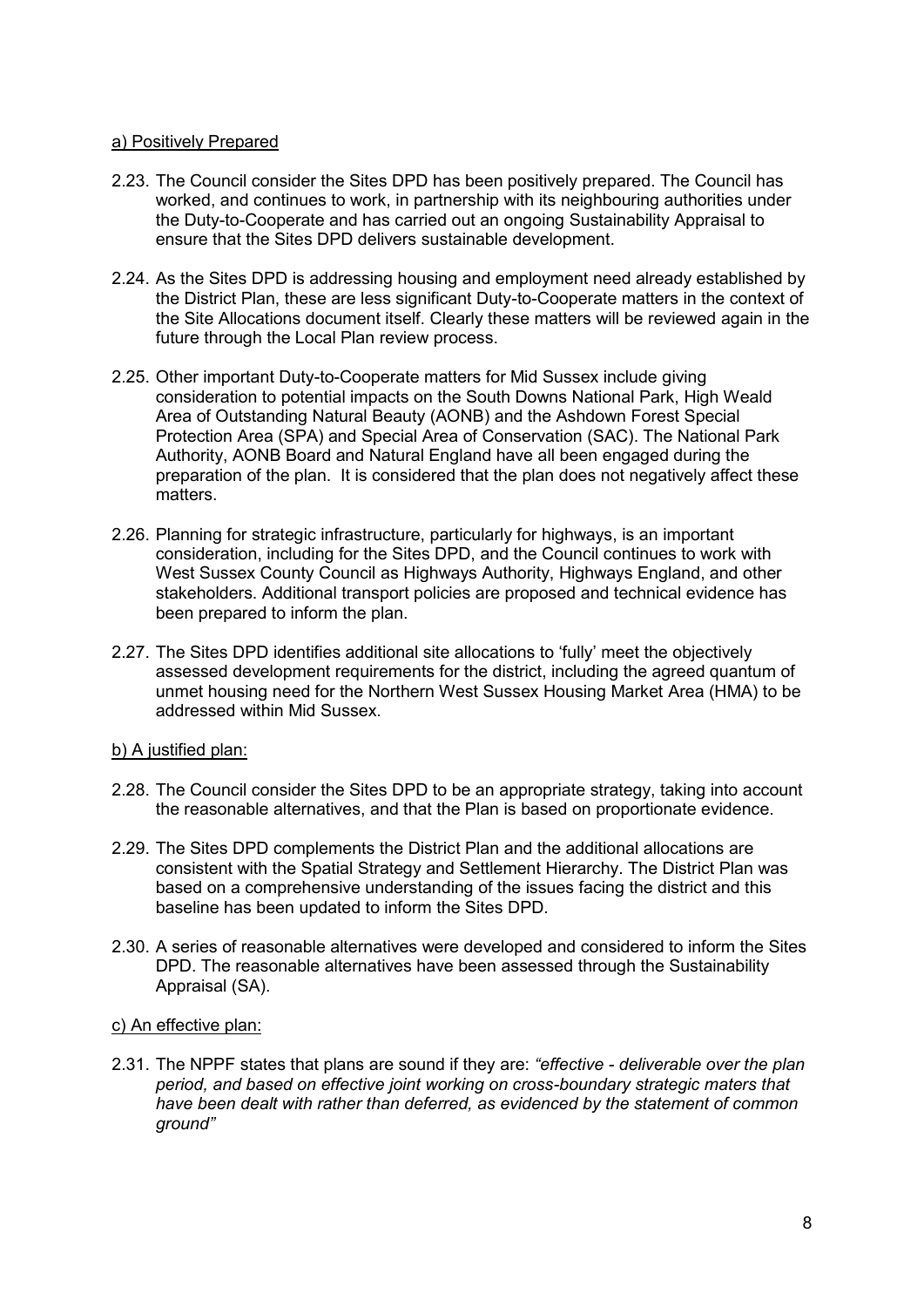#### a) Positively Prepared

- 2.23. The Council consider the Sites DPD has been positively prepared. The Council has worked, and continues to work, in partnership with its neighbouring authorities under the Duty-to-Cooperate and has carried out an ongoing Sustainability Appraisal to ensure that the Sites DPD delivers sustainable development.
- 2.24. As the Sites DPD is addressing housing and employment need already established by the District Plan, these are less significant Duty-to-Cooperate matters in the context of the Site Allocations document itself. Clearly these matters will be reviewed again in the future through the Local Plan review process.
- 2.25. Other important Duty-to-Cooperate matters for Mid Sussex include giving consideration to potential impacts on the South Downs National Park, High Weald Area of Outstanding Natural Beauty (AONB) and the Ashdown Forest Special Protection Area (SPA) and Special Area of Conservation (SAC). The National Park Authority, AONB Board and Natural England have all been engaged during the preparation of the plan. It is considered that the plan does not negatively affect these matters.
- 2.26. Planning for strategic infrastructure, particularly for highways, is an important consideration, including for the Sites DPD, and the Council continues to work with West Sussex County Council as Highways Authority, Highways England, and other stakeholders. Additional transport policies are proposed and technical evidence has been prepared to inform the plan.
- 2.27. The Sites DPD identifies additional site allocations to 'fully' meet the objectively assessed development requirements for the district, including the agreed quantum of unmet housing need for the Northern West Sussex Housing Market Area (HMA) to be addressed within Mid Sussex.

#### b) A justified plan:

- 2.28. The Council consider the Sites DPD to be an appropriate strategy, taking into account the reasonable alternatives, and that the Plan is based on proportionate evidence.
- 2.29. The Sites DPD complements the District Plan and the additional allocations are consistent with the Spatial Strategy and Settlement Hierarchy. The District Plan was based on a comprehensive understanding of the issues facing the district and this baseline has been updated to inform the Sites DPD.
- 2.30. A series of reasonable alternatives were developed and considered to inform the Sites DPD. The reasonable alternatives have been assessed through the Sustainability Appraisal (SA).

#### c) An effective plan:

2.31. The NPPF states that plans are sound if they are: *"effective - deliverable over the plan period, and based on effective joint working on cross-boundary strategic maters that have been dealt with rather than deferred, as evidenced by the statement of common ground"*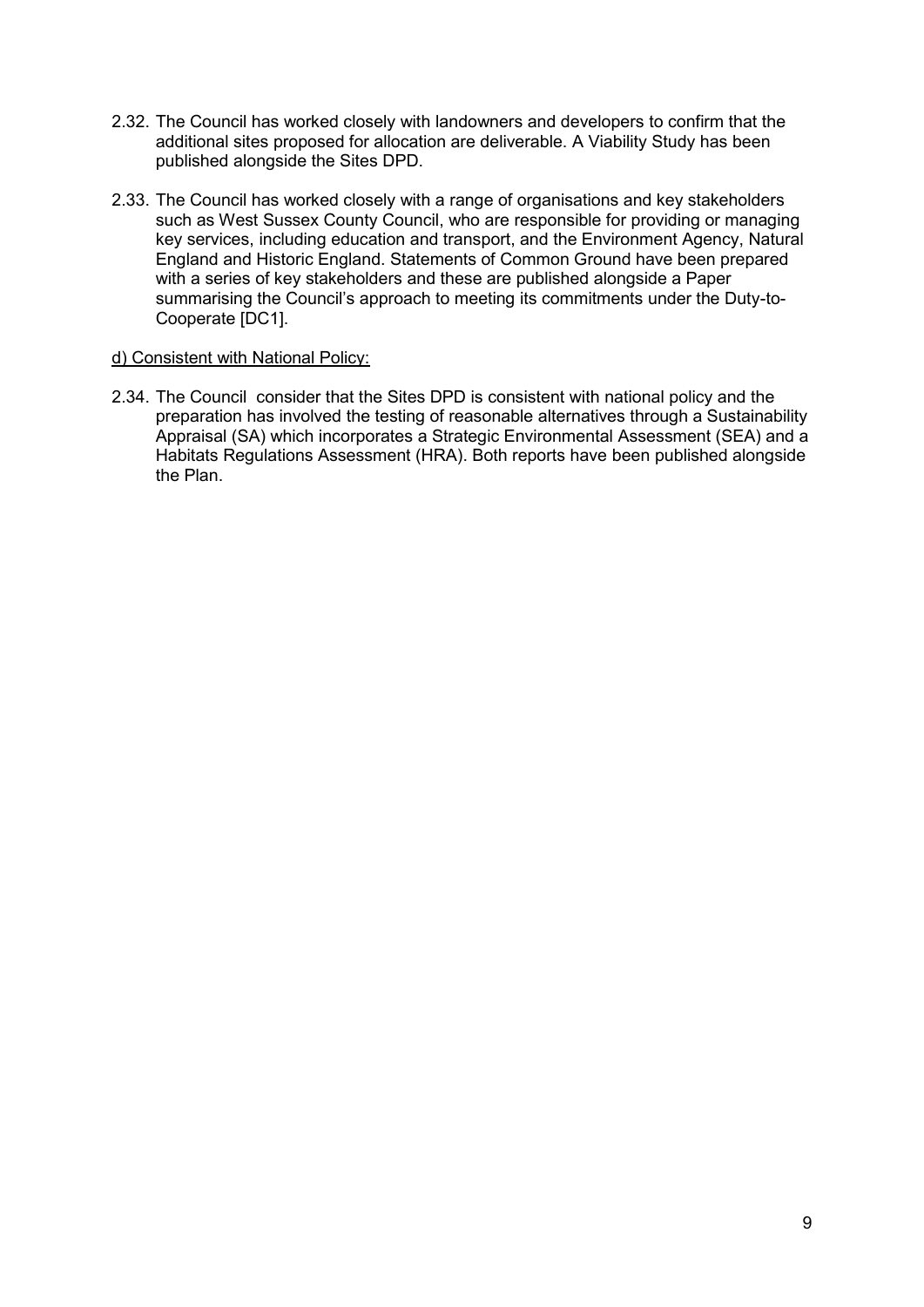- 2.32. The Council has worked closely with landowners and developers to confirm that the additional sites proposed for allocation are deliverable. A Viability Study has been published alongside the Sites DPD.
- 2.33. The Council has worked closely with a range of organisations and key stakeholders such as West Sussex County Council, who are responsible for providing or managing key services, including education and transport, and the Environment Agency, Natural England and Historic England. Statements of Common Ground have been prepared with a series of key stakeholders and these are published alongside a Paper summarising the Council's approach to meeting its commitments under the Duty-to-Cooperate [DC1].

#### d) Consistent with National Policy:

2.34. The Council consider that the Sites DPD is consistent with national policy and the preparation has involved the testing of reasonable alternatives through a Sustainability Appraisal (SA) which incorporates a Strategic Environmental Assessment (SEA) and a Habitats Regulations Assessment (HRA). Both reports have been published alongside the Plan.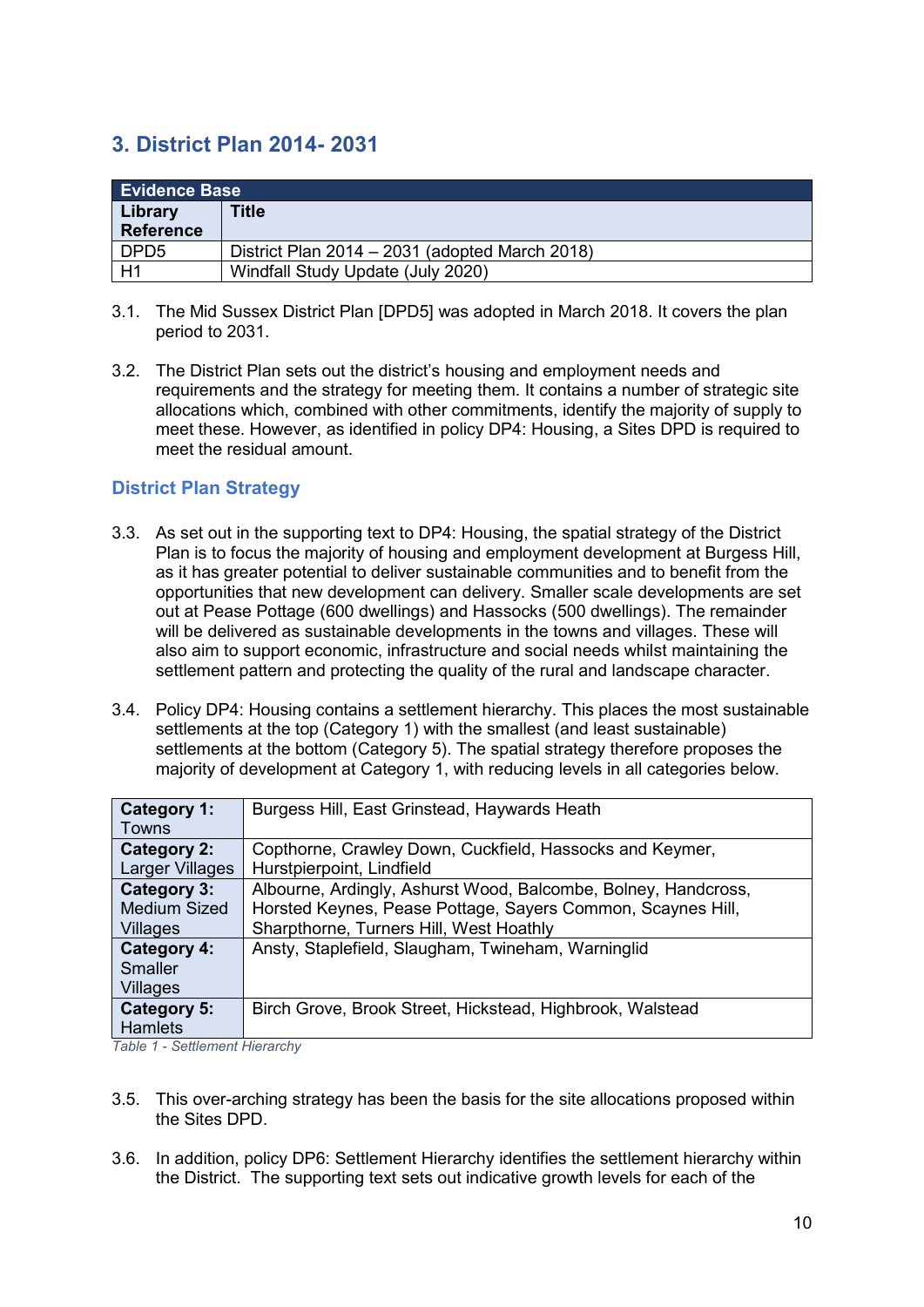## <span id="page-11-0"></span>**3. District Plan 2014- 2031**

| <b>Evidence Base</b>        |                                                |  |
|-----------------------------|------------------------------------------------|--|
| Library<br><b>Reference</b> | <b>Title</b>                                   |  |
| DPD <sub>5</sub>            | District Plan 2014 - 2031 (adopted March 2018) |  |
| H1                          | Windfall Study Update (July 2020)              |  |

- 3.1. The Mid Sussex District Plan [DPD5] was adopted in March 2018. It covers the plan period to 2031.
- 3.2. The District Plan sets out the district's housing and employment needs and requirements and the strategy for meeting them. It contains a number of strategic site allocations which, combined with other commitments, identify the majority of supply to meet these. However, as identified in policy DP4: Housing, a Sites DPD is required to meet the residual amount.

#### <span id="page-11-1"></span>**District Plan Strategy**

- 3.3. As set out in the supporting text to DP4: Housing, the spatial strategy of the District Plan is to focus the majority of housing and employment development at Burgess Hill, as it has greater potential to deliver sustainable communities and to benefit from the opportunities that new development can delivery. Smaller scale developments are set out at Pease Pottage (600 dwellings) and Hassocks (500 dwellings). The remainder will be delivered as sustainable developments in the towns and villages. These will also aim to support economic, infrastructure and social needs whilst maintaining the settlement pattern and protecting the quality of the rural and landscape character.
- 3.4. Policy DP4: Housing contains a settlement hierarchy. This places the most sustainable settlements at the top (Category 1) with the smallest (and least sustainable) settlements at the bottom (Category 5). The spatial strategy therefore proposes the majority of development at Category 1, with reducing levels in all categories below.

| Category 1:         | Burgess Hill, East Grinstead, Haywards Heath                   |
|---------------------|----------------------------------------------------------------|
| Towns               |                                                                |
| <b>Category 2:</b>  | Copthorne, Crawley Down, Cuckfield, Hassocks and Keymer,       |
| Larger Villages     | Hurstpierpoint, Lindfield                                      |
| Category 3:         | Albourne, Ardingly, Ashurst Wood, Balcombe, Bolney, Handcross, |
| <b>Medium Sized</b> | Horsted Keynes, Pease Pottage, Sayers Common, Scaynes Hill,    |
| Villages            | Sharpthorne, Turners Hill, West Hoathly                        |
| Category 4:         | Ansty, Staplefield, Slaugham, Twineham, Warninglid             |
| <b>Smaller</b>      |                                                                |
| Villages            |                                                                |
| Category 5:         | Birch Grove, Brook Street, Hickstead, Highbrook, Walstead      |
| <b>Hamlets</b>      |                                                                |
|                     |                                                                |

*Table 1 - Settlement Hierarchy*

- 3.5. This over-arching strategy has been the basis for the site allocations proposed within the Sites DPD.
- 3.6. In addition, policy DP6: Settlement Hierarchy identifies the settlement hierarchy within the District. The supporting text sets out indicative growth levels for each of the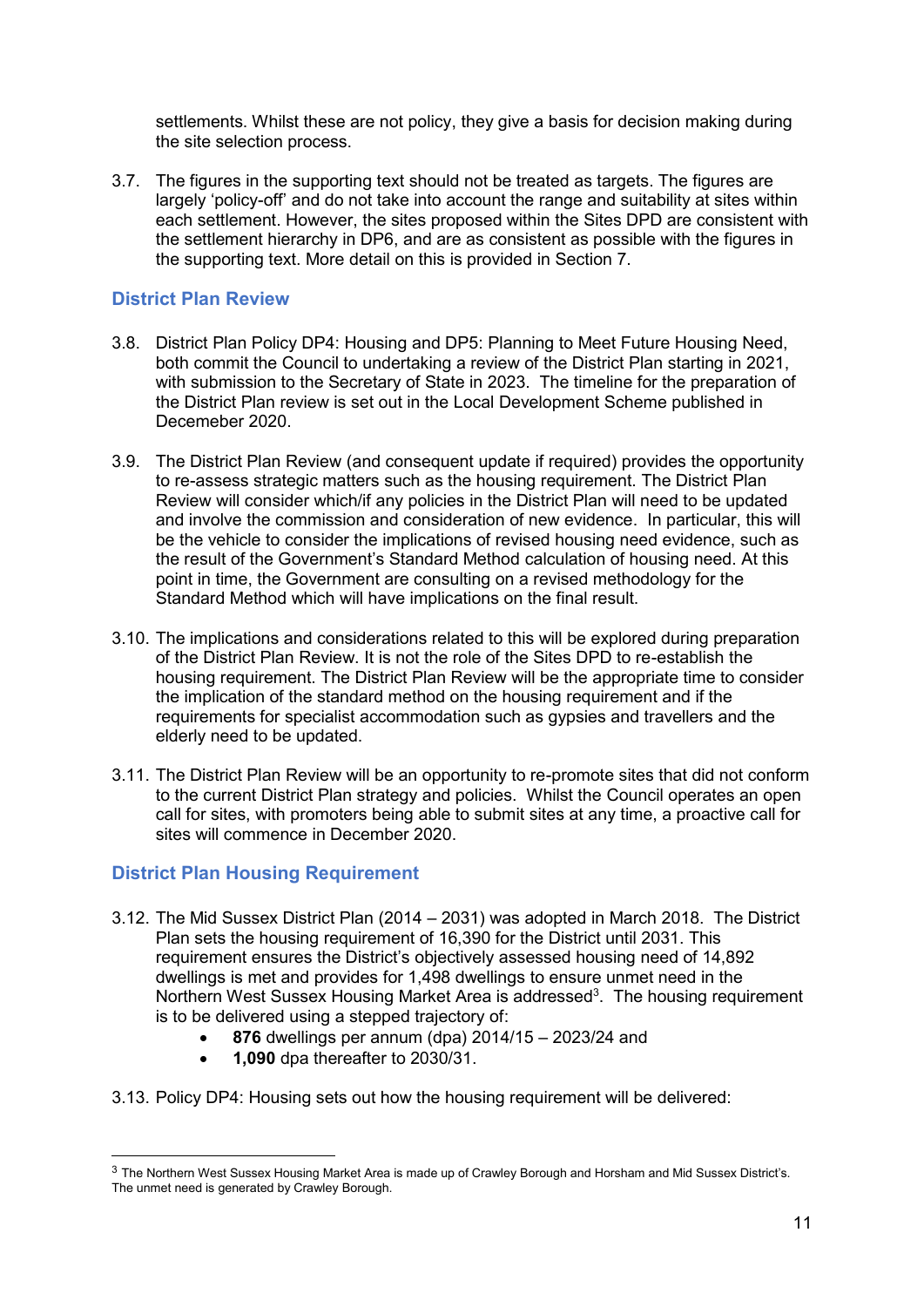settlements. Whilst these are not policy, they give a basis for decision making during the site selection process.

3.7. The figures in the supporting text should not be treated as targets. The figures are largely 'policy-off' and do not take into account the range and suitability at sites within each settlement. However, the sites proposed within the Sites DPD are consistent with the settlement hierarchy in DP6, and are as consistent as possible with the figures in the supporting text. More detail on this is provided in Section 7.

#### <span id="page-12-0"></span>**District Plan Review**

- 3.8. District Plan Policy DP4: Housing and DP5: Planning to Meet Future Housing Need, both commit the Council to undertaking a review of the District Plan starting in 2021, with submission to the Secretary of State in 2023. The timeline for the preparation of the District Plan review is set out in the Local Development Scheme published in Decemeber 2020.
- 3.9. The District Plan Review (and consequent update if required) provides the opportunity to re-assess strategic matters such as the housing requirement. The District Plan Review will consider which/if any policies in the District Plan will need to be updated and involve the commission and consideration of new evidence. In particular, this will be the vehicle to consider the implications of revised housing need evidence, such as the result of the Government's Standard Method calculation of housing need. At this point in time, the Government are consulting on a revised methodology for the Standard Method which will have implications on the final result.
- 3.10. The implications and considerations related to this will be explored during preparation of the District Plan Review. It is not the role of the Sites DPD to re-establish the housing requirement. The District Plan Review will be the appropriate time to consider the implication of the standard method on the housing requirement and if the requirements for specialist accommodation such as gypsies and travellers and the elderly need to be updated.
- 3.11. The District Plan Review will be an opportunity to re-promote sites that did not conform to the current District Plan strategy and policies. Whilst the Council operates an open call for sites, with promoters being able to submit sites at any time, a proactive call for sites will commence in December 2020.

#### <span id="page-12-1"></span>**District Plan Housing Requirement**

-

- 3.12. The Mid Sussex District Plan (2014 2031) was adopted in March 2018. The District Plan sets the housing requirement of 16,390 for the District until 2031. This requirement ensures the District's objectively assessed housing need of 14,892 dwellings is met and provides for 1,498 dwellings to ensure unmet need in the Northern West Sussex Housing Market Area is addressed<sup>3</sup>. The housing requirement is to be delivered using a stepped trajectory of:
	- **876** dwellings per annum (dpa) 2014/15 2023/24 and
	- **1,090** dpa thereafter to 2030/31.
- 3.13. Policy DP4: Housing sets out how the housing requirement will be delivered:

<sup>3</sup> The Northern West Sussex Housing Market Area is made up of Crawley Borough and Horsham and Mid Sussex District's. The unmet need is generated by Crawley Borough.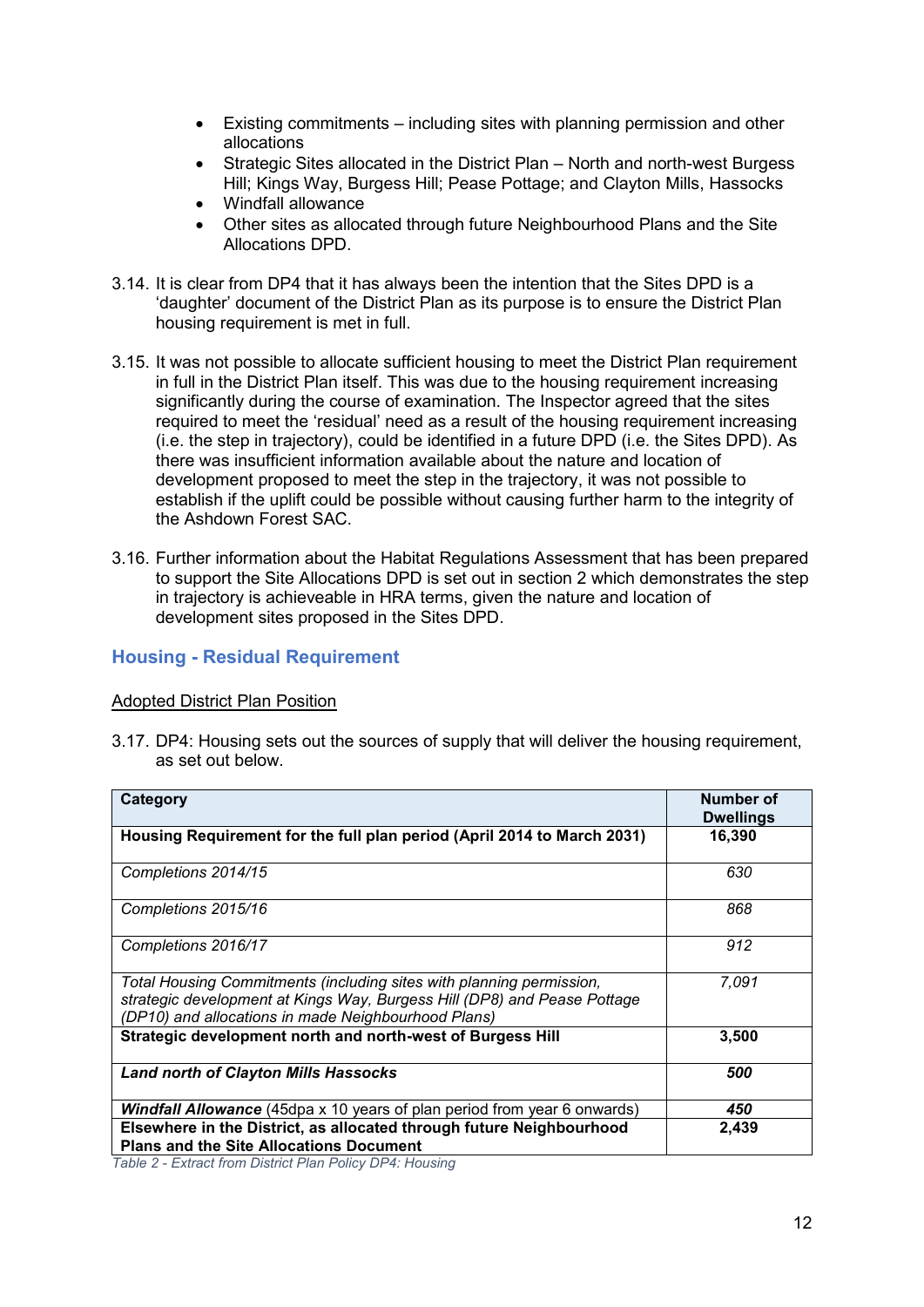- Existing commitments including sites with planning permission and other allocations
- Strategic Sites allocated in the District Plan North and north-west Burgess Hill; Kings Way, Burgess Hill; Pease Pottage; and Clayton Mills, Hassocks
- Windfall allowance
- Other sites as allocated through future Neighbourhood Plans and the Site Allocations DPD.
- 3.14. It is clear from DP4 that it has always been the intention that the Sites DPD is a 'daughter' document of the District Plan as its purpose is to ensure the District Plan housing requirement is met in full.
- 3.15. It was not possible to allocate sufficient housing to meet the District Plan requirement in full in the District Plan itself. This was due to the housing requirement increasing significantly during the course of examination. The Inspector agreed that the sites required to meet the 'residual' need as a result of the housing requirement increasing (i.e. the step in trajectory), could be identified in a future DPD (i.e. the Sites DPD). As there was insufficient information available about the nature and location of development proposed to meet the step in the trajectory, it was not possible to establish if the uplift could be possible without causing further harm to the integrity of the Ashdown Forest SAC.
- 3.16. Further information about the Habitat Regulations Assessment that has been prepared to support the Site Allocations DPD is set out in section 2 which demonstrates the step in trajectory is achieveable in HRA terms, given the nature and location of development sites proposed in the Sites DPD.

#### <span id="page-13-0"></span>**Housing - Residual Requirement**

#### Adopted District Plan Position

3.17. DP4: Housing sets out the sources of supply that will deliver the housing requirement, as set out below.

| Category                                                                                                                                                                                                | Number of<br><b>Dwellings</b> |
|---------------------------------------------------------------------------------------------------------------------------------------------------------------------------------------------------------|-------------------------------|
| Housing Requirement for the full plan period (April 2014 to March 2031)                                                                                                                                 | 16,390                        |
| Completions 2014/15                                                                                                                                                                                     | 630                           |
| Completions 2015/16                                                                                                                                                                                     | 868                           |
| Completions 2016/17                                                                                                                                                                                     | 912                           |
| Total Housing Commitments (including sites with planning permission,<br>strategic development at Kings Way, Burgess Hill (DP8) and Pease Pottage<br>(DP10) and allocations in made Neighbourhood Plans) | 7.091                         |
| Strategic development north and north-west of Burgess Hill                                                                                                                                              | 3,500                         |
| <b>Land north of Clayton Mills Hassocks</b>                                                                                                                                                             | 500                           |
| Windfall Allowance (45dpa x 10 years of plan period from year 6 onwards)                                                                                                                                | 450                           |
| Elsewhere in the District, as allocated through future Neighbourhood<br><b>Plans and the Site Allocations Document</b>                                                                                  | 2,439                         |
| Table 2 Extract from District Plan Policy DDA: Housing                                                                                                                                                  |                               |

*Table 2 - Extract from District Plan Policy DP4: Housing*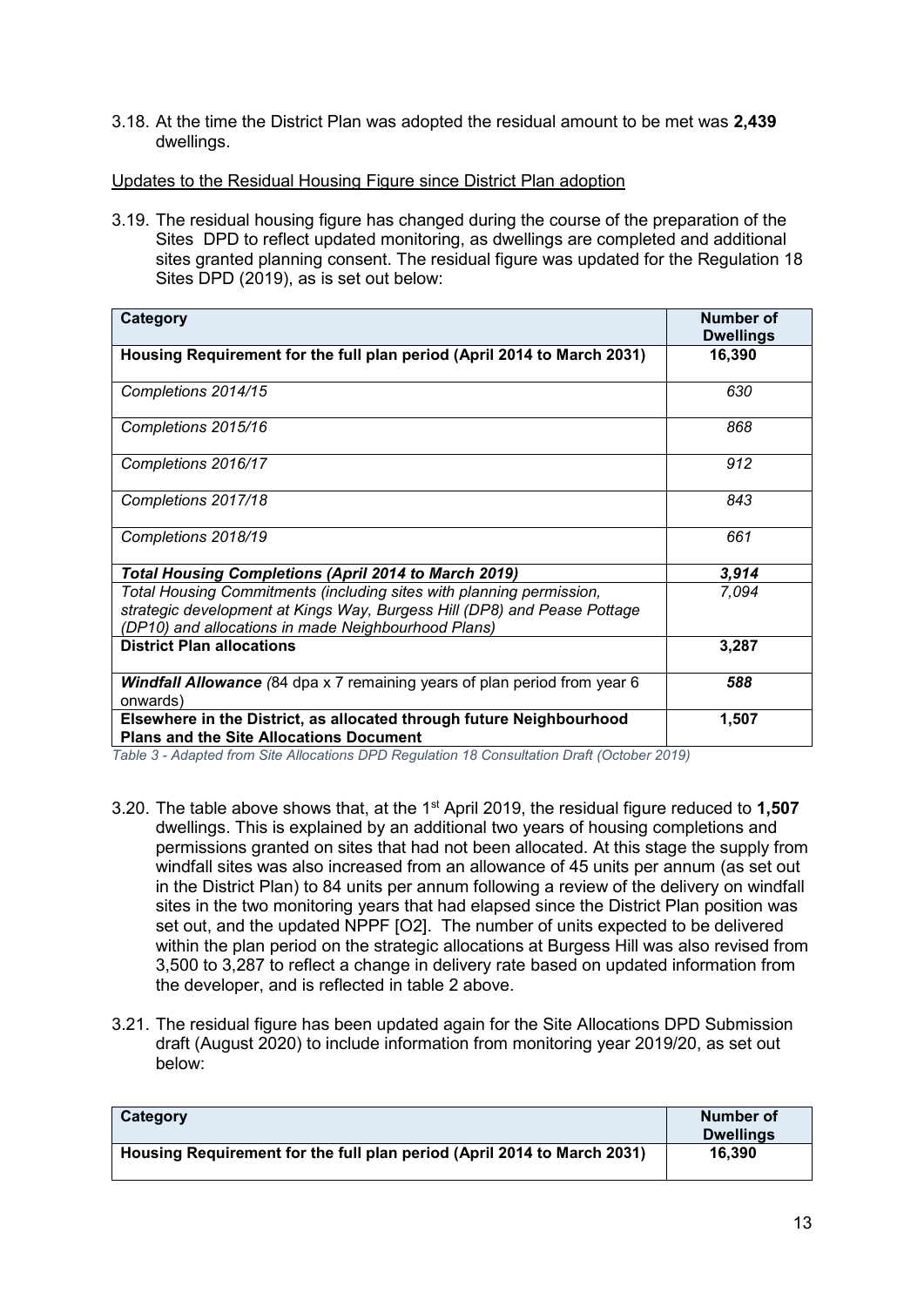3.18. At the time the District Plan was adopted the residual amount to be met was **2,439** dwellings.

#### Updates to the Residual Housing Figure since District Plan adoption

3.19. The residual housing figure has changed during the course of the preparation of the Sites DPD to reflect updated monitoring, as dwellings are completed and additional sites granted planning consent. The residual figure was updated for the Regulation 18 Sites DPD (2019), as is set out below:

| Category                                                                                                                                                                                                | Number of<br><b>Dwellings</b> |
|---------------------------------------------------------------------------------------------------------------------------------------------------------------------------------------------------------|-------------------------------|
| Housing Requirement for the full plan period (April 2014 to March 2031)                                                                                                                                 | 16,390                        |
| Completions 2014/15                                                                                                                                                                                     | 630                           |
| Completions 2015/16                                                                                                                                                                                     | 868                           |
| Completions 2016/17                                                                                                                                                                                     | 912                           |
| Completions 2017/18                                                                                                                                                                                     | 843                           |
| Completions 2018/19                                                                                                                                                                                     | 661                           |
| <b>Total Housing Completions (April 2014 to March 2019)</b>                                                                                                                                             | 3,914                         |
| Total Housing Commitments (including sites with planning permission,<br>strategic development at Kings Way, Burgess Hill (DP8) and Pease Pottage<br>(DP10) and allocations in made Neighbourhood Plans) | 7,094                         |
| <b>District Plan allocations</b>                                                                                                                                                                        | 3,287                         |
| <b>Windfall Allowance</b> (84 dpa x 7 remaining years of plan period from year 6<br>onwards)                                                                                                            | 588                           |
| Elsewhere in the District, as allocated through future Neighbourhood<br><b>Plans and the Site Allocations Document</b>                                                                                  | 1,507                         |

*Table 3 - Adapted from Site Allocations DPD Regulation 18 Consultation Draft (October 2019)*

- 3.20. The table above shows that, at the 1st April 2019, the residual figure reduced to **1,507** dwellings. This is explained by an additional two years of housing completions and permissions granted on sites that had not been allocated. At this stage the supply from windfall sites was also increased from an allowance of 45 units per annum (as set out in the District Plan) to 84 units per annum following a review of the delivery on windfall sites in the two monitoring years that had elapsed since the District Plan position was set out, and the updated NPPF [O2]. The number of units expected to be delivered within the plan period on the strategic allocations at Burgess Hill was also revised from 3,500 to 3,287 to reflect a change in delivery rate based on updated information from the developer, and is reflected in table 2 above.
- 3.21. The residual figure has been updated again for the Site Allocations DPD Submission draft (August 2020) to include information from monitoring year 2019/20, as set out below:

| Category                                                                | Number of<br><b>Dwellings</b> |
|-------------------------------------------------------------------------|-------------------------------|
| Housing Requirement for the full plan period (April 2014 to March 2031) | 16.390                        |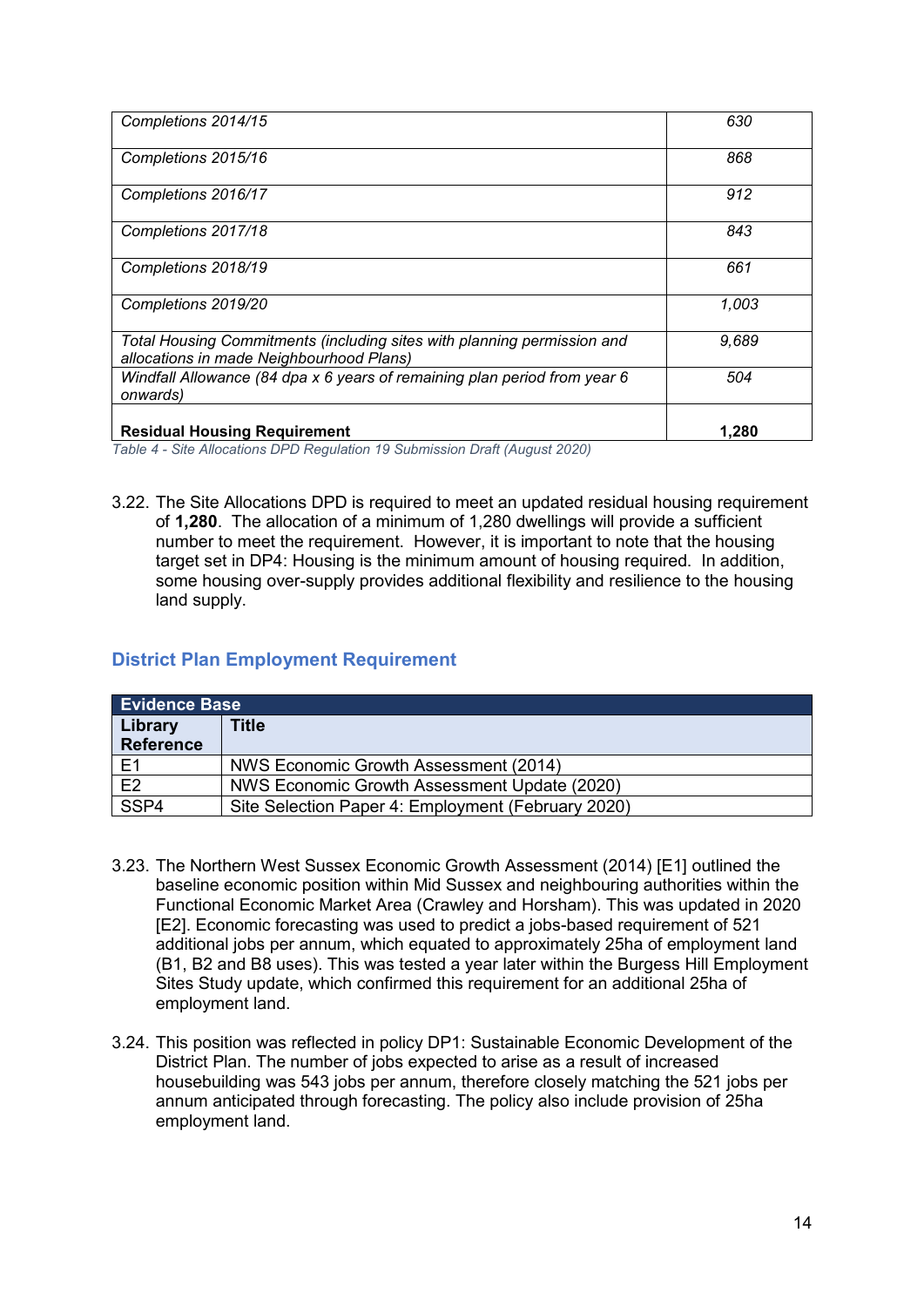| Completions 2014/15                                                                                                 | 630   |
|---------------------------------------------------------------------------------------------------------------------|-------|
| Completions 2015/16                                                                                                 | 868   |
| Completions 2016/17                                                                                                 | 912   |
| Completions 2017/18                                                                                                 | 843   |
| Completions 2018/19                                                                                                 | 661   |
| Completions 2019/20                                                                                                 | 1,003 |
| Total Housing Commitments (including sites with planning permission and<br>allocations in made Neighbourhood Plans) | 9,689 |
| Windfall Allowance (84 dpa x 6 years of remaining plan period from year 6<br>onwards)                               | 504   |
| <b>Residual Housing Requirement</b>                                                                                 | 1.280 |

*Table 4 - Site Allocations DPD Regulation 19 Submission Draft (August 2020)*

3.22. The Site Allocations DPD is required to meet an updated residual housing requirement of **1,280**. The allocation of a minimum of 1,280 dwellings will provide a sufficient number to meet the requirement. However, it is important to note that the housing target set in DP4: Housing is the minimum amount of housing required. In addition, some housing over-supply provides additional flexibility and resilience to the housing land supply.

#### <span id="page-15-0"></span>**District Plan Employment Requirement**

| <b>Evidence Base</b> |                                                    |  |
|----------------------|----------------------------------------------------|--|
| Library              | Title                                              |  |
| <b>Reference</b>     |                                                    |  |
| F <sub>1</sub>       | NWS Economic Growth Assessment (2014)              |  |
| E2                   | NWS Economic Growth Assessment Update (2020)       |  |
| SSP4                 | Site Selection Paper 4: Employment (February 2020) |  |

- 3.23. The Northern West Sussex Economic Growth Assessment (2014) [E1] outlined the baseline economic position within Mid Sussex and neighbouring authorities within the Functional Economic Market Area (Crawley and Horsham). This was updated in 2020 [E2]. Economic forecasting was used to predict a jobs-based requirement of 521 additional jobs per annum, which equated to approximately 25ha of employment land (B1, B2 and B8 uses). This was tested a year later within the Burgess Hill Employment Sites Study update, which confirmed this requirement for an additional 25ha of employment land.
- 3.24. This position was reflected in policy DP1: Sustainable Economic Development of the District Plan. The number of jobs expected to arise as a result of increased housebuilding was 543 jobs per annum, therefore closely matching the 521 jobs per annum anticipated through forecasting. The policy also include provision of 25ha employment land.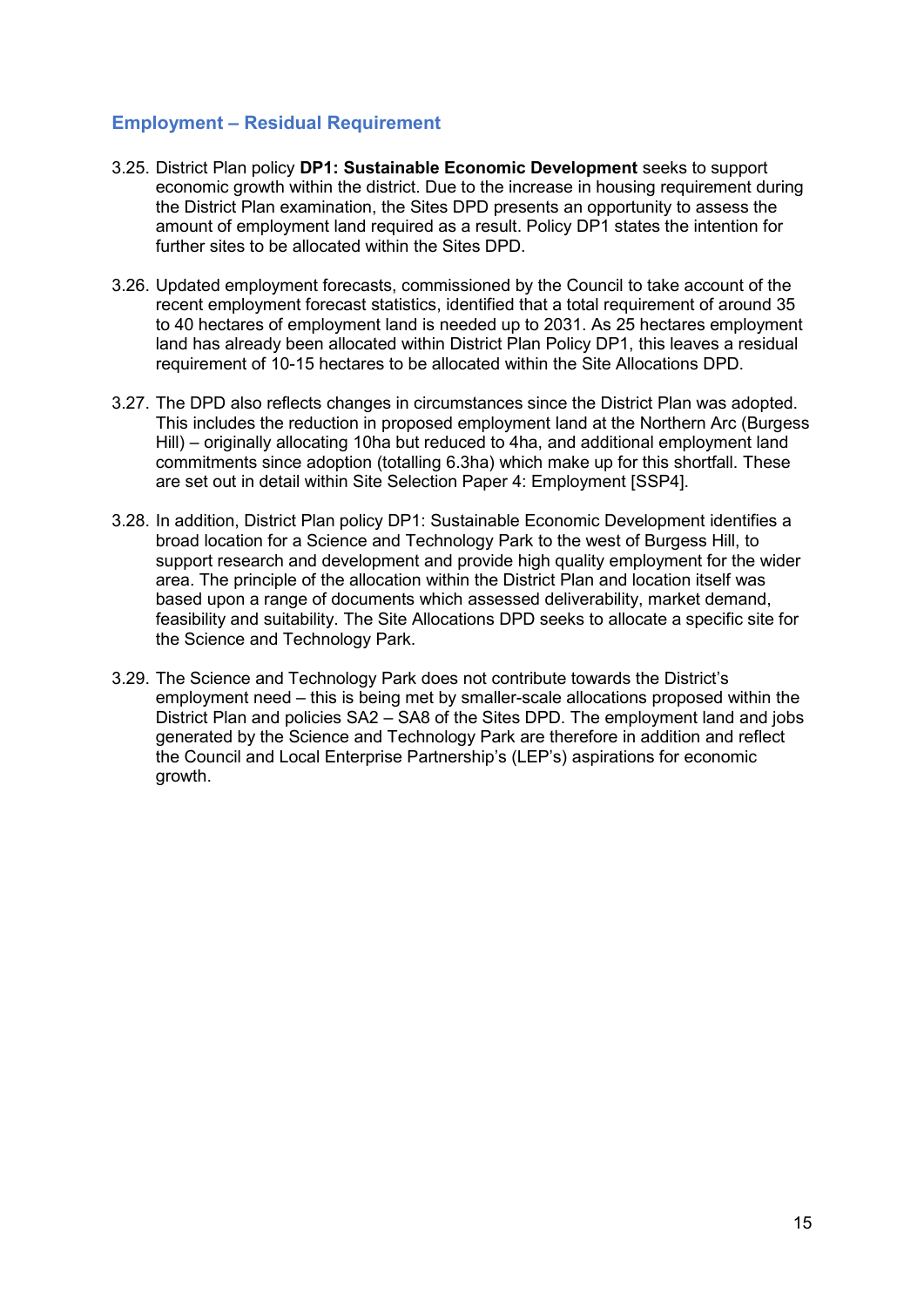#### <span id="page-16-0"></span>**Employment – Residual Requirement**

- 3.25. District Plan policy **DP1: Sustainable Economic Development** seeks to support economic growth within the district. Due to the increase in housing requirement during the District Plan examination, the Sites DPD presents an opportunity to assess the amount of employment land required as a result. Policy DP1 states the intention for further sites to be allocated within the Sites DPD.
- 3.26. Updated employment forecasts, commissioned by the Council to take account of the recent employment forecast statistics, identified that a total requirement of around 35 to 40 hectares of employment land is needed up to 2031. As 25 hectares employment land has already been allocated within District Plan Policy DP1, this leaves a residual requirement of 10-15 hectares to be allocated within the Site Allocations DPD.
- 3.27. The DPD also reflects changes in circumstances since the District Plan was adopted. This includes the reduction in proposed employment land at the Northern Arc (Burgess Hill) – originally allocating 10ha but reduced to 4ha, and additional employment land commitments since adoption (totalling 6.3ha) which make up for this shortfall. These are set out in detail within Site Selection Paper 4: Employment [SSP4].
- 3.28. In addition, District Plan policy DP1: Sustainable Economic Development identifies a broad location for a Science and Technology Park to the west of Burgess Hill, to support research and development and provide high quality employment for the wider area. The principle of the allocation within the District Plan and location itself was based upon a range of documents which assessed deliverability, market demand, feasibility and suitability. The Site Allocations DPD seeks to allocate a specific site for the Science and Technology Park.
- 3.29. The Science and Technology Park does not contribute towards the District's employment need – this is being met by smaller-scale allocations proposed within the District Plan and policies SA2 – SA8 of the Sites DPD. The employment land and jobs generated by the Science and Technology Park are therefore in addition and reflect the Council and Local Enterprise Partnership's (LEP's) aspirations for economic growth.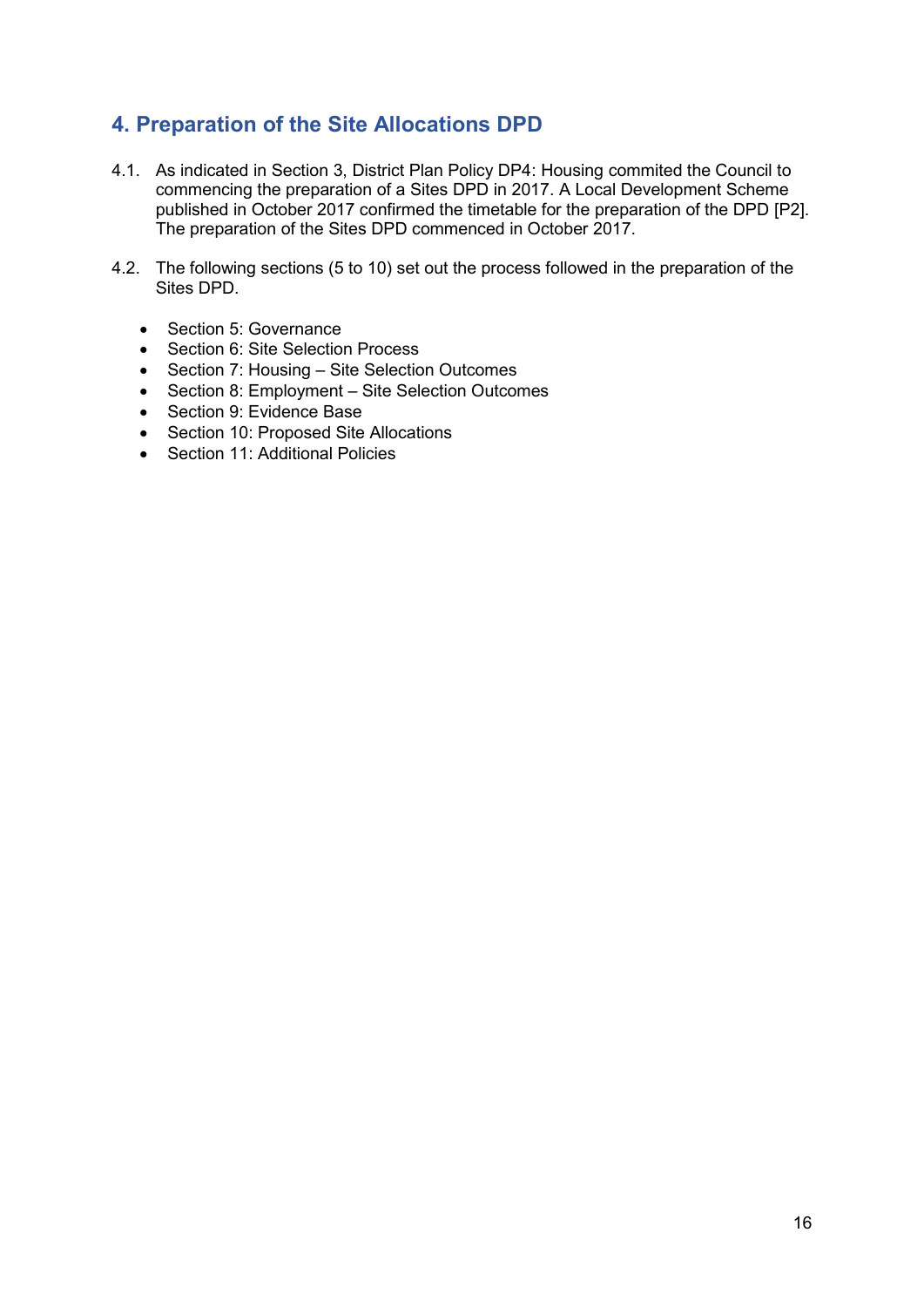## <span id="page-17-0"></span>**4. Preparation of the Site Allocations DPD**

- 4.1. As indicated in Section 3, District Plan Policy DP4: Housing commited the Council to commencing the preparation of a Sites DPD in 2017. A Local Development Scheme published in October 2017 confirmed the timetable for the preparation of the DPD [P2]. The preparation of the Sites DPD commenced in October 2017.
- 4.2. The following sections (5 to 10) set out the process followed in the preparation of the Sites DPD.
	- Section 5: Governance
	- Section 6: Site Selection Process
	- Section 7: Housing Site Selection Outcomes
	- Section 8: Employment Site Selection Outcomes
	- Section 9: Evidence Base
	- Section 10: Proposed Site Allocations
	- Section 11: Additional Policies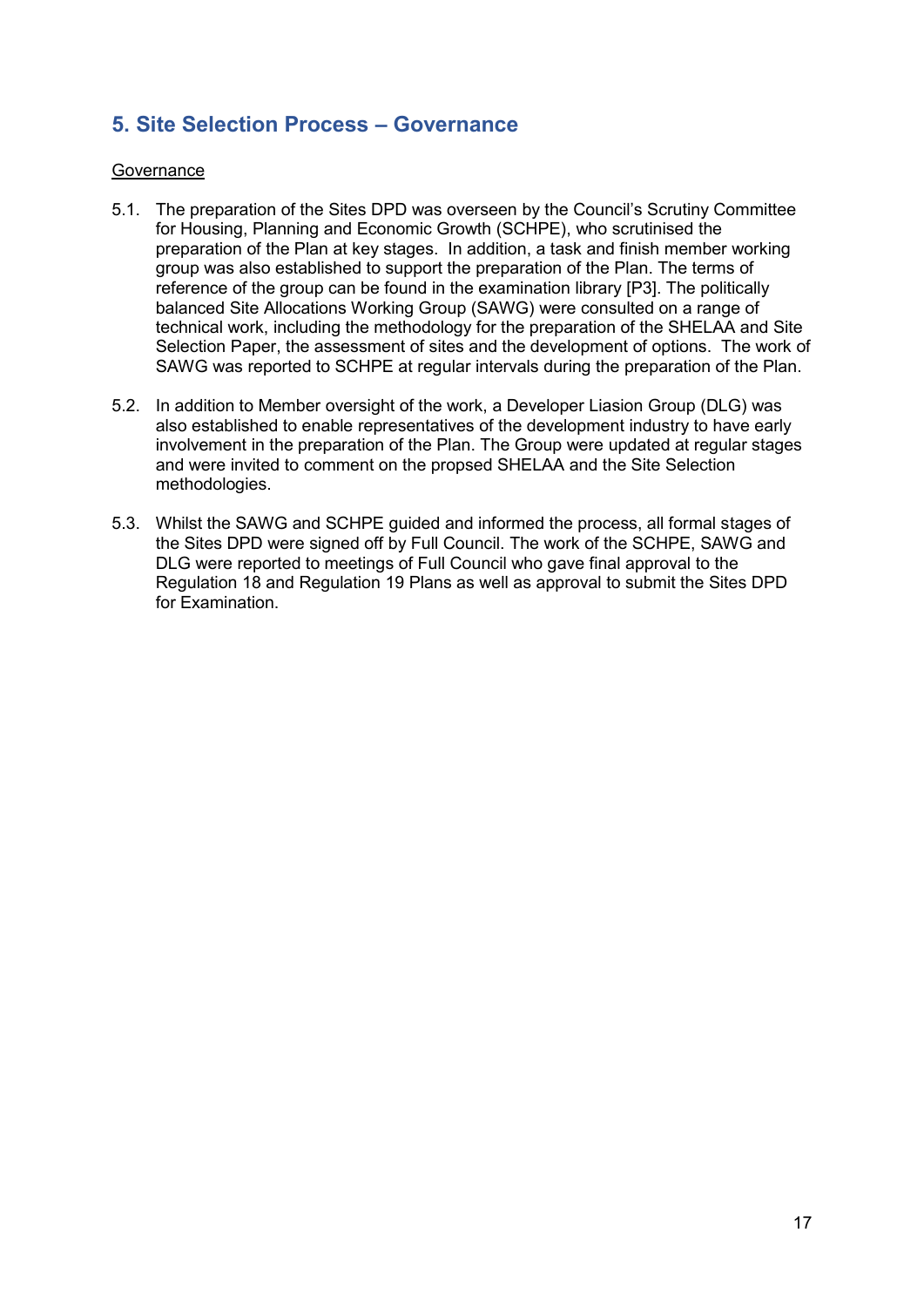## <span id="page-18-0"></span>**5. Site Selection Process – Governance**

#### **Governance**

- 5.1. The preparation of the Sites DPD was overseen by the Council's Scrutiny Committee for Housing, Planning and Economic Growth (SCHPE), who scrutinised the preparation of the Plan at key stages. In addition, a task and finish member working group was also established to support the preparation of the Plan. The terms of reference of the group can be found in the examination library [P3]. The politically balanced Site Allocations Working Group (SAWG) were consulted on a range of technical work, including the methodology for the preparation of the SHELAA and Site Selection Paper, the assessment of sites and the development of options. The work of SAWG was reported to SCHPE at regular intervals during the preparation of the Plan.
- 5.2. In addition to Member oversight of the work, a Developer Liasion Group (DLG) was also established to enable representatives of the development industry to have early involvement in the preparation of the Plan. The Group were updated at regular stages and were invited to comment on the propsed SHELAA and the Site Selection methodologies.
- 5.3. Whilst the SAWG and SCHPE guided and informed the process, all formal stages of the Sites DPD were signed off by Full Council. The work of the SCHPE, SAWG and DLG were reported to meetings of Full Council who gave final approval to the Regulation 18 and Regulation 19 Plans as well as approval to submit the Sites DPD for Examination.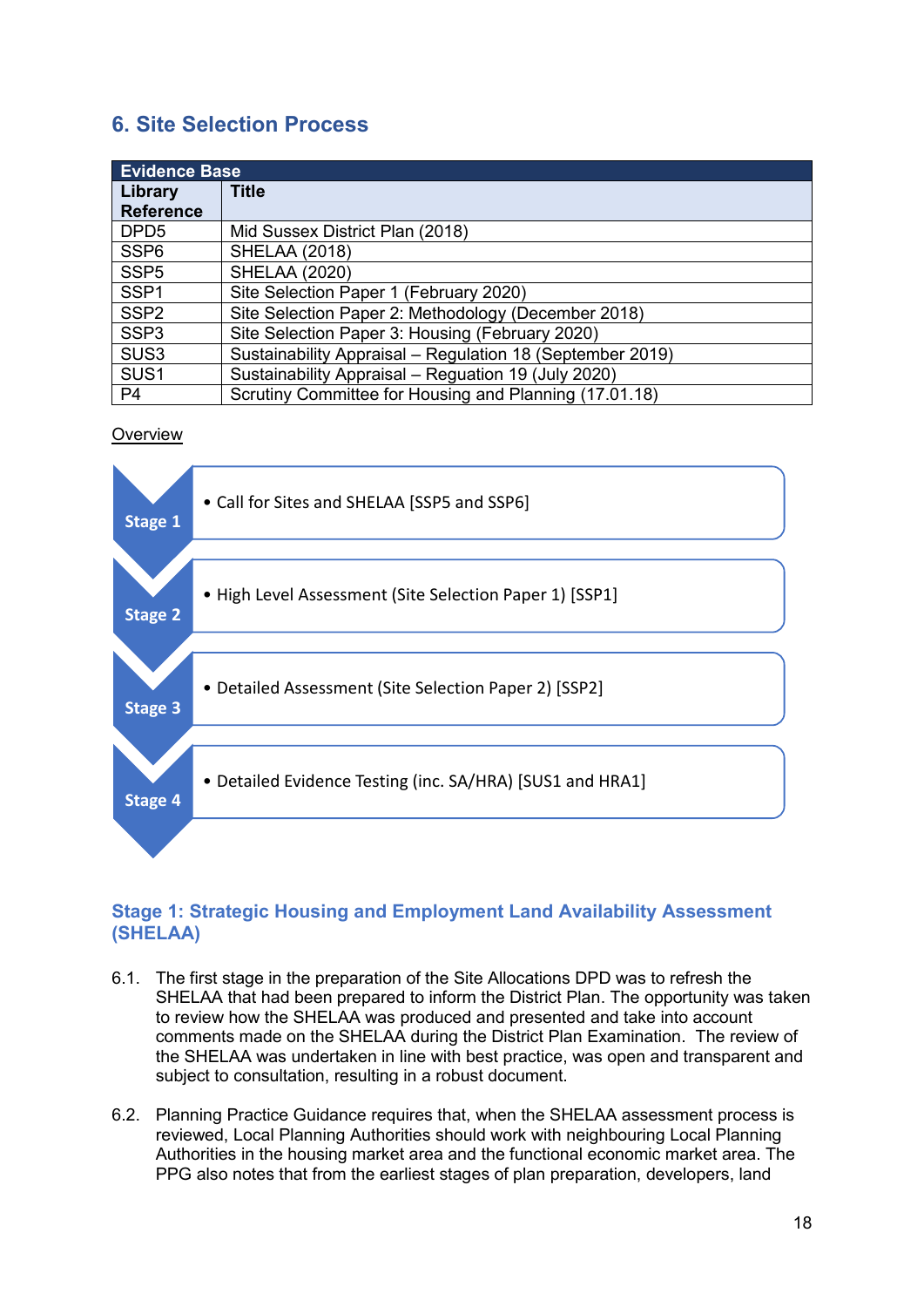## <span id="page-19-0"></span>**6. Site Selection Process**

| <b>Evidence Base</b> |                                                           |  |
|----------------------|-----------------------------------------------------------|--|
| Library              | <b>Title</b>                                              |  |
| <b>Reference</b>     |                                                           |  |
| DPD <sub>5</sub>     | Mid Sussex District Plan (2018)                           |  |
| SSP <sub>6</sub>     | <b>SHELAA (2018)</b>                                      |  |
| SSP <sub>5</sub>     | <b>SHELAA (2020)</b>                                      |  |
| SSP <sub>1</sub>     | Site Selection Paper 1 (February 2020)                    |  |
| SSP <sub>2</sub>     | Site Selection Paper 2: Methodology (December 2018)       |  |
| SSP <sub>3</sub>     | Site Selection Paper 3: Housing (February 2020)           |  |
| SUS <sub>3</sub>     | Sustainability Appraisal - Regulation 18 (September 2019) |  |
| SUS <sub>1</sub>     | Sustainability Appraisal - Reguation 19 (July 2020)       |  |
| P <sub>4</sub>       | Scrutiny Committee for Housing and Planning (17.01.18)    |  |

#### **Overview**



#### <span id="page-19-1"></span>**Stage 1: Strategic Housing and Employment Land Availability Assessment (SHELAA)**

- 6.1. The first stage in the preparation of the Site Allocations DPD was to refresh the SHELAA that had been prepared to inform the District Plan. The opportunity was taken to review how the SHELAA was produced and presented and take into account comments made on the SHELAA during the District Plan Examination. The review of the SHELAA was undertaken in line with best practice, was open and transparent and subject to consultation, resulting in a robust document.
- 6.2. Planning Practice Guidance requires that, when the SHELAA assessment process is reviewed, Local Planning Authorities should work with neighbouring Local Planning Authorities in the housing market area and the functional economic market area. The PPG also notes that from the earliest stages of plan preparation, developers, land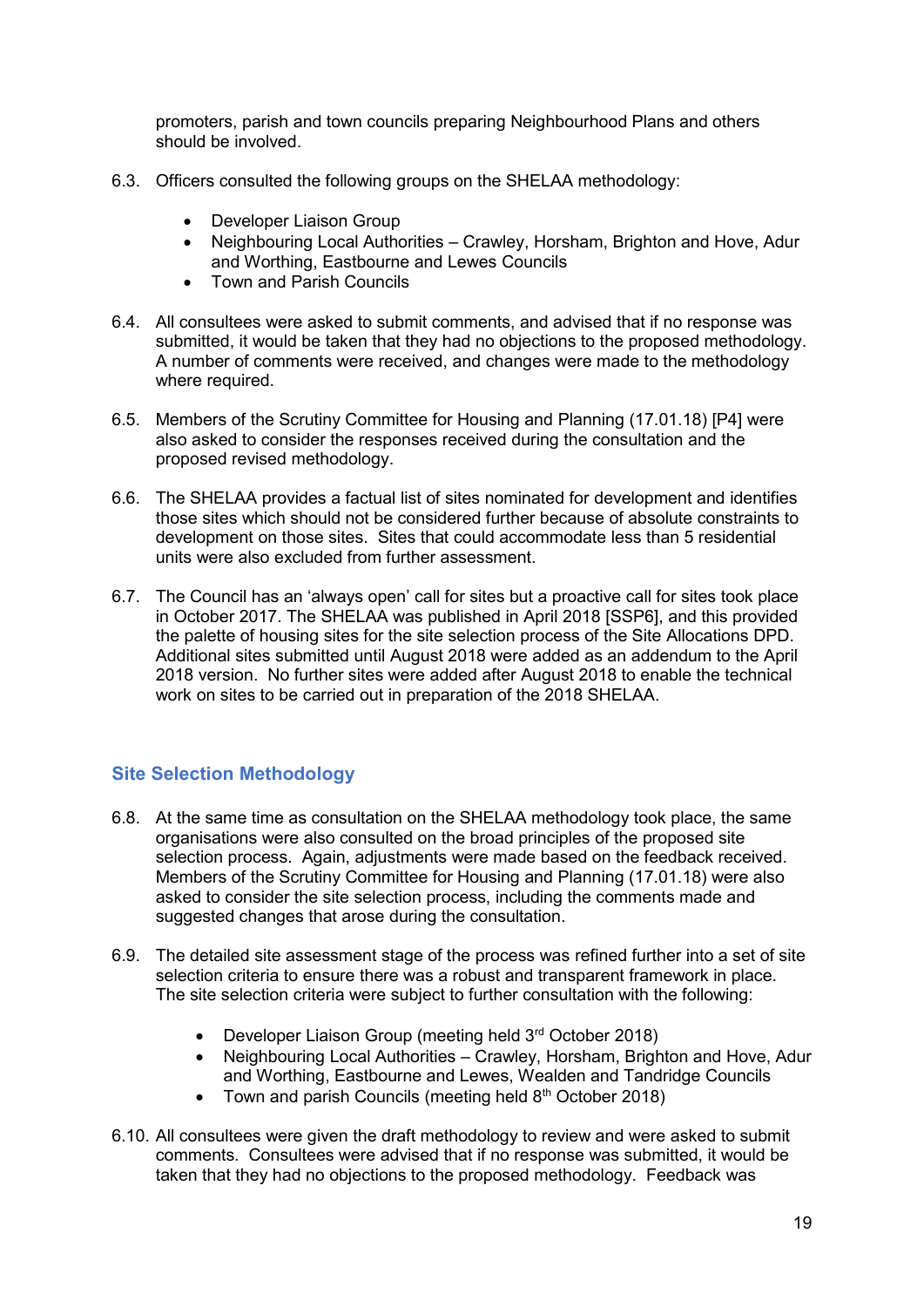promoters, parish and town councils preparing Neighbourhood Plans and others should be involved.

- 6.3. Officers consulted the following groups on the SHELAA methodology:
	- Developer Liaison Group
	- Neighbouring Local Authorities Crawley, Horsham, Brighton and Hove, Adur and Worthing, Eastbourne and Lewes Councils
	- Town and Parish Councils
- 6.4. All consultees were asked to submit comments, and advised that if no response was submitted, it would be taken that they had no objections to the proposed methodology. A number of comments were received, and changes were made to the methodology where required.
- 6.5. Members of the Scrutiny Committee for Housing and Planning (17.01.18) [P4] were also asked to consider the responses received during the consultation and the proposed revised methodology.
- 6.6. The SHELAA provides a factual list of sites nominated for development and identifies those sites which should not be considered further because of absolute constraints to development on those sites. Sites that could accommodate less than 5 residential units were also excluded from further assessment.
- 6.7. The Council has an 'always open' call for sites but a proactive call for sites took place in October 2017. The SHELAA was published in April 2018 [SSP6], and this provided the palette of housing sites for the site selection process of the Site Allocations DPD. Additional sites submitted until August 2018 were added as an addendum to the April 2018 version. No further sites were added after August 2018 to enable the technical work on sites to be carried out in preparation of the 2018 SHELAA.

#### <span id="page-20-0"></span>**Site Selection Methodology**

- 6.8. At the same time as consultation on the SHELAA methodology took place, the same organisations were also consulted on the broad principles of the proposed site selection process. Again, adjustments were made based on the feedback received. Members of the Scrutiny Committee for Housing and Planning (17.01.18) were also asked to consider the site selection process, including the comments made and suggested changes that arose during the consultation.
- 6.9. The detailed site assessment stage of the process was refined further into a set of site selection criteria to ensure there was a robust and transparent framework in place. The site selection criteria were subject to further consultation with the following:
	- Developer Liaison Group (meeting held 3<sup>rd</sup> October 2018)
	- Neighbouring Local Authorities Crawley, Horsham, Brighton and Hove, Adur and Worthing, Eastbourne and Lewes, Wealden and Tandridge Councils
	- Town and parish Councils (meeting held  $8<sup>th</sup>$  October 2018)
- 6.10. All consultees were given the draft methodology to review and were asked to submit comments. Consultees were advised that if no response was submitted, it would be taken that they had no objections to the proposed methodology. Feedback was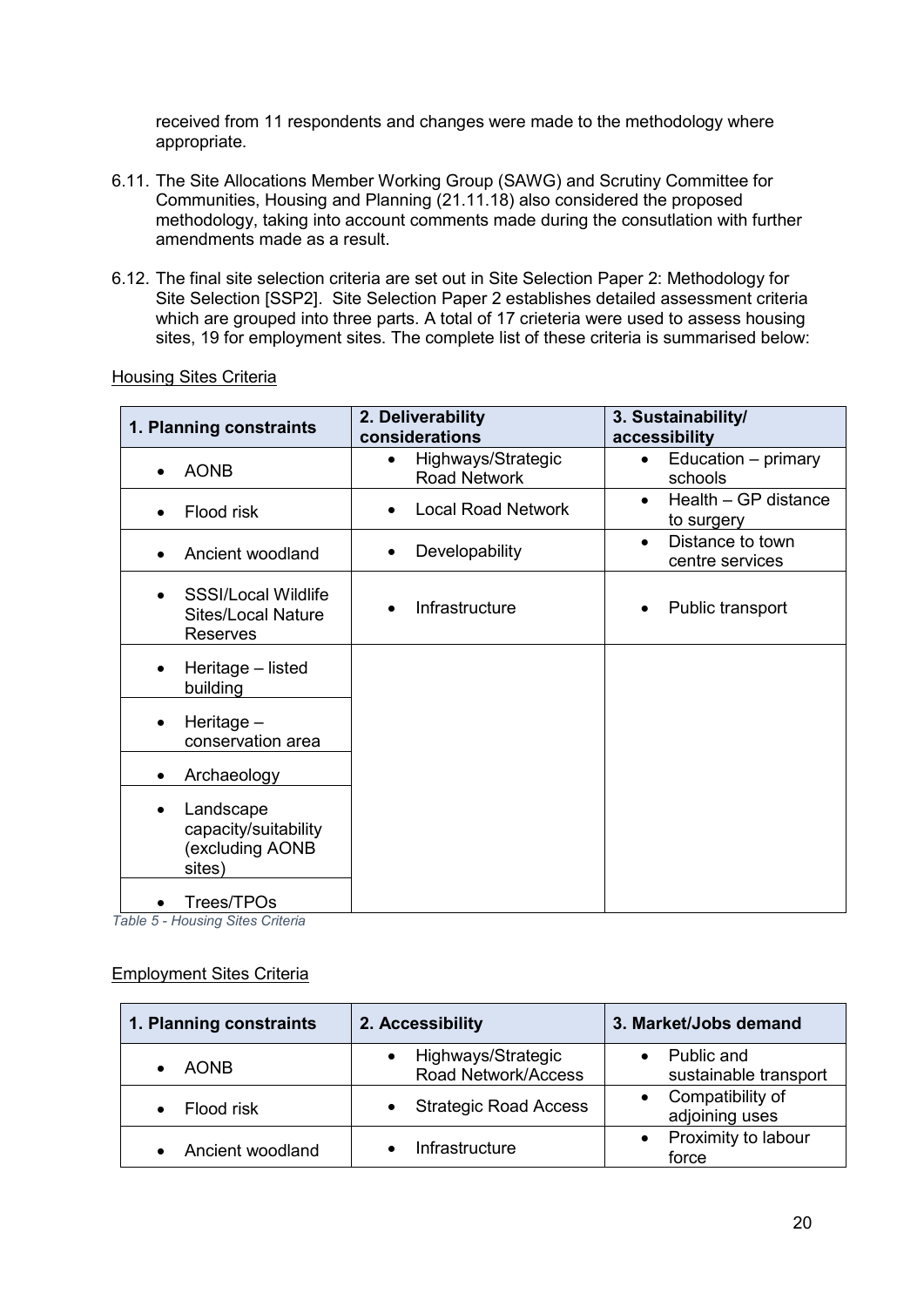received from 11 respondents and changes were made to the methodology where appropriate.

- 6.11. The Site Allocations Member Working Group (SAWG) and Scrutiny Committee for Communities, Housing and Planning (21.11.18) also considered the proposed methodology, taking into account comments made during the consutlation with further amendments made as a result.
- 6.12. The final site selection criteria are set out in Site Selection Paper 2: Methodology for Site Selection [SSP2]. Site Selection Paper 2 establishes detailed assessment criteria which are grouped into three parts. A total of 17 crieteria were used to assess housing sites, 19 for employment sites. The complete list of these criteria is summarised below:

#### **1. Planning constraints 2. Deliverability considerations 3. Sustainability/ accessibility** • AONB • Highways/Strategic Road Network • Education – primary schools • Flood risk • Local Road Network • Health – GP distance to surgery • Ancient woodland  $\begin{vmatrix} \cdot & \cdot & \cdot \\ \cdot & \cdot & \cdot \\ \cdot & \cdot & \cdot \end{vmatrix}$  • Distance to town centre services • SSSI/Local Wildlife Sites/Local Nature Reserves • Infrastructure  $\parallel$  • Public transport • Heritage – listed building • Heritage – conservation area • Archaeology **Landscape** capacity/suitability (excluding AONB sites) • Trees/TPOs

#### Housing Sites Criteria

*Table 5 - Housing Sites Criteria*

#### Employment Sites Criteria

| 1. Planning constraints | 2. Accessibility                          | 3. Market/Jobs demand               |
|-------------------------|-------------------------------------------|-------------------------------------|
| <b>AONB</b>             | Highways/Strategic<br>Road Network/Access | Public and<br>sustainable transport |
| Flood risk              | <b>Strategic Road Access</b>              | Compatibility of<br>adjoining uses  |
| Ancient woodland        | Infrastructure                            | Proximity to labour<br>force        |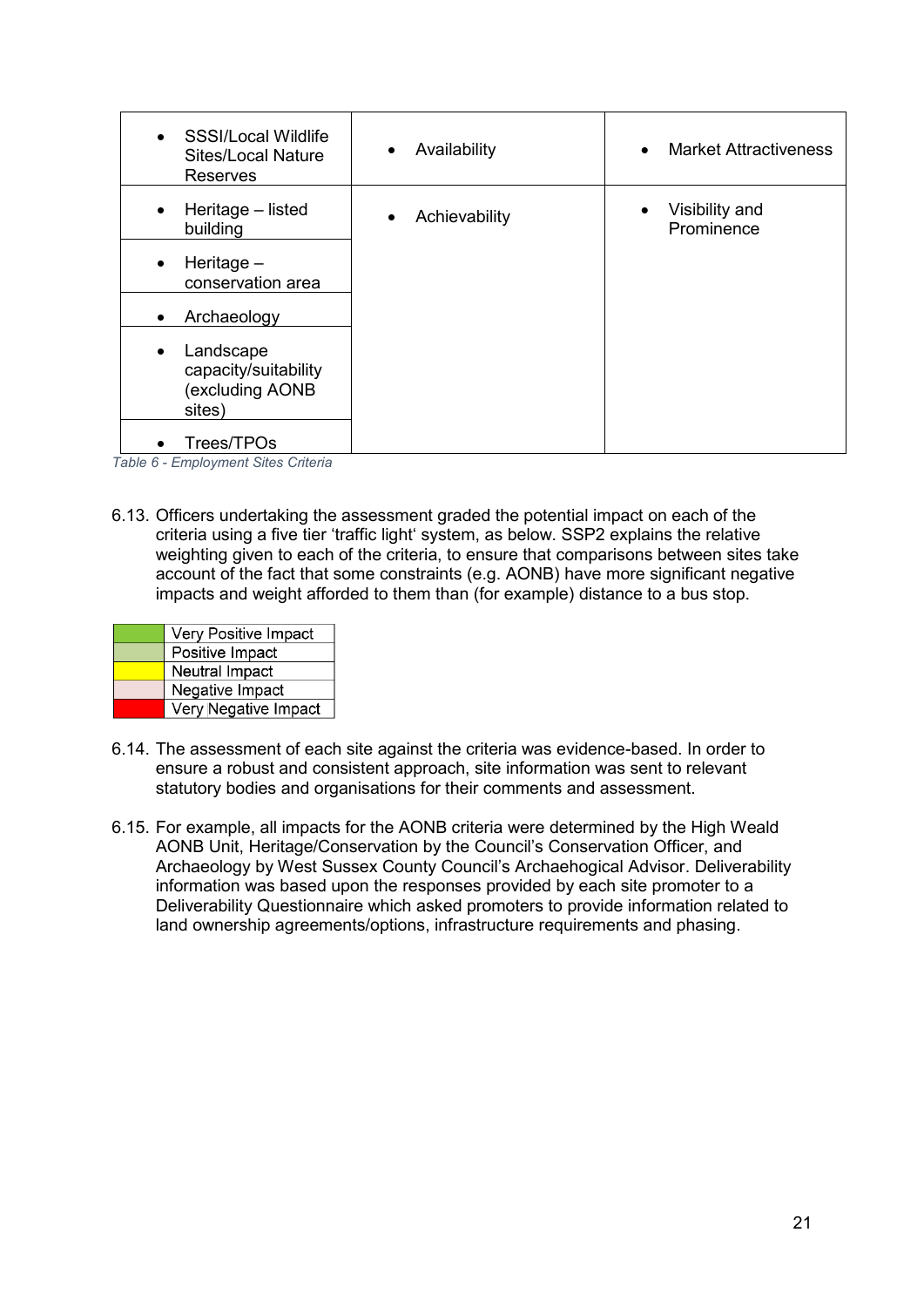| <b>SSSI/Local Wildlife</b><br>$\bullet$<br><b>Sites/Local Nature</b><br>Reserves | Availability<br>٠ | <b>Market Attractiveness</b><br>$\bullet$ |
|----------------------------------------------------------------------------------|-------------------|-------------------------------------------|
| Heritage - listed<br>$\bullet$<br>building                                       | Achievability     | Visibility and<br>$\bullet$<br>Prominence |
| Heritage $-$<br>٠<br>conservation area                                           |                   |                                           |
| Archaeology<br>٠                                                                 |                   |                                           |
| Landscape<br>٠<br>capacity/suitability<br>(excluding AONB<br>sites)              |                   |                                           |
| Trees/TPOs<br>$\bullet$                                                          |                   |                                           |

*Table 6 - Employment Sites Criteria*

6.13. Officers undertaking the assessment graded the potential impact on each of the criteria using a five tier 'traffic light' system, as below. SSP2 explains the relative weighting given to each of the criteria, to ensure that comparisons between sites take account of the fact that some constraints (e.g. AONB) have more significant negative impacts and weight afforded to them than (for example) distance to a bus stop.

| Very Positive Impact |  |  |
|----------------------|--|--|
| Positive Impact      |  |  |
| Neutral Impact       |  |  |
| Negative Impact      |  |  |
| Very Negative Impact |  |  |

- 6.14. The assessment of each site against the criteria was evidence-based. In order to ensure a robust and consistent approach, site information was sent to relevant statutory bodies and organisations for their comments and assessment.
- 6.15. For example, all impacts for the AONB criteria were determined by the High Weald AONB Unit, Heritage/Conservation by the Council's Conservation Officer, and Archaeology by West Sussex County Council's Archaehogical Advisor. Deliverability information was based upon the responses provided by each site promoter to a Deliverability Questionnaire which asked promoters to provide information related to land ownership agreements/options, infrastructure requirements and phasing.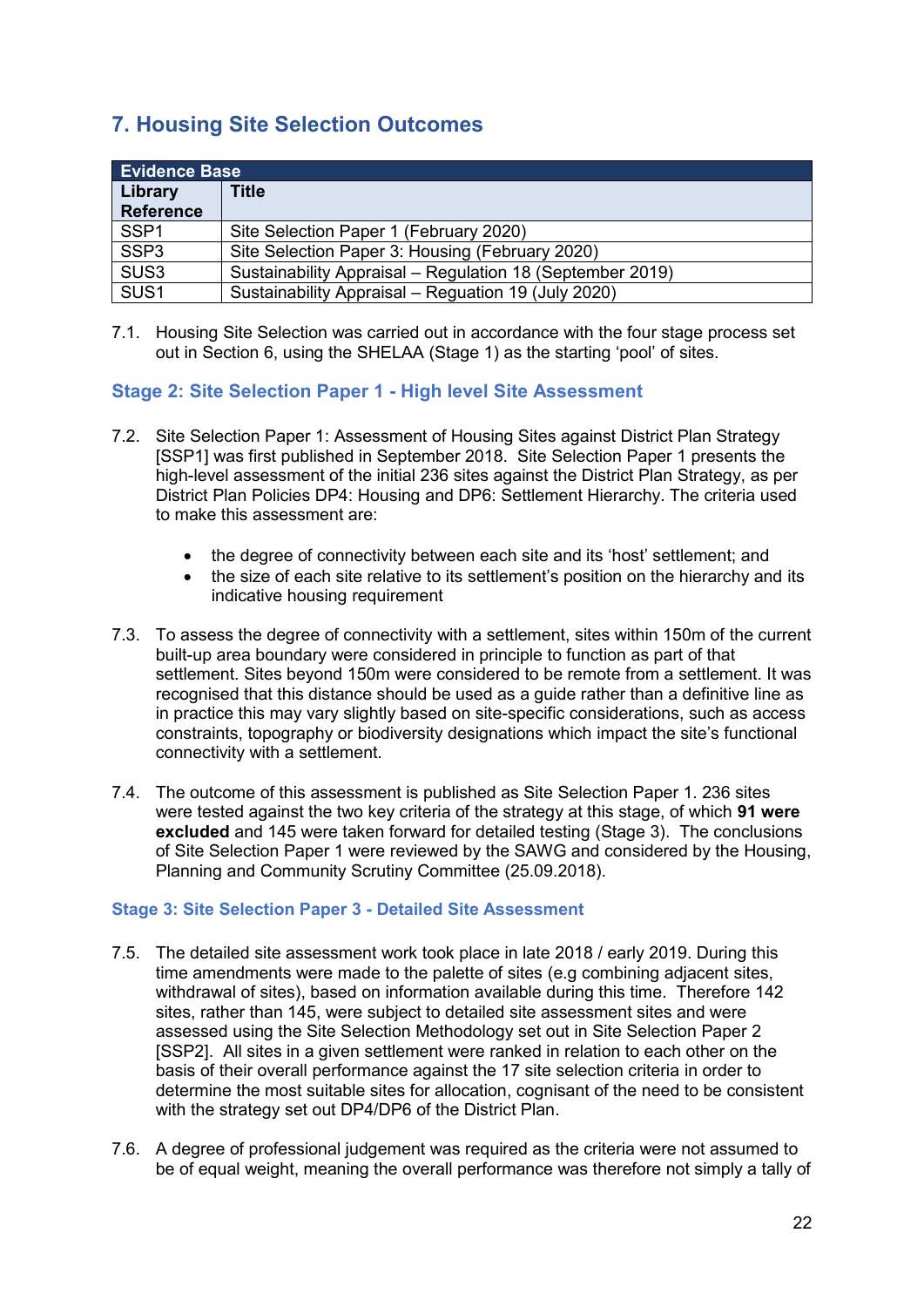## <span id="page-23-0"></span>**7. Housing Site Selection Outcomes**

| <b>Evidence Base</b>        |                                                           |
|-----------------------------|-----------------------------------------------------------|
| Library<br><b>Reference</b> | <b>Title</b>                                              |
|                             |                                                           |
| SSP <sub>1</sub>            | Site Selection Paper 1 (February 2020)                    |
| SSP <sub>3</sub>            | Site Selection Paper 3: Housing (February 2020)           |
| SUS <sub>3</sub>            | Sustainability Appraisal - Regulation 18 (September 2019) |
| SUS <sub>1</sub>            | Sustainability Appraisal - Reguation 19 (July 2020)       |

7.1. Housing Site Selection was carried out in accordance with the four stage process set out in Section 6, using the SHELAA (Stage 1) as the starting 'pool' of sites.

#### <span id="page-23-1"></span>**Stage 2: Site Selection Paper 1 - High level Site Assessment**

- 7.2. Site Selection Paper 1: Assessment of Housing Sites against District Plan Strategy [SSP1] was first published in September 2018. Site Selection Paper 1 presents the high-level assessment of the initial 236 sites against the District Plan Strategy, as per District Plan Policies DP4: Housing and DP6: Settlement Hierarchy. The criteria used to make this assessment are:
	- the degree of connectivity between each site and its 'host' settlement: and
	- the size of each site relative to its settlement's position on the hierarchy and its indicative housing requirement
- 7.3. To assess the degree of connectivity with a settlement, sites within 150m of the current built-up area boundary were considered in principle to function as part of that settlement. Sites beyond 150m were considered to be remote from a settlement. It was recognised that this distance should be used as a guide rather than a definitive line as in practice this may vary slightly based on site-specific considerations, such as access constraints, topography or biodiversity designations which impact the site's functional connectivity with a settlement.
- 7.4. The outcome of this assessment is published as Site Selection Paper 1. 236 sites were tested against the two key criteria of the strategy at this stage, of which **91 were excluded** and 145 were taken forward for detailed testing (Stage 3). The conclusions of Site Selection Paper 1 were reviewed by the SAWG and considered by the Housing, Planning and Community Scrutiny Committee (25.09.2018).

#### <span id="page-23-2"></span>**Stage 3: Site Selection Paper 3 - Detailed Site Assessment**

- 7.5. The detailed site assessment work took place in late 2018 / early 2019. During this time amendments were made to the palette of sites (e.g combining adjacent sites, withdrawal of sites), based on information available during this time. Therefore 142 sites, rather than 145, were subject to detailed site assessment sites and were assessed using the Site Selection Methodology set out in Site Selection Paper 2 [SSP2]. All sites in a given settlement were ranked in relation to each other on the basis of their overall performance against the 17 site selection criteria in order to determine the most suitable sites for allocation, cognisant of the need to be consistent with the strategy set out DP4/DP6 of the District Plan.
- 7.6. A degree of professional judgement was required as the criteria were not assumed to be of equal weight, meaning the overall performance was therefore not simply a tally of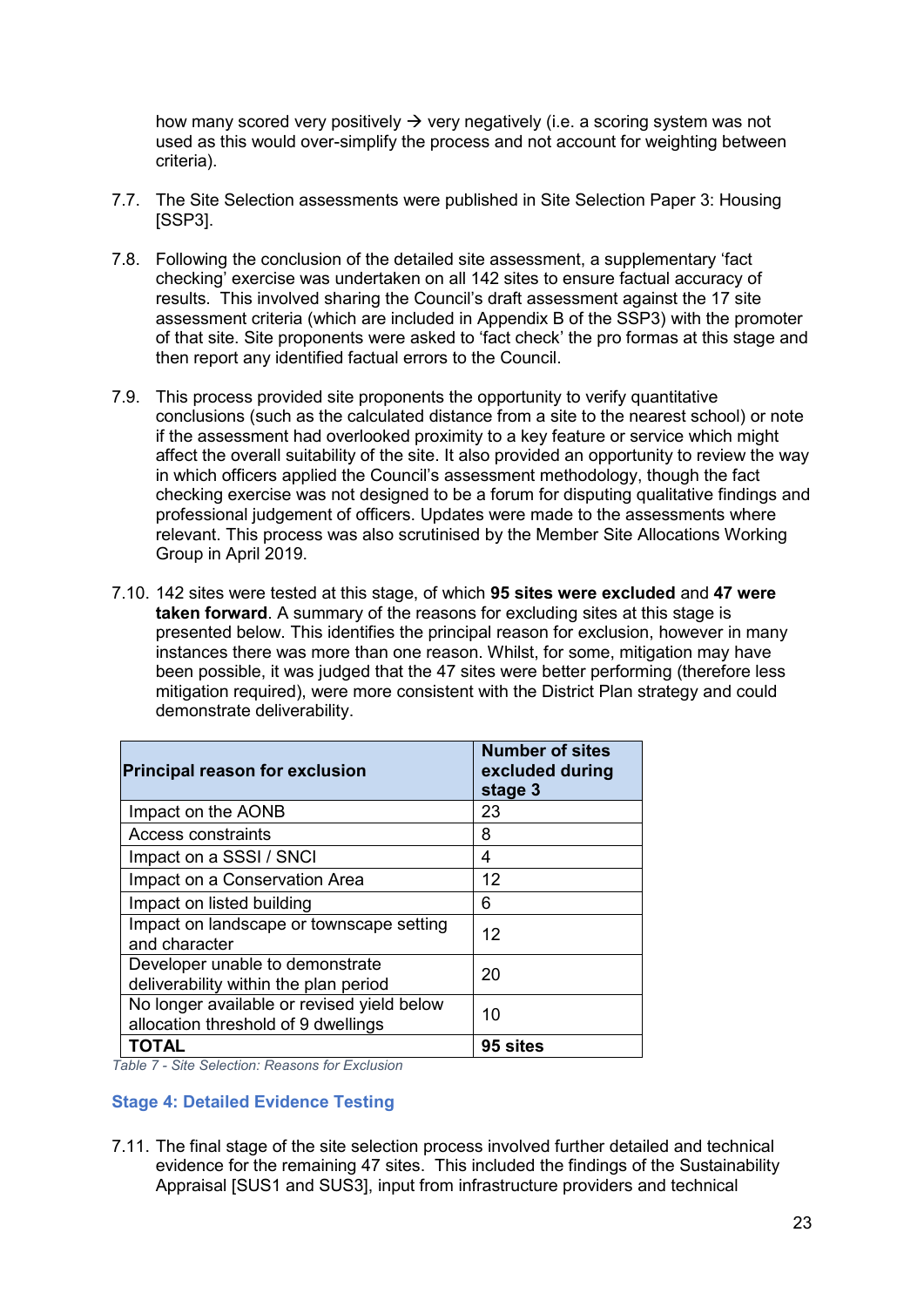how many scored very positively  $\rightarrow$  very negatively (i.e. a scoring system was not used as this would over-simplify the process and not account for weighting between criteria).

- 7.7. The Site Selection assessments were published in Site Selection Paper 3: Housing [SSP3].
- 7.8. Following the conclusion of the detailed site assessment, a supplementary 'fact checking' exercise was undertaken on all 142 sites to ensure factual accuracy of results. This involved sharing the Council's draft assessment against the 17 site assessment criteria (which are included in Appendix B of the SSP3) with the promoter of that site. Site proponents were asked to 'fact check' the pro formas at this stage and then report any identified factual errors to the Council.
- 7.9. This process provided site proponents the opportunity to verify quantitative conclusions (such as the calculated distance from a site to the nearest school) or note if the assessment had overlooked proximity to a key feature or service which might affect the overall suitability of the site. It also provided an opportunity to review the way in which officers applied the Council's assessment methodology, though the fact checking exercise was not designed to be a forum for disputing qualitative findings and professional judgement of officers. Updates were made to the assessments where relevant. This process was also scrutinised by the Member Site Allocations Working Group in April 2019.
- 7.10. 142 sites were tested at this stage, of which **95 sites were excluded** and **47 were taken forward**. A summary of the reasons for excluding sites at this stage is presented below. This identifies the principal reason for exclusion, however in many instances there was more than one reason. Whilst, for some, mitigation may have been possible, it was judged that the 47 sites were better performing (therefore less mitigation required), were more consistent with the District Plan strategy and could demonstrate deliverability.

| <b>Principal reason for exclusion</b>                                             | <b>Number of sites</b><br>excluded during<br>stage 3 |
|-----------------------------------------------------------------------------------|------------------------------------------------------|
| Impact on the AONB                                                                | 23                                                   |
| Access constraints                                                                | 8                                                    |
| Impact on a SSSI / SNCI                                                           | 4                                                    |
| Impact on a Conservation Area                                                     | 12                                                   |
| Impact on listed building                                                         | 6                                                    |
| Impact on landscape or townscape setting<br>and character                         | 12                                                   |
| Developer unable to demonstrate<br>deliverability within the plan period          | 20                                                   |
| No longer available or revised yield below<br>allocation threshold of 9 dwellings | 10                                                   |
| <b>TOTAL</b>                                                                      | 95 sites                                             |

*Table 7 - Site Selection: Reasons for Exclusion*

#### <span id="page-24-0"></span>**Stage 4: Detailed Evidence Testing**

7.11. The final stage of the site selection process involved further detailed and technical evidence for the remaining 47 sites. This included the findings of the Sustainability Appraisal [SUS1 and SUS3], input from infrastructure providers and technical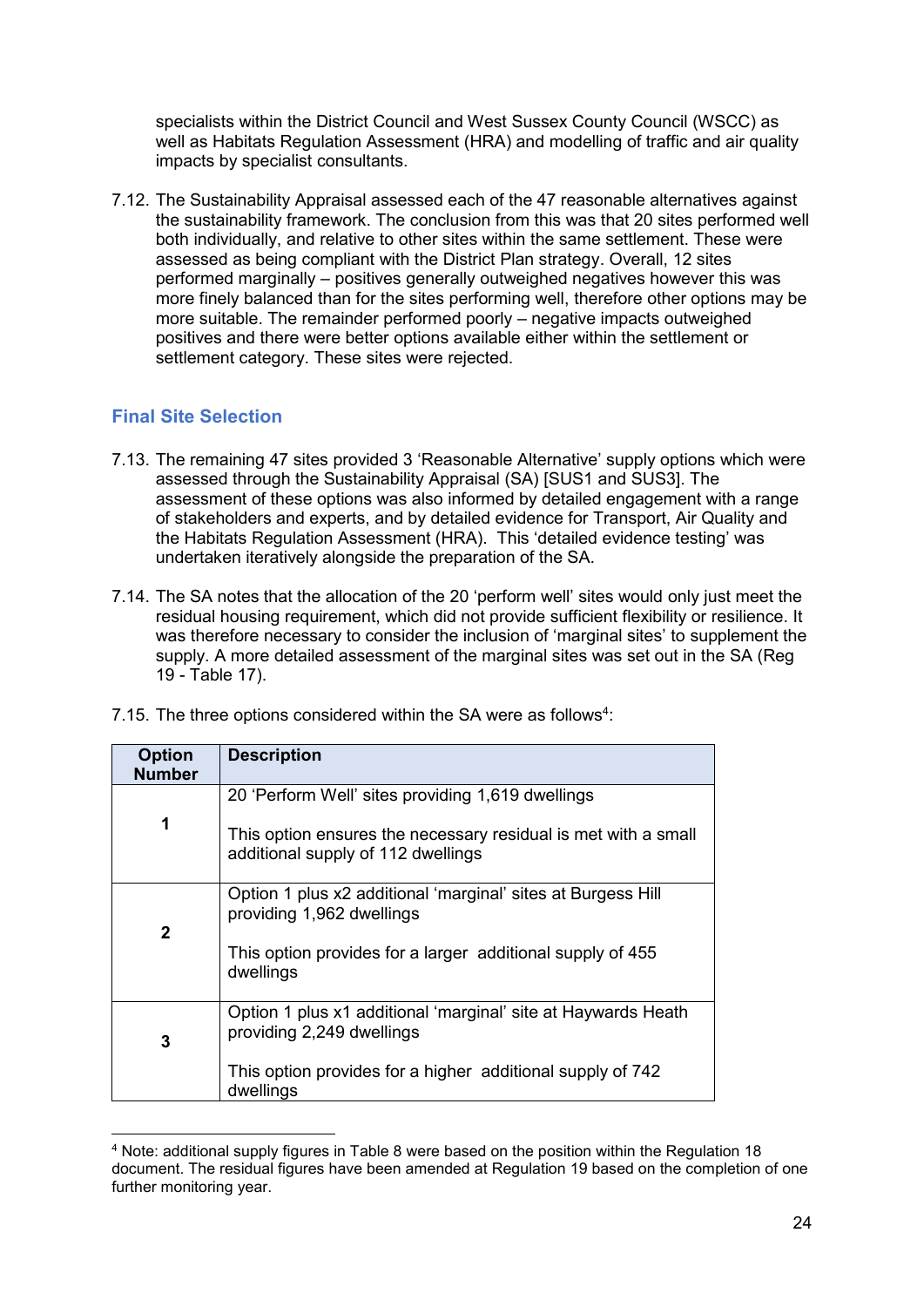specialists within the District Council and West Sussex County Council (WSCC) as well as Habitats Regulation Assessment (HRA) and modelling of traffic and air quality impacts by specialist consultants.

7.12. The Sustainability Appraisal assessed each of the 47 reasonable alternatives against the sustainability framework. The conclusion from this was that 20 sites performed well both individually, and relative to other sites within the same settlement. These were assessed as being compliant with the District Plan strategy. Overall, 12 sites performed marginally – positives generally outweighed negatives however this was more finely balanced than for the sites performing well, therefore other options may be more suitable. The remainder performed poorly – negative impacts outweighed positives and there were better options available either within the settlement or settlement category. These sites were rejected.

#### <span id="page-25-0"></span>**Final Site Selection**

-

- 7.13. The remaining 47 sites provided 3 'Reasonable Alternative' supply options which were assessed through the Sustainability Appraisal (SA) [SUS1 and SUS3]. The assessment of these options was also informed by detailed engagement with a range of stakeholders and experts, and by detailed evidence for Transport, Air Quality and the Habitats Regulation Assessment (HRA). This 'detailed evidence testing' was undertaken iteratively alongside the preparation of the SA.
- 7.14. The SA notes that the allocation of the 20 'perform well' sites would only just meet the residual housing requirement, which did not provide sufficient flexibility or resilience. It was therefore necessary to consider the inclusion of 'marginal sites' to supplement the supply. A more detailed assessment of the marginal sites was set out in the SA (Reg 19 - Table 17).

| <b>Option</b><br><b>Number</b> | <b>Description</b>                                                                                   |  |
|--------------------------------|------------------------------------------------------------------------------------------------------|--|
|                                | 20 'Perform Well' sites providing 1,619 dwellings                                                    |  |
| 1                              | This option ensures the necessary residual is met with a small<br>additional supply of 112 dwellings |  |
| $\mathbf{2}$                   | Option 1 plus x2 additional 'marginal' sites at Burgess Hill<br>providing 1,962 dwellings            |  |
|                                | This option provides for a larger additional supply of 455<br>dwellings                              |  |
| 3                              | Option 1 plus x1 additional 'marginal' site at Haywards Heath<br>providing 2,249 dwellings           |  |
|                                | This option provides for a higher additional supply of 742<br>dwellings                              |  |

7.15. The three options considered within the SA were as follows<sup>4</sup>:

<sup>4</sup> Note: additional supply figures in Table 8 were based on the position within the Regulation 18 document. The residual figures have been amended at Regulation 19 based on the completion of one further monitoring year.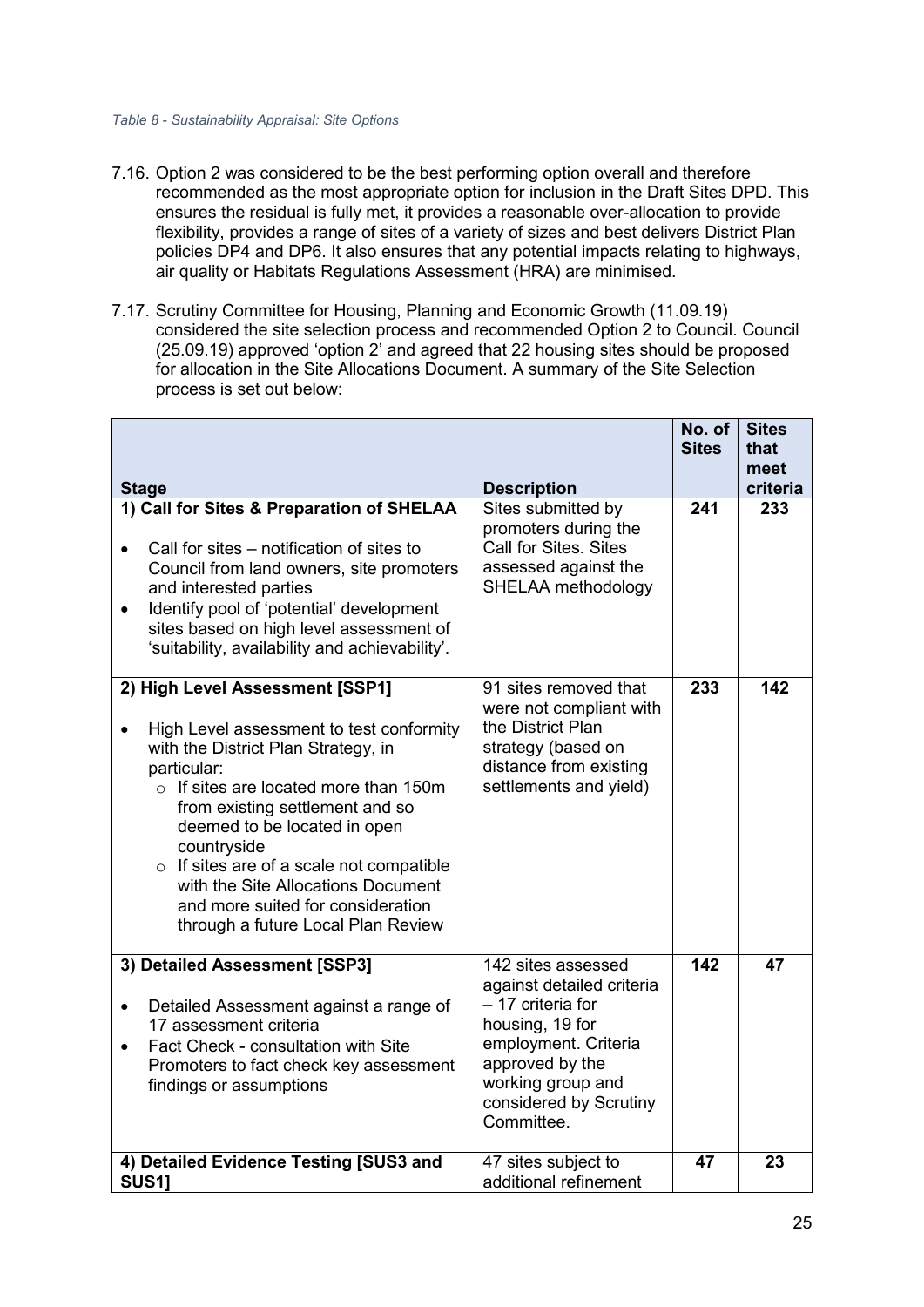#### *Table 8 - Sustainability Appraisal: Site Options*

- 7.16. Option 2 was considered to be the best performing option overall and therefore recommended as the most appropriate option for inclusion in the Draft Sites DPD. This ensures the residual is fully met, it provides a reasonable over-allocation to provide flexibility, provides a range of sites of a variety of sizes and best delivers District Plan policies DP4 and DP6. It also ensures that any potential impacts relating to highways, air quality or Habitats Regulations Assessment (HRA) are minimised.
- 7.17. Scrutiny Committee for Housing, Planning and Economic Growth (11.09.19) considered the site selection process and recommended Option 2 to Council. Council (25.09.19) approved 'option 2' and agreed that 22 housing sites should be proposed for allocation in the Site Allocations Document. A summary of the Site Selection process is set out below:

| <b>Stage</b>                                                                                                                                                                                                                                                                                                                                                                                                                          | <b>Description</b>                                                                                                                                                                              | No. of $ $<br><b>Sites</b> | <b>Sites</b><br>that<br>meet<br>criteria |
|---------------------------------------------------------------------------------------------------------------------------------------------------------------------------------------------------------------------------------------------------------------------------------------------------------------------------------------------------------------------------------------------------------------------------------------|-------------------------------------------------------------------------------------------------------------------------------------------------------------------------------------------------|----------------------------|------------------------------------------|
| 1) Call for Sites & Preparation of SHELAA<br>Call for sites – notification of sites to<br>$\bullet$<br>Council from land owners, site promoters<br>and interested parties<br>Identify pool of 'potential' development<br>$\bullet$<br>sites based on high level assessment of<br>'suitability, availability and achievability'.                                                                                                       | Sites submitted by<br>promoters during the<br>Call for Sites, Sites<br>assessed against the<br>SHELAA methodology                                                                               | 241                        | 233                                      |
| 2) High Level Assessment [SSP1]<br>High Level assessment to test conformity<br>with the District Plan Strategy, in<br>particular:<br>$\circ$ If sites are located more than 150m<br>from existing settlement and so<br>deemed to be located in open<br>countryside<br>$\circ$ If sites are of a scale not compatible<br>with the Site Allocations Document<br>and more suited for consideration<br>through a future Local Plan Review | 91 sites removed that<br>were not compliant with<br>the District Plan<br>strategy (based on<br>distance from existing<br>settlements and yield)                                                 | 233                        | 142                                      |
| 3) Detailed Assessment [SSP3]<br>Detailed Assessment against a range of<br>$\bullet$<br>17 assessment criteria<br>Fact Check - consultation with Site<br>Promoters to fact check key assessment<br>findings or assumptions                                                                                                                                                                                                            | 142 sites assessed<br>against detailed criteria<br>- 17 criteria for<br>housing, 19 for<br>employment. Criteria<br>approved by the<br>working group and<br>considered by Scrutiny<br>Committee. | 142                        | 47                                       |
| 4) Detailed Evidence Testing [SUS3 and<br><b>SUS11</b>                                                                                                                                                                                                                                                                                                                                                                                | 47 sites subject to<br>additional refinement                                                                                                                                                    | 47                         | 23                                       |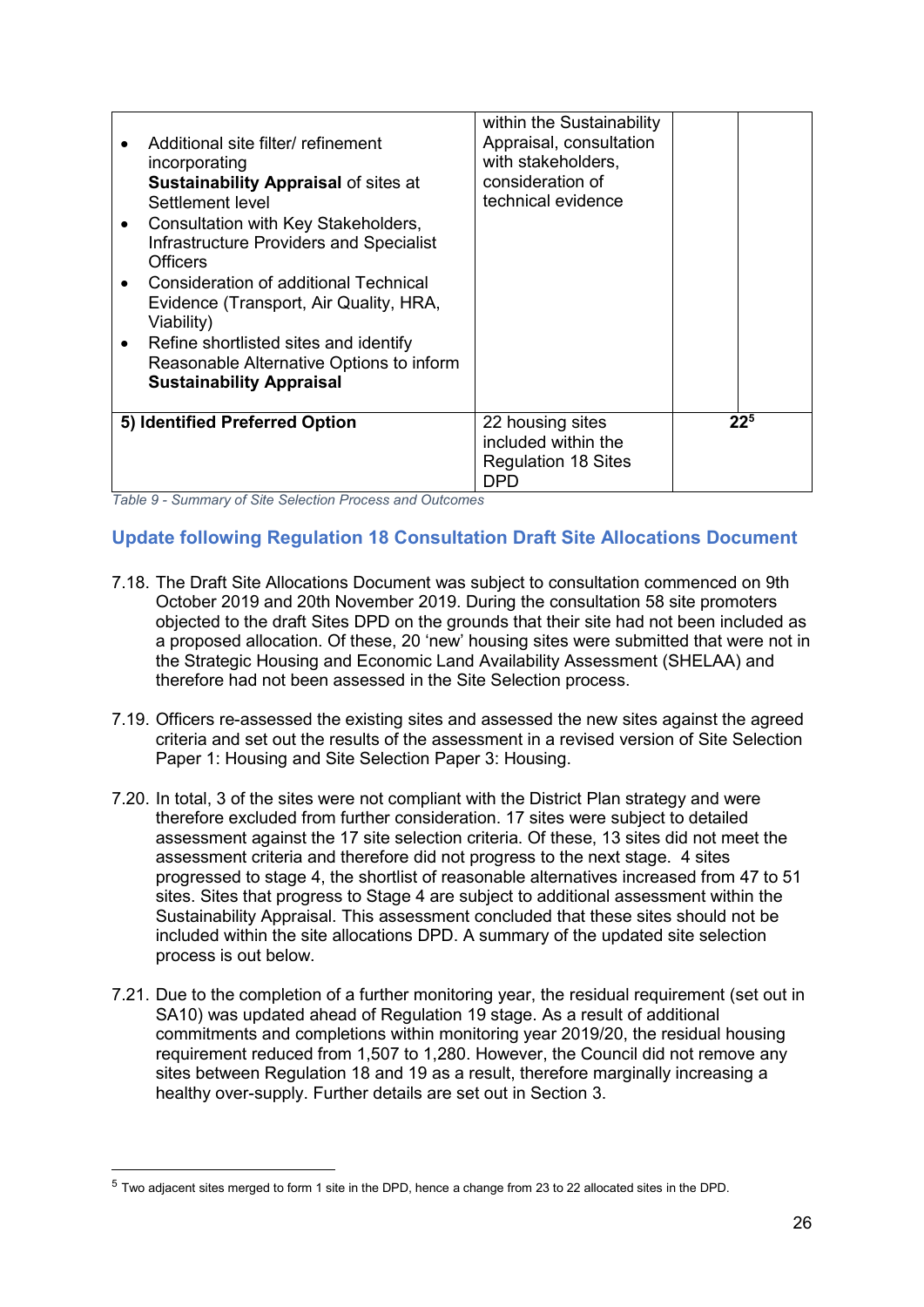| incorporating<br>Settlement level<br>٠<br>Officers<br>$\bullet$<br>Viability)<br>$\bullet$ | Additional site filter/ refinement<br><b>Sustainability Appraisal of sites at</b><br>Consultation with Key Stakeholders,<br><b>Infrastructure Providers and Specialist</b><br>Consideration of additional Technical<br>Evidence (Transport, Air Quality, HRA,<br>Refine shortlisted sites and identify<br>Reasonable Alternative Options to inform<br><b>Sustainability Appraisal</b> | within the Sustainability<br>Appraisal, consultation<br>with stakeholders,<br>consideration of<br>technical evidence |          |  |
|--------------------------------------------------------------------------------------------|---------------------------------------------------------------------------------------------------------------------------------------------------------------------------------------------------------------------------------------------------------------------------------------------------------------------------------------------------------------------------------------|----------------------------------------------------------------------------------------------------------------------|----------|--|
|                                                                                            | 5) Identified Preferred Option                                                                                                                                                                                                                                                                                                                                                        | 22 housing sites<br>included within the<br><b>Regulation 18 Sites</b><br>DPD                                         | $22^{5}$ |  |

*Table 9 - Summary of Site Selection Process and Outcomes*

#### <span id="page-27-0"></span>**Update following Regulation 18 Consultation Draft Site Allocations Document**

- 7.18. The Draft Site Allocations Document was subject to consultation commenced on 9th October 2019 and 20th November 2019. During the consultation 58 site promoters objected to the draft Sites DPD on the grounds that their site had not been included as a proposed allocation. Of these, 20 'new' housing sites were submitted that were not in the Strategic Housing and Economic Land Availability Assessment (SHELAA) and therefore had not been assessed in the Site Selection process.
- 7.19. Officers re-assessed the existing sites and assessed the new sites against the agreed criteria and set out the results of the assessment in a revised version of Site Selection Paper 1: Housing and Site Selection Paper 3: Housing.
- 7.20. In total, 3 of the sites were not compliant with the District Plan strategy and were therefore excluded from further consideration. 17 sites were subject to detailed assessment against the 17 site selection criteria. Of these, 13 sites did not meet the assessment criteria and therefore did not progress to the next stage. 4 sites progressed to stage 4, the shortlist of reasonable alternatives increased from 47 to 51 sites. Sites that progress to Stage 4 are subject to additional assessment within the Sustainability Appraisal. This assessment concluded that these sites should not be included within the site allocations DPD. A summary of the updated site selection process is out below.
- 7.21. Due to the completion of a further monitoring year, the residual requirement (set out in SA10) was updated ahead of Regulation 19 stage. As a result of additional commitments and completions within monitoring year 2019/20, the residual housing requirement reduced from 1,507 to 1,280. However, the Council did not remove any sites between Regulation 18 and 19 as a result, therefore marginally increasing a healthy over-supply. Further details are set out in Section 3.

 $\overline{a}$ 

<sup>5</sup> Two adjacent sites merged to form 1 site in the DPD, hence a change from 23 to 22 allocated sites in the DPD.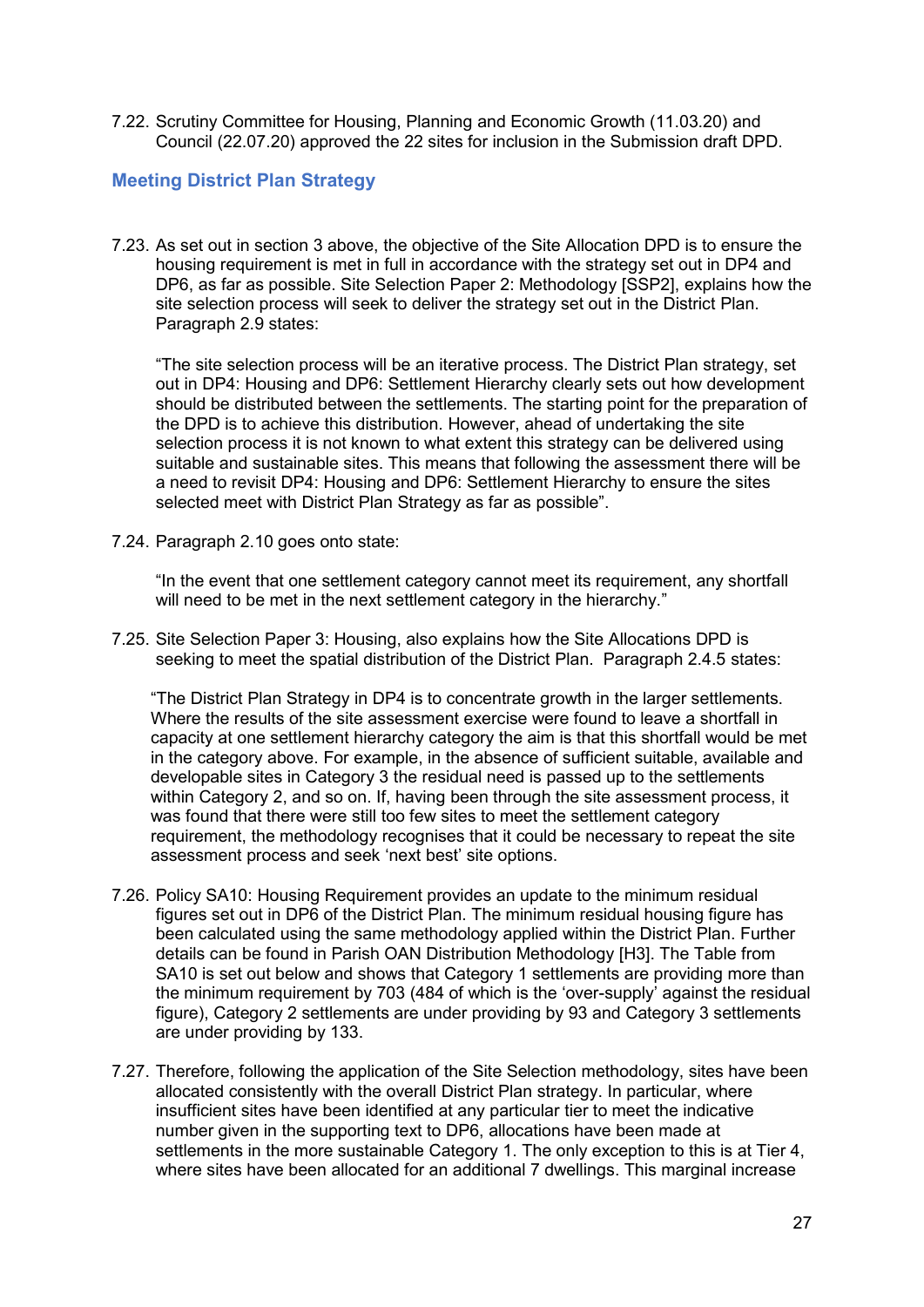7.22. Scrutiny Committee for Housing, Planning and Economic Growth (11.03.20) and Council (22.07.20) approved the 22 sites for inclusion in the Submission draft DPD.

#### <span id="page-28-0"></span>**Meeting District Plan Strategy**

7.23. As set out in section 3 above, the objective of the Site Allocation DPD is to ensure the housing requirement is met in full in accordance with the strategy set out in DP4 and DP6, as far as possible. Site Selection Paper 2: Methodology [SSP2], explains how the site selection process will seek to deliver the strategy set out in the District Plan. Paragraph 2.9 states:

"The site selection process will be an iterative process. The District Plan strategy, set out in DP4: Housing and DP6: Settlement Hierarchy clearly sets out how development should be distributed between the settlements. The starting point for the preparation of the DPD is to achieve this distribution. However, ahead of undertaking the site selection process it is not known to what extent this strategy can be delivered using suitable and sustainable sites. This means that following the assessment there will be a need to revisit DP4: Housing and DP6: Settlement Hierarchy to ensure the sites selected meet with District Plan Strategy as far as possible".

7.24. Paragraph 2.10 goes onto state:

"In the event that one settlement category cannot meet its requirement, any shortfall will need to be met in the next settlement category in the hierarchy."

7.25. Site Selection Paper 3: Housing, also explains how the Site Allocations DPD is seeking to meet the spatial distribution of the District Plan. Paragraph 2.4.5 states:

"The District Plan Strategy in DP4 is to concentrate growth in the larger settlements. Where the results of the site assessment exercise were found to leave a shortfall in capacity at one settlement hierarchy category the aim is that this shortfall would be met in the category above. For example, in the absence of sufficient suitable, available and developable sites in Category 3 the residual need is passed up to the settlements within Category 2, and so on. If, having been through the site assessment process, it was found that there were still too few sites to meet the settlement category requirement, the methodology recognises that it could be necessary to repeat the site assessment process and seek 'next best' site options.

- 7.26. Policy SA10: Housing Requirement provides an update to the minimum residual figures set out in DP6 of the District Plan. The minimum residual housing figure has been calculated using the same methodology applied within the District Plan. Further details can be found in Parish OAN Distribution Methodology [H3]. The Table from SA10 is set out below and shows that Category 1 settlements are providing more than the minimum requirement by 703 (484 of which is the 'over-supply' against the residual figure), Category 2 settlements are under providing by 93 and Category 3 settlements are under providing by 133.
- 7.27. Therefore, following the application of the Site Selection methodology, sites have been allocated consistently with the overall District Plan strategy. In particular, where insufficient sites have been identified at any particular tier to meet the indicative number given in the supporting text to DP6, allocations have been made at settlements in the more sustainable Category 1. The only exception to this is at Tier 4. where sites have been allocated for an additional 7 dwellings. This marginal increase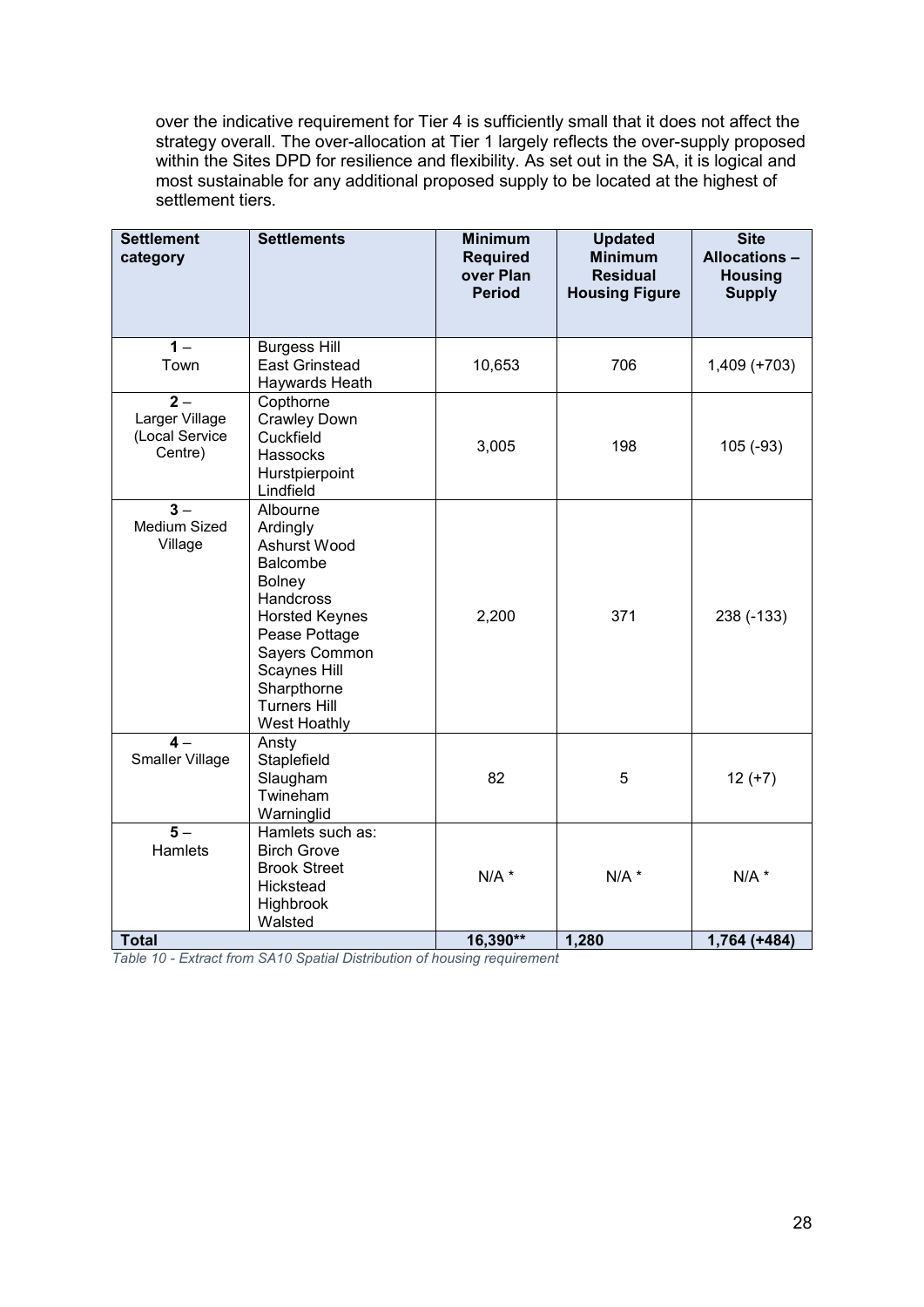over the indicative requirement for Tier 4 is sufficiently small that it does not affect the strategy overall. The over-allocation at Tier 1 largely reflects the over-supply proposed within the Sites DPD for resilience and flexibility. As set out in the SA, it is logical and most sustainable for any additional proposed supply to be located at the highest of settlement tiers.

| <b>Settlement</b><br>category                                   | <b>Settlements</b>                                                                                                                                                                                       | <b>Minimum</b><br><b>Required</b><br>over Plan<br><b>Period</b> | <b>Updated</b><br><b>Minimum</b><br><b>Residual</b><br><b>Housing Figure</b> | <b>Site</b><br><b>Allocations -</b><br><b>Housing</b><br><b>Supply</b> |
|-----------------------------------------------------------------|----------------------------------------------------------------------------------------------------------------------------------------------------------------------------------------------------------|-----------------------------------------------------------------|------------------------------------------------------------------------------|------------------------------------------------------------------------|
| $\overline{1}$<br>Town                                          | <b>Burgess Hill</b><br><b>East Grinstead</b><br>Haywards Heath                                                                                                                                           | 10,653                                                          | 706                                                                          | $1,409 (+703)$                                                         |
| $\overline{2}$ –<br>Larger Village<br>(Local Service<br>Centre) | Copthorne<br><b>Crawley Down</b><br>Cuckfield<br>Hassocks<br>Hurstpierpoint<br>Lindfield                                                                                                                 | 3,005                                                           | 198                                                                          | $105(-93)$                                                             |
| $3 -$<br>Medium Sized<br>Village                                | Albourne<br>Ardingly<br>Ashurst Wood<br>Balcombe<br>Bolney<br>Handcross<br><b>Horsted Keynes</b><br>Pease Pottage<br>Sayers Common<br>Scaynes Hill<br>Sharpthorne<br><b>Turners Hill</b><br>West Hoathly | 2,200                                                           | 371                                                                          | 238 (-133)                                                             |
| $4-$<br>Smaller Village                                         | Ansty<br>Staplefield<br>Slaugham<br>Twineham<br>Warninglid                                                                                                                                               | 82                                                              | 5                                                                            | $12 (+7)$                                                              |
| $\overline{5}$ –<br>Hamlets                                     | Hamlets such as:<br><b>Birch Grove</b><br><b>Brook Street</b><br>Hickstead<br>Highbrook<br>Walsted                                                                                                       | $N/A$ *                                                         | $N/A$ *                                                                      | $N/A$ *                                                                |
| <b>Total</b>                                                    |                                                                                                                                                                                                          | 16,390**                                                        | 1,280                                                                        | $1,764 (+484)$                                                         |

*Table 10 - Extract from SA10 Spatial Distribution of housing requirement*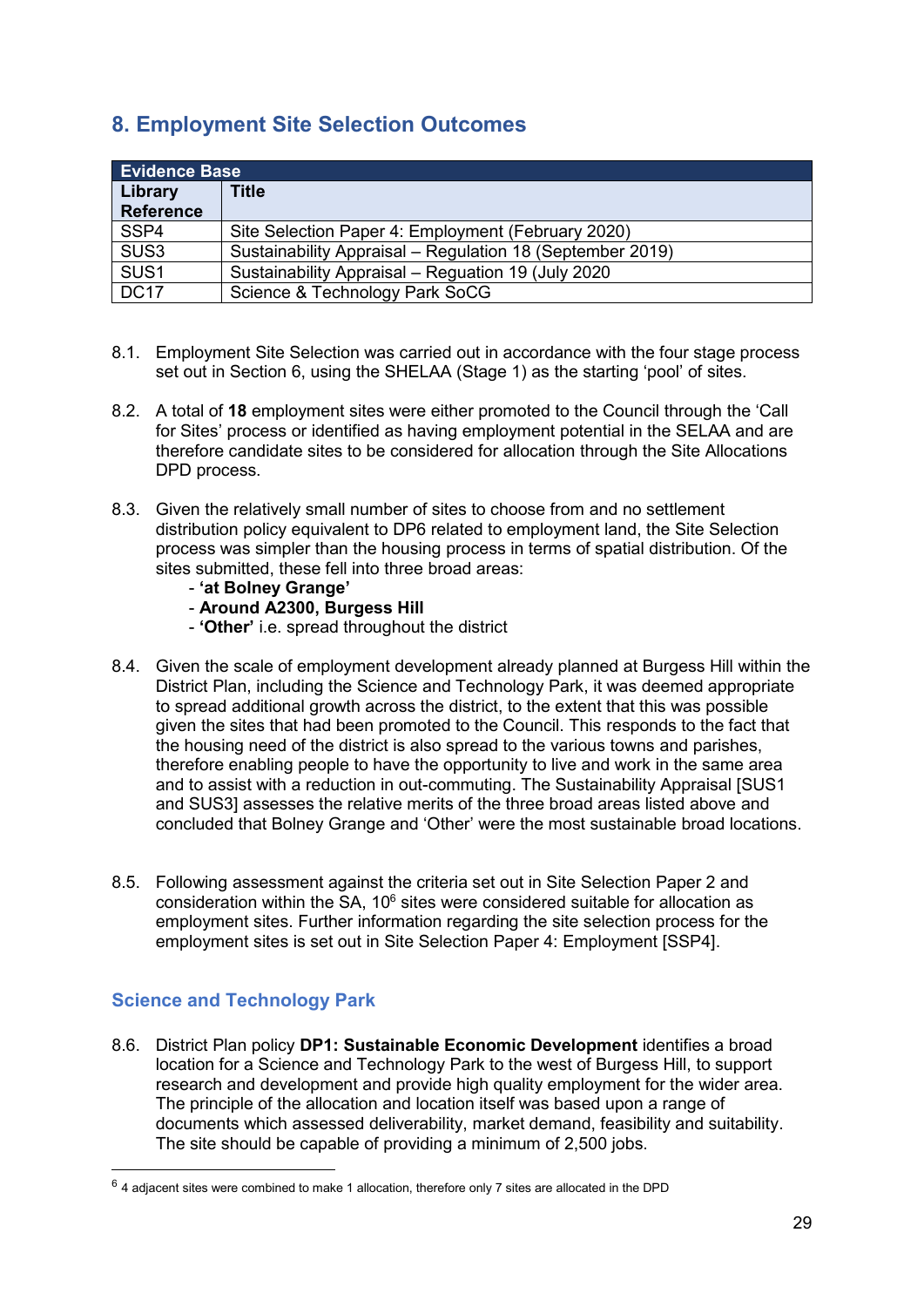## <span id="page-30-0"></span>**8. Employment Site Selection Outcomes**

|                             | <b>Evidence Base</b>                                      |  |  |
|-----------------------------|-----------------------------------------------------------|--|--|
| Library<br><b>Reference</b> | Title                                                     |  |  |
| SSP4                        | Site Selection Paper 4: Employment (February 2020)        |  |  |
| SUS <sub>3</sub>            | Sustainability Appraisal - Regulation 18 (September 2019) |  |  |
| SUS <sub>1</sub>            | Sustainability Appraisal - Reguation 19 (July 2020)       |  |  |
| <b>DC17</b>                 | Science & Technology Park SoCG                            |  |  |

- 8.1. Employment Site Selection was carried out in accordance with the four stage process set out in Section 6, using the SHELAA (Stage 1) as the starting 'pool' of sites.
- 8.2. A total of **18** employment sites were either promoted to the Council through the 'Call for Sites' process or identified as having employment potential in the SELAA and are therefore candidate sites to be considered for allocation through the Site Allocations DPD process.
- 8.3. Given the relatively small number of sites to choose from and no settlement distribution policy equivalent to DP6 related to employment land, the Site Selection process was simpler than the housing process in terms of spatial distribution. Of the sites submitted, these fell into three broad areas:
	- **'at Bolney Grange'**
	- **Around A2300, Burgess Hill**
	- **'Other'** i.e. spread throughout the district
- 8.4. Given the scale of employment development already planned at Burgess Hill within the District Plan, including the Science and Technology Park, it was deemed appropriate to spread additional growth across the district, to the extent that this was possible given the sites that had been promoted to the Council. This responds to the fact that the housing need of the district is also spread to the various towns and parishes, therefore enabling people to have the opportunity to live and work in the same area and to assist with a reduction in out-commuting. The Sustainability Appraisal [SUS1 and SUS3] assesses the relative merits of the three broad areas listed above and concluded that Bolney Grange and 'Other' were the most sustainable broad locations.
- 8.5. Following assessment against the criteria set out in Site Selection Paper 2 and consideration within the SA,  $10<sup>6</sup>$  sites were considered suitable for allocation as employment sites. Further information regarding the site selection process for the employment sites is set out in Site Selection Paper 4: Employment [SSP4].

### <span id="page-30-1"></span>**Science and Technology Park**

 $\overline{a}$ 

8.6. District Plan policy **DP1: Sustainable Economic Development** identifies a broad location for a Science and Technology Park to the west of Burgess Hill, to support research and development and provide high quality employment for the wider area. The principle of the allocation and location itself was based upon a range of documents which assessed deliverability, market demand, feasibility and suitability. The site should be capable of providing a minimum of 2,500 jobs.

 $6$  4 adjacent sites were combined to make 1 allocation, therefore only 7 sites are allocated in the DPD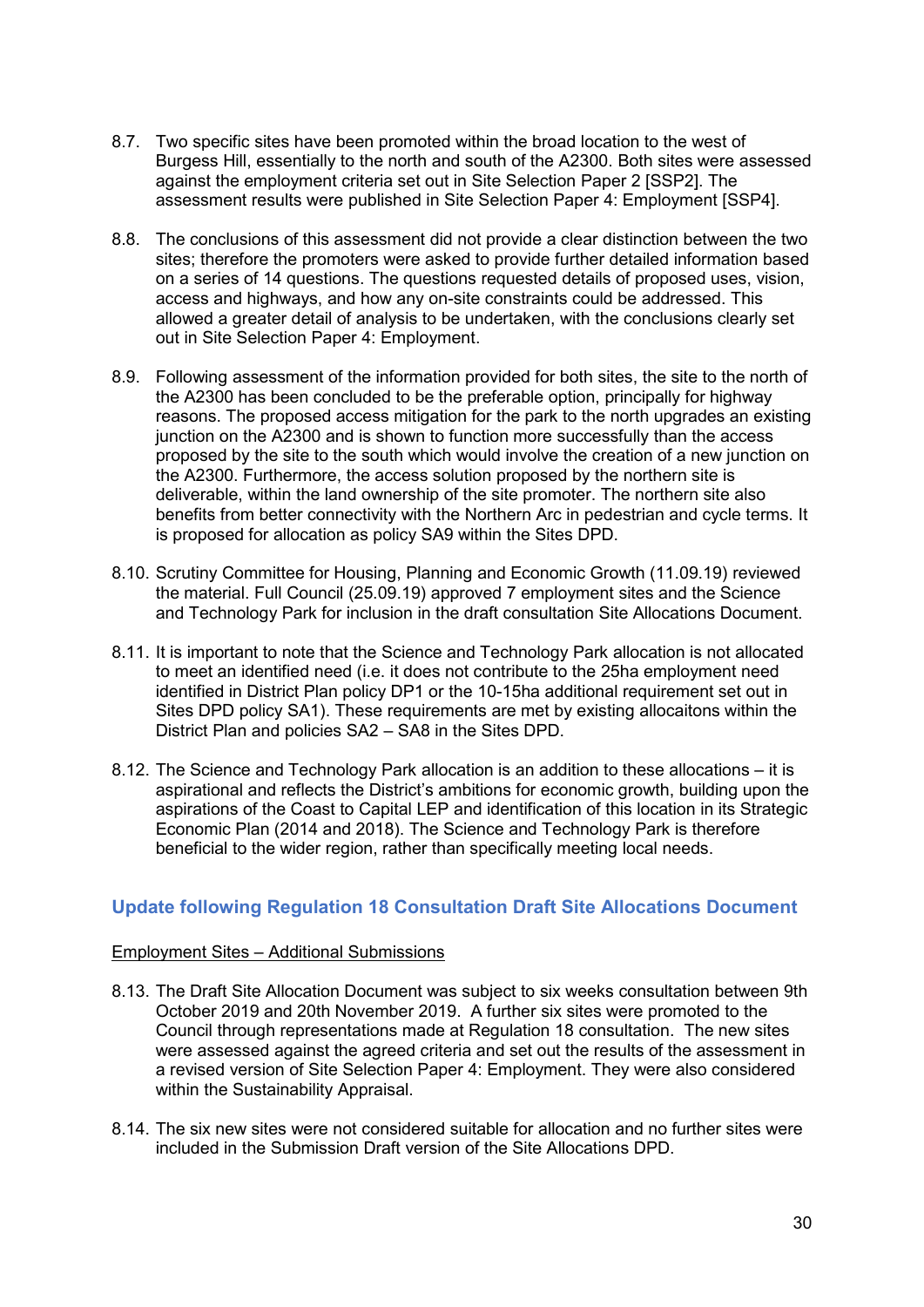- 8.7. Two specific sites have been promoted within the broad location to the west of Burgess Hill, essentially to the north and south of the A2300. Both sites were assessed against the employment criteria set out in Site Selection Paper 2 [SSP2]. The assessment results were published in Site Selection Paper 4: Employment [SSP4].
- 8.8. The conclusions of this assessment did not provide a clear distinction between the two sites; therefore the promoters were asked to provide further detailed information based on a series of 14 questions. The questions requested details of proposed uses, vision, access and highways, and how any on-site constraints could be addressed. This allowed a greater detail of analysis to be undertaken, with the conclusions clearly set out in Site Selection Paper 4: Employment.
- 8.9. Following assessment of the information provided for both sites, the site to the north of the A2300 has been concluded to be the preferable option, principally for highway reasons. The proposed access mitigation for the park to the north upgrades an existing junction on the A2300 and is shown to function more successfully than the access proposed by the site to the south which would involve the creation of a new junction on the A2300. Furthermore, the access solution proposed by the northern site is deliverable, within the land ownership of the site promoter. The northern site also benefits from better connectivity with the Northern Arc in pedestrian and cycle terms. It is proposed for allocation as policy SA9 within the Sites DPD.
- 8.10. Scrutiny Committee for Housing, Planning and Economic Growth (11.09.19) reviewed the material. Full Council (25.09.19) approved 7 employment sites and the Science and Technology Park for inclusion in the draft consultation Site Allocations Document.
- 8.11. It is important to note that the Science and Technology Park allocation is not allocated to meet an identified need (i.e. it does not contribute to the 25ha employment need identified in District Plan policy DP1 or the 10-15ha additional requirement set out in Sites DPD policy SA1). These requirements are met by existing allocaitons within the District Plan and policies SA2 – SA8 in the Sites DPD.
- 8.12. The Science and Technology Park allocation is an addition to these allocations it is aspirational and reflects the District's ambitions for economic growth, building upon the aspirations of the Coast to Capital LEP and identification of this location in its Strategic Economic Plan (2014 and 2018). The Science and Technology Park is therefore beneficial to the wider region, rather than specifically meeting local needs.

#### <span id="page-31-0"></span>**Update following Regulation 18 Consultation Draft Site Allocations Document**

#### Employment Sites – Additional Submissions

- 8.13. The Draft Site Allocation Document was subject to six weeks consultation between 9th October 2019 and 20th November 2019. A further six sites were promoted to the Council through representations made at Regulation 18 consultation. The new sites were assessed against the agreed criteria and set out the results of the assessment in a revised version of Site Selection Paper 4: Employment. They were also considered within the Sustainability Appraisal.
- 8.14. The six new sites were not considered suitable for allocation and no further sites were included in the Submission Draft version of the Site Allocations DPD.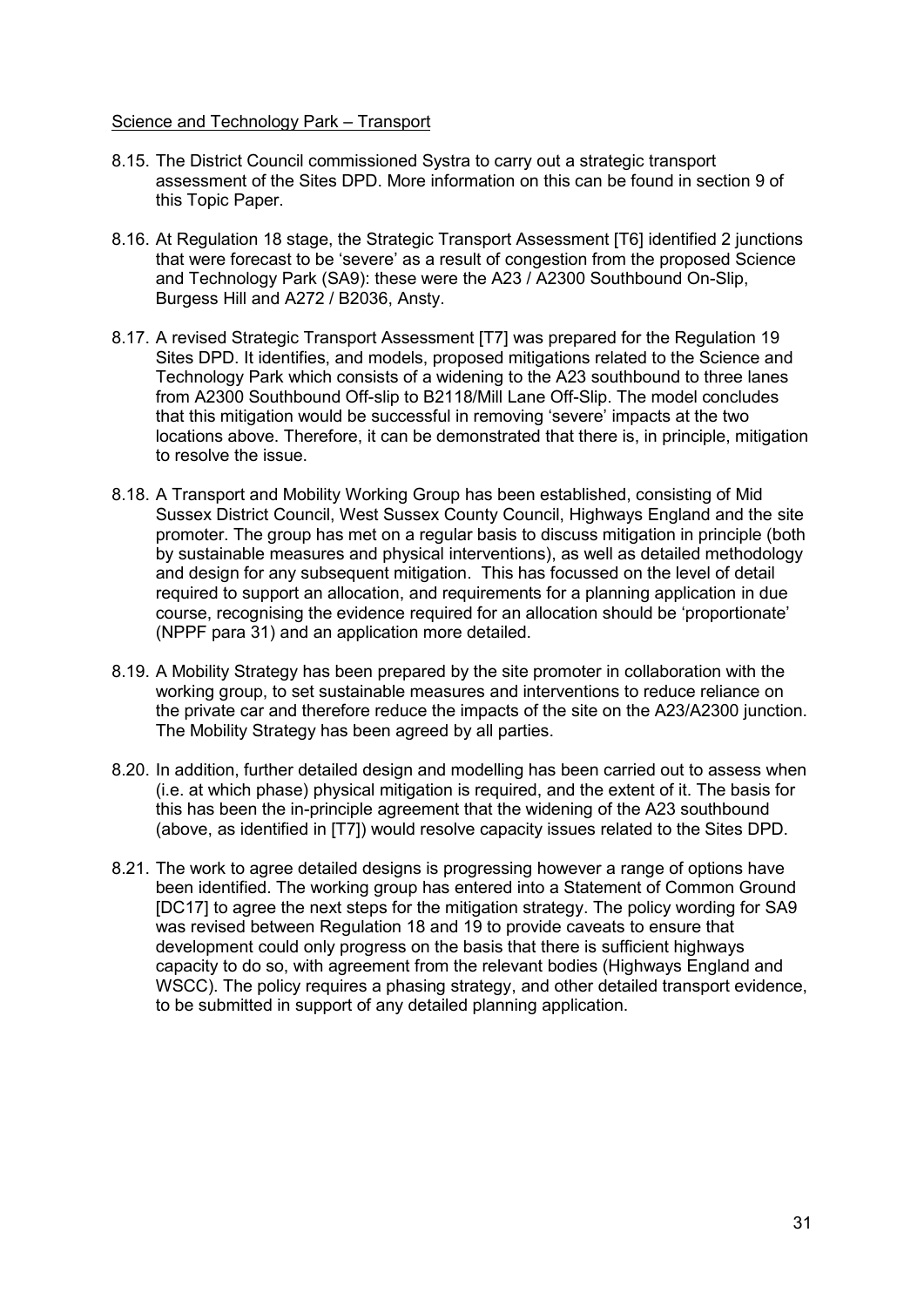#### Science and Technology Park – Transport

- 8.15. The District Council commissioned Systra to carry out a strategic transport assessment of the Sites DPD. More information on this can be found in section 9 of this Topic Paper.
- 8.16. At Regulation 18 stage, the Strategic Transport Assessment [T6] identified 2 junctions that were forecast to be 'severe' as a result of congestion from the proposed Science and Technology Park (SA9): these were the A23 / A2300 Southbound On-Slip, Burgess Hill and A272 / B2036, Ansty.
- 8.17. A revised Strategic Transport Assessment [T7] was prepared for the Regulation 19 Sites DPD. It identifies, and models, proposed mitigations related to the Science and Technology Park which consists of a widening to the A23 southbound to three lanes from A2300 Southbound Off-slip to B2118/Mill Lane Off-Slip. The model concludes that this mitigation would be successful in removing 'severe' impacts at the two locations above. Therefore, it can be demonstrated that there is, in principle, mitigation to resolve the issue.
- 8.18. A Transport and Mobility Working Group has been established, consisting of Mid Sussex District Council, West Sussex County Council, Highways England and the site promoter. The group has met on a regular basis to discuss mitigation in principle (both by sustainable measures and physical interventions), as well as detailed methodology and design for any subsequent mitigation. This has focussed on the level of detail required to support an allocation, and requirements for a planning application in due course, recognising the evidence required for an allocation should be 'proportionate' (NPPF para 31) and an application more detailed.
- 8.19. A Mobility Strategy has been prepared by the site promoter in collaboration with the working group, to set sustainable measures and interventions to reduce reliance on the private car and therefore reduce the impacts of the site on the A23/A2300 junction. The Mobility Strategy has been agreed by all parties.
- 8.20. In addition, further detailed design and modelling has been carried out to assess when (i.e. at which phase) physical mitigation is required, and the extent of it. The basis for this has been the in-principle agreement that the widening of the A23 southbound (above, as identified in [T7]) would resolve capacity issues related to the Sites DPD.
- 8.21. The work to agree detailed designs is progressing however a range of options have been identified. The working group has entered into a Statement of Common Ground [DC17] to agree the next steps for the mitigation strategy. The policy wording for SA9 was revised between Regulation 18 and 19 to provide caveats to ensure that development could only progress on the basis that there is sufficient highways capacity to do so, with agreement from the relevant bodies (Highways England and WSCC). The policy requires a phasing strategy, and other detailed transport evidence, to be submitted in support of any detailed planning application.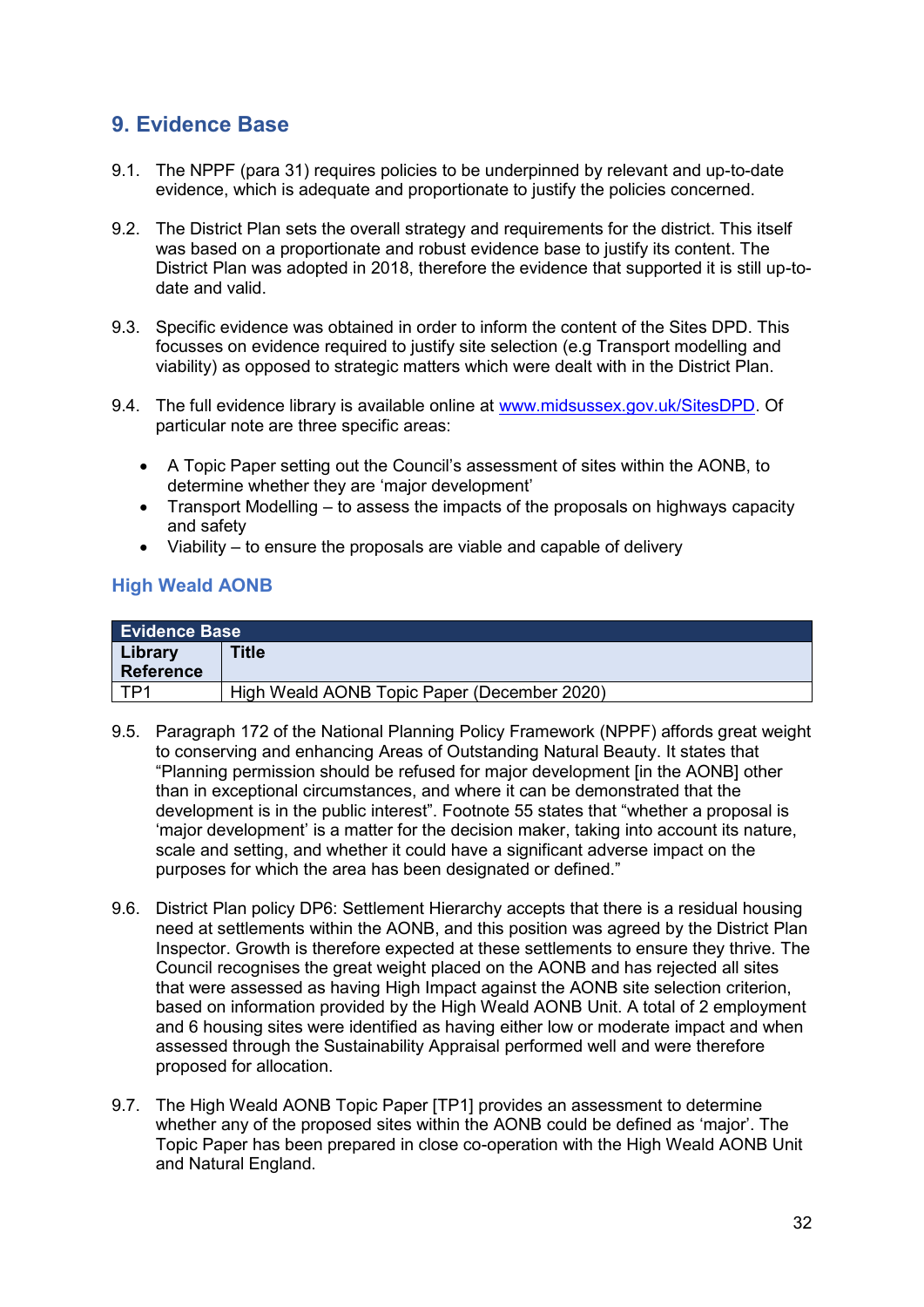## <span id="page-33-0"></span>**9. Evidence Base**

- 9.1. The NPPF (para 31) requires policies to be underpinned by relevant and up-to-date evidence, which is adequate and proportionate to justify the policies concerned.
- 9.2. The District Plan sets the overall strategy and requirements for the district. This itself was based on a proportionate and robust evidence base to justify its content. The District Plan was adopted in 2018, therefore the evidence that supported it is still up-todate and valid.
- 9.3. Specific evidence was obtained in order to inform the content of the Sites DPD. This focusses on evidence required to justify site selection (e.g Transport modelling and viability) as opposed to strategic matters which were dealt with in the District Plan.
- 9.4. The full evidence library is available online at [www.midsussex.gov.uk/SitesDPD.](http://www.midsussex.gov.uk/SitesDPD) Of particular note are three specific areas:
	- A Topic Paper setting out the Council's assessment of sites within the AONB, to determine whether they are 'major development'
	- Transport Modelling to assess the impacts of the proposals on highways capacity and safety
	- Viability to ensure the proposals are viable and capable of delivery

#### <span id="page-33-1"></span>**High Weald AONB**

| <b>Evidence Base</b> |                                             |
|----------------------|---------------------------------------------|
| Library              | <b>Title</b>                                |
| <b>Reference</b>     |                                             |
| TP <sub>1</sub>      | High Weald AONB Topic Paper (December 2020) |

- 9.5. Paragraph 172 of the National Planning Policy Framework (NPPF) affords great weight to conserving and enhancing Areas of Outstanding Natural Beauty. It states that "Planning permission should be refused for major development [in the AONB] other than in exceptional circumstances, and where it can be demonstrated that the development is in the public interest". Footnote 55 states that "whether a proposal is 'major development' is a matter for the decision maker, taking into account its nature, scale and setting, and whether it could have a significant adverse impact on the purposes for which the area has been designated or defined."
- 9.6. District Plan policy DP6: Settlement Hierarchy accepts that there is a residual housing need at settlements within the AONB, and this position was agreed by the District Plan Inspector. Growth is therefore expected at these settlements to ensure they thrive. The Council recognises the great weight placed on the AONB and has rejected all sites that were assessed as having High Impact against the AONB site selection criterion, based on information provided by the High Weald AONB Unit. A total of 2 employment and 6 housing sites were identified as having either low or moderate impact and when assessed through the Sustainability Appraisal performed well and were therefore proposed for allocation.
- 9.7. The High Weald AONB Topic Paper [TP1] provides an assessment to determine whether any of the proposed sites within the AONB could be defined as 'major'. The Topic Paper has been prepared in close co-operation with the High Weald AONB Unit and Natural England.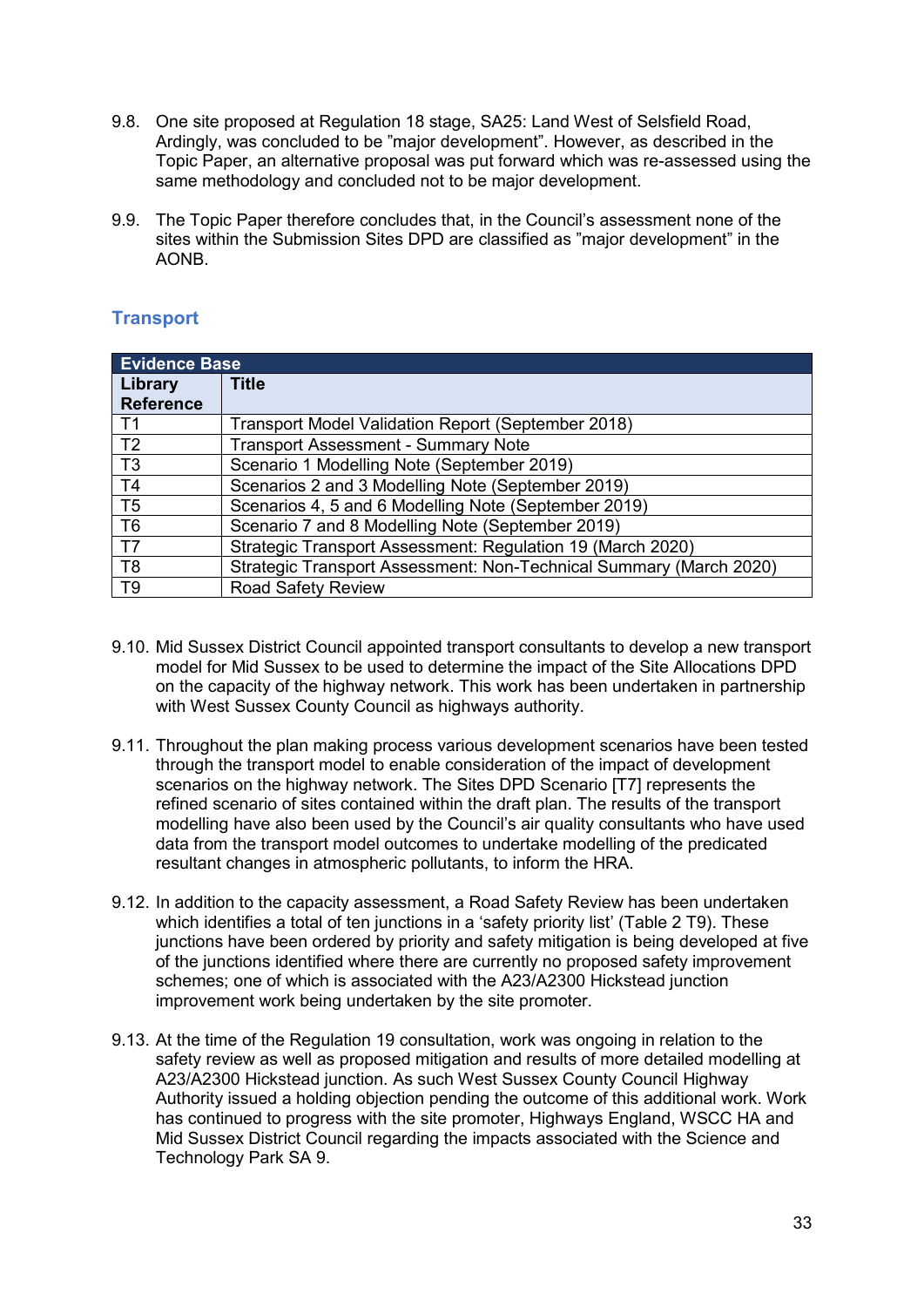- 9.8. One site proposed at Regulation 18 stage, SA25: Land West of Selsfield Road, Ardingly, was concluded to be "major development". However, as described in the Topic Paper, an alternative proposal was put forward which was re-assessed using the same methodology and concluded not to be major development.
- 9.9. The Topic Paper therefore concludes that, in the Council's assessment none of the sites within the Submission Sites DPD are classified as "major development" in the AONB.

#### <span id="page-34-0"></span>**Transport**

| <b>Evidence Base</b> |                                                                    |  |
|----------------------|--------------------------------------------------------------------|--|
| Library              | <b>Title</b>                                                       |  |
| <b>Reference</b>     |                                                                    |  |
| T1                   | Transport Model Validation Report (September 2018)                 |  |
| T <sub>2</sub>       | <b>Transport Assessment - Summary Note</b>                         |  |
| T3                   | Scenario 1 Modelling Note (September 2019)                         |  |
| <b>T4</b>            | Scenarios 2 and 3 Modelling Note (September 2019)                  |  |
| T <sub>5</sub>       | Scenarios 4, 5 and 6 Modelling Note (September 2019)               |  |
| T <sub>6</sub>       | Scenario 7 and 8 Modelling Note (September 2019)                   |  |
| <b>T7</b>            | Strategic Transport Assessment: Regulation 19 (March 2020)         |  |
| T <sub>8</sub>       | Strategic Transport Assessment: Non-Technical Summary (March 2020) |  |
| T <sub>9</sub>       | <b>Road Safety Review</b>                                          |  |

- 9.10. Mid Sussex District Council appointed transport consultants to develop a new transport model for Mid Sussex to be used to determine the impact of the Site Allocations DPD on the capacity of the highway network. This work has been undertaken in partnership with West Sussex County Council as highways authority.
- 9.11. Throughout the plan making process various development scenarios have been tested through the transport model to enable consideration of the impact of development scenarios on the highway network. The Sites DPD Scenario [T7] represents the refined scenario of sites contained within the draft plan. The results of the transport modelling have also been used by the Council's air quality consultants who have used data from the transport model outcomes to undertake modelling of the predicated resultant changes in atmospheric pollutants, to inform the HRA.
- 9.12. In addition to the capacity assessment, a Road Safety Review has been undertaken which identifies a total of ten junctions in a 'safety priority list' (Table 2 T9). These junctions have been ordered by priority and safety mitigation is being developed at five of the junctions identified where there are currently no proposed safety improvement schemes; one of which is associated with the A23/A2300 Hickstead junction improvement work being undertaken by the site promoter.
- 9.13. At the time of the Regulation 19 consultation, work was ongoing in relation to the safety review as well as proposed mitigation and results of more detailed modelling at A23/A2300 Hickstead junction. As such West Sussex County Council Highway Authority issued a holding objection pending the outcome of this additional work. Work has continued to progress with the site promoter. Highways England, WSCC HA and Mid Sussex District Council regarding the impacts associated with the Science and Technology Park SA 9.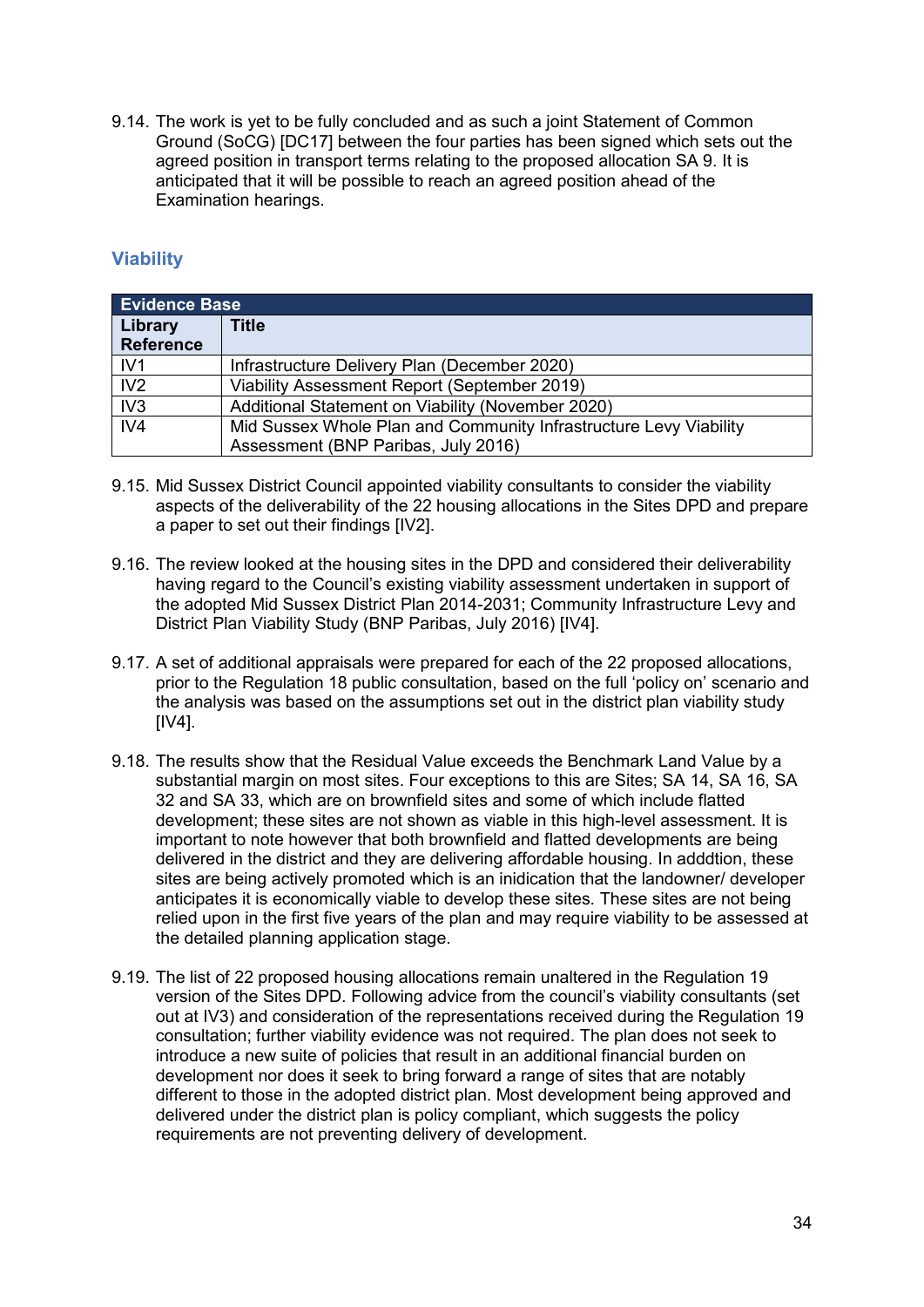9.14. The work is yet to be fully concluded and as such a joint Statement of Common Ground (SoCG) [DC17] between the four parties has been signed which sets out the agreed position in transport terms relating to the proposed allocation SA 9. It is anticipated that it will be possible to reach an agreed position ahead of the Examination hearings.

#### <span id="page-35-0"></span>**Viability**

|                  | <b>Evidence Base</b>                                              |  |  |  |
|------------------|-------------------------------------------------------------------|--|--|--|
| Library          | Title                                                             |  |  |  |
| <b>Reference</b> |                                                                   |  |  |  |
| IV1              | Infrastructure Delivery Plan (December 2020)                      |  |  |  |
| IV2              | Viability Assessment Report (September 2019)                      |  |  |  |
| IV <sub>3</sub>  | Additional Statement on Viability (November 2020)                 |  |  |  |
| IV4              | Mid Sussex Whole Plan and Community Infrastructure Levy Viability |  |  |  |
|                  | Assessment (BNP Paribas, July 2016)                               |  |  |  |

- 9.15. Mid Sussex District Council appointed viability consultants to consider the viability aspects of the deliverability of the 22 housing allocations in the Sites DPD and prepare a paper to set out their findings [IV2].
- 9.16. The review looked at the housing sites in the DPD and considered their deliverability having regard to the Council's existing viability assessment undertaken in support of the adopted Mid Sussex District Plan 2014-2031; Community Infrastructure Levy and District Plan Viability Study (BNP Paribas, July 2016) [IV4].
- 9.17. A set of additional appraisals were prepared for each of the 22 proposed allocations, prior to the Regulation 18 public consultation, based on the full 'policy on' scenario and the analysis was based on the assumptions set out in the district plan viability study  $[IV4]$ .
- 9.18. The results show that the Residual Value exceeds the Benchmark Land Value by a substantial margin on most sites. Four exceptions to this are Sites; SA 14, SA 16, SA 32 and SA 33, which are on brownfield sites and some of which include flatted development; these sites are not shown as viable in this high-level assessment. It is important to note however that both brownfield and flatted developments are being delivered in the district and they are delivering affordable housing. In adddtion, these sites are being actively promoted which is an inidication that the landowner/ developer anticipates it is economically viable to develop these sites. These sites are not being relied upon in the first five years of the plan and may require viability to be assessed at the detailed planning application stage.
- 9.19. The list of 22 proposed housing allocations remain unaltered in the Regulation 19 version of the Sites DPD. Following advice from the council's viability consultants (set out at IV3) and consideration of the representations received during the Regulation 19 consultation; further viability evidence was not required. The plan does not seek to introduce a new suite of policies that result in an additional financial burden on development nor does it seek to bring forward a range of sites that are notably different to those in the adopted district plan. Most development being approved and delivered under the district plan is policy compliant, which suggests the policy requirements are not preventing delivery of development.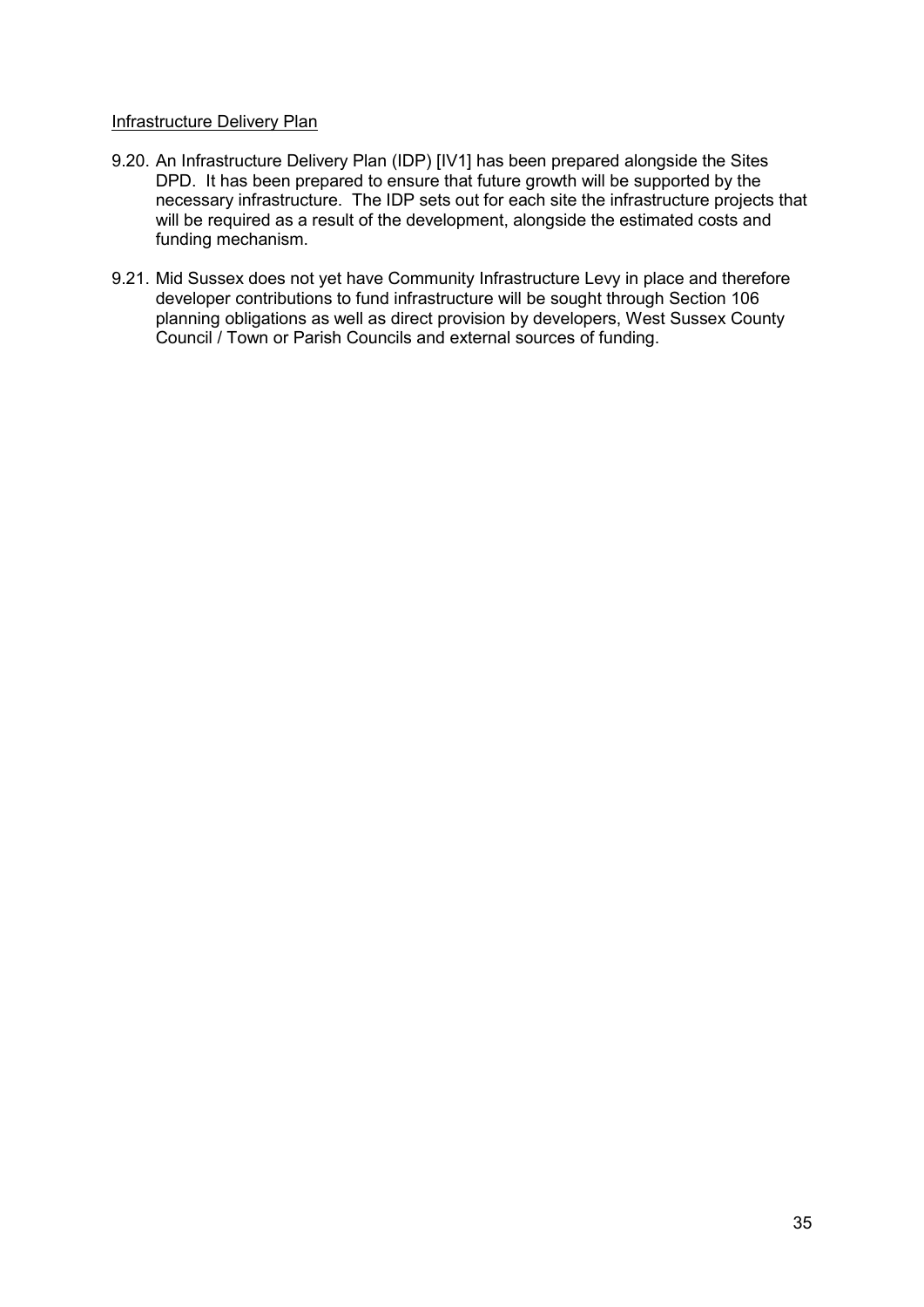#### Infrastructure Delivery Plan

- 9.20. An Infrastructure Delivery Plan (IDP) [IV1] has been prepared alongside the Sites DPD. It has been prepared to ensure that future growth will be supported by the necessary infrastructure. The IDP sets out for each site the infrastructure projects that will be required as a result of the development, alongside the estimated costs and funding mechanism.
- 9.21. Mid Sussex does not yet have Community Infrastructure Levy in place and therefore developer contributions to fund infrastructure will be sought through Section 106 planning obligations as well as direct provision by developers, West Sussex County Council / Town or Parish Councils and external sources of funding.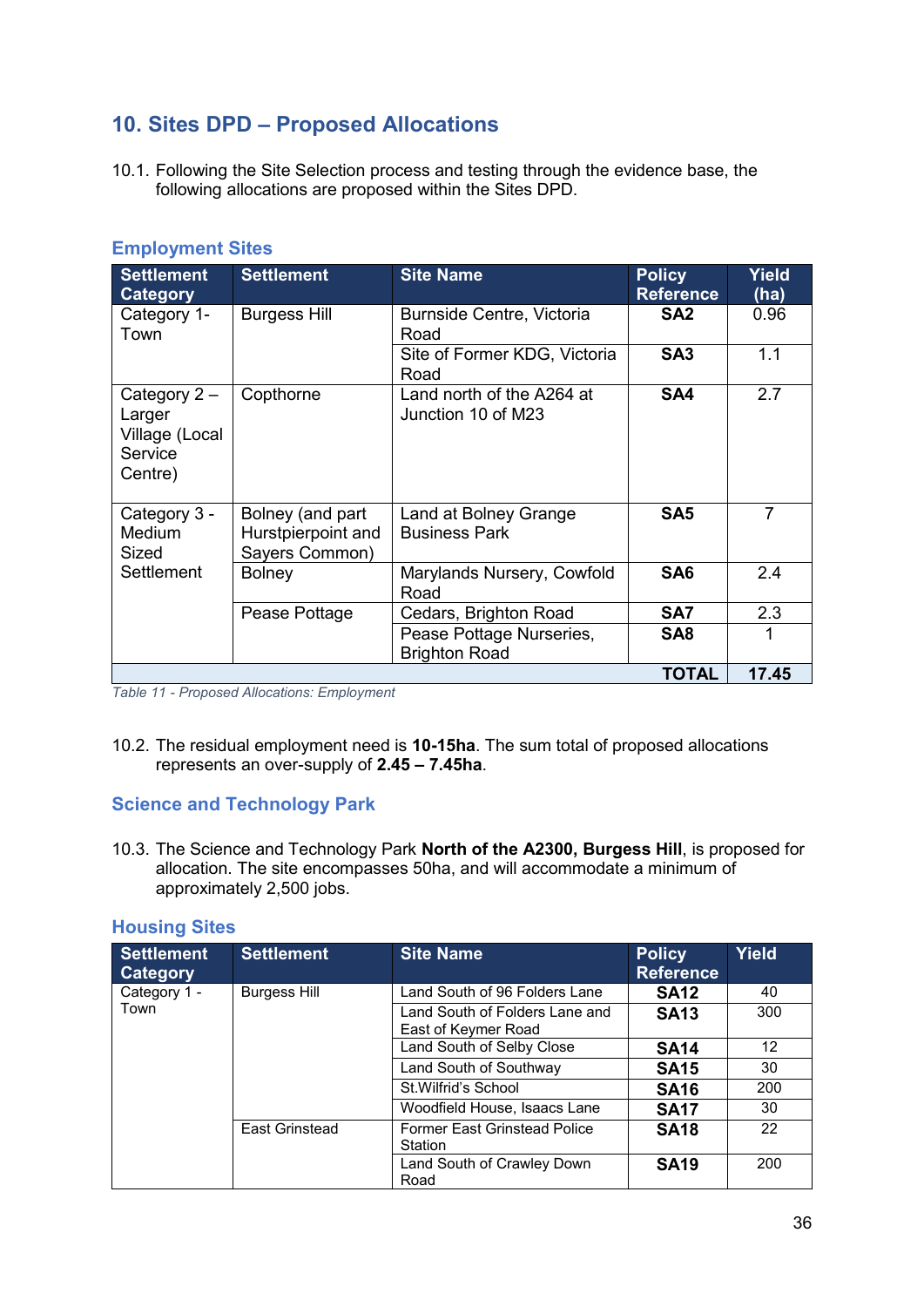## <span id="page-37-0"></span>**10. Sites DPD – Proposed Allocations**

10.1. Following the Site Selection process and testing through the evidence base, the following allocations are proposed within the Sites DPD.

| <b>Settlement</b><br><b>Category</b>                             | <b>Settlement</b>                                        | <b>Site Name</b>                                 | <b>Policy</b><br><b>Reference</b> | <b>Yield</b><br>(ha) |
|------------------------------------------------------------------|----------------------------------------------------------|--------------------------------------------------|-----------------------------------|----------------------|
| Category 1-<br>Town                                              | <b>Burgess Hill</b>                                      | <b>Burnside Centre, Victoria</b><br>Road         | SA <sub>2</sub>                   | 0.96                 |
|                                                                  |                                                          | Site of Former KDG, Victoria<br>Road             | SA <sub>3</sub>                   | 1.1                  |
| Category $2 -$<br>Larger<br>Village (Local<br>Service<br>Centre) | Copthorne                                                | Land north of the A264 at<br>Junction 10 of M23  | SA4                               | 2.7                  |
| Category 3 -<br>Medium<br>Sized                                  | Bolney (and part<br>Hurstpierpoint and<br>Sayers Common) | Land at Bolney Grange<br><b>Business Park</b>    | SA <sub>5</sub>                   | $\overline{7}$       |
| <b>Settlement</b>                                                | <b>Bolney</b>                                            | Marylands Nursery, Cowfold<br>Road               | SA <sub>6</sub>                   | 2.4                  |
|                                                                  | Pease Pottage                                            | Cedars, Brighton Road                            | SA7                               | 2.3                  |
|                                                                  |                                                          | Pease Pottage Nurseries,<br><b>Brighton Road</b> | SA <sub>8</sub>                   | 1                    |
|                                                                  |                                                          |                                                  | <b>TOTAL</b>                      | 17.45                |

#### <span id="page-37-1"></span>**Employment Sites**

*Table 11 - Proposed Allocations: Employment*

10.2. The residual employment need is **10-15ha**. The sum total of proposed allocations represents an over-supply of **2.45 – 7.45ha**.

#### <span id="page-37-2"></span>**Science and Technology Park**

10.3. The Science and Technology Park **North of the A2300, Burgess Hill**, is proposed for allocation. The site encompasses 50ha, and will accommodate a minimum of approximately 2,500 jobs.

<span id="page-37-3"></span>

|  |  |  | <b>Housing Sites</b> |  |
|--|--|--|----------------------|--|
|  |  |  |                      |  |

| <b>Settlement</b><br>Category | <b>Settlement</b>   | <b>Site Name</b>                                      | <b>Policy</b><br><b>Reference</b> | <b>Yield</b> |
|-------------------------------|---------------------|-------------------------------------------------------|-----------------------------------|--------------|
| Category 1 -                  | <b>Burgess Hill</b> | Land South of 96 Folders Lane                         | <b>SA12</b>                       | 40           |
| Town                          |                     | Land South of Folders Lane and<br>East of Keymer Road | <b>SA13</b>                       | 300          |
|                               |                     | Land South of Selby Close                             | <b>SA14</b>                       | 12           |
|                               |                     | Land South of Southway                                | <b>SA15</b>                       | 30           |
|                               |                     | St. Wilfrid's School                                  | <b>SA16</b>                       | 200          |
|                               |                     | Woodfield House, Isaacs Lane                          | <b>SA17</b>                       | 30           |
|                               | East Grinstead      | <b>Former East Grinstead Police</b><br>Station        | <b>SA18</b>                       | 22           |
|                               |                     | Land South of Crawley Down<br>Road                    | <b>SA19</b>                       | 200          |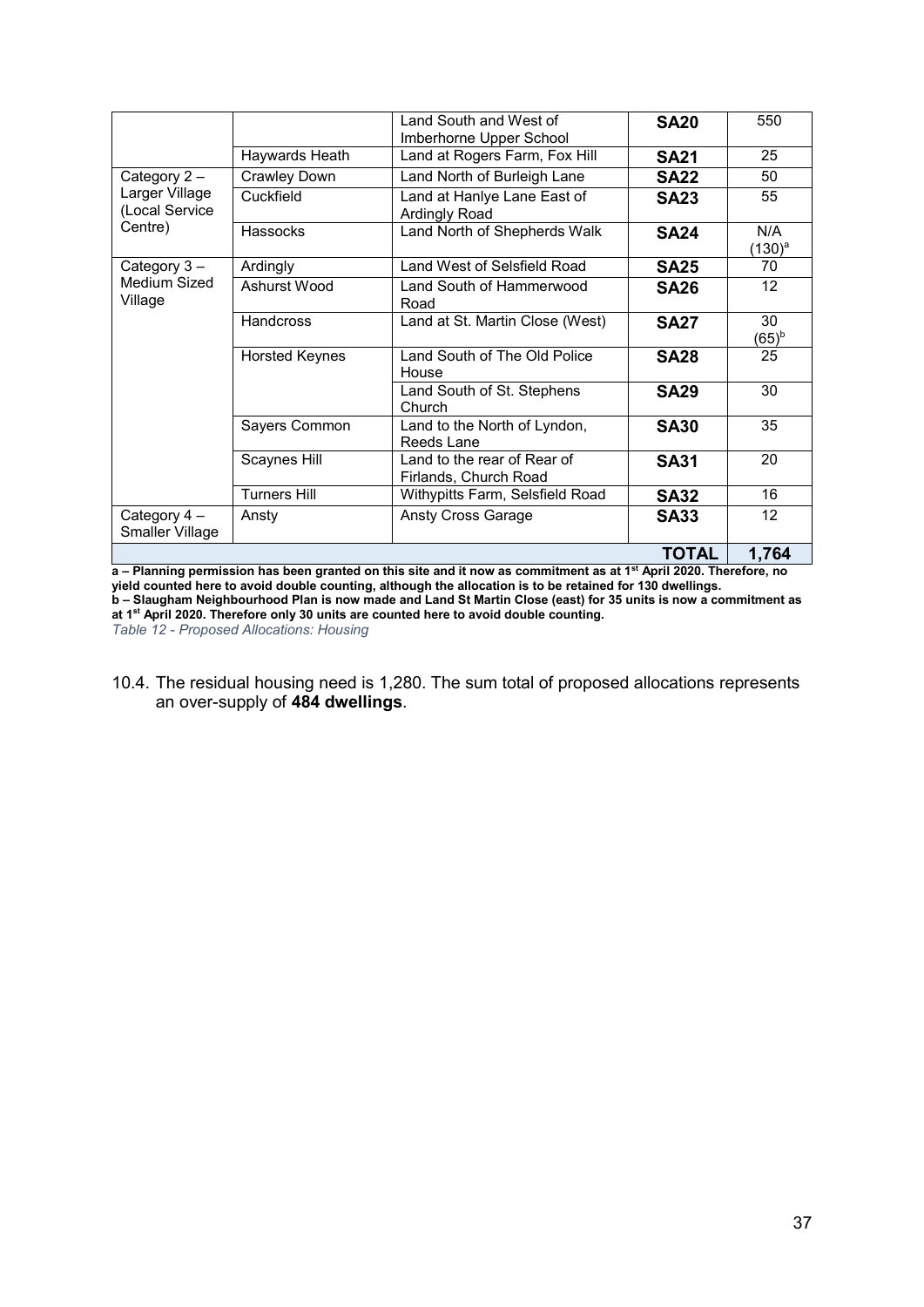|                                  |                                             | Land South and West of<br>Imberhorne Upper School    | <b>SA20</b>  | 550                     |
|----------------------------------|---------------------------------------------|------------------------------------------------------|--------------|-------------------------|
|                                  | Haywards Heath                              | Land at Rogers Farm, Fox Hill                        | <b>SA21</b>  | 25                      |
| Category 2-                      | Land North of Burleigh Lane<br>Crawley Down |                                                      | <b>SA22</b>  | 50                      |
| Larger Village<br>(Local Service | Cuckfield                                   | Land at Hanlye Lane East of<br>Ardingly Road         | <b>SA23</b>  | 55                      |
| Centre)                          | Hassocks                                    | Land North of Shepherds Walk                         | <b>SA24</b>  | N/A<br>$(130)^{a}$      |
| Category 3-                      | Ardingly                                    | Land West of Selsfield Road                          | <b>SA25</b>  | 70                      |
| Medium Sized<br>Village          | Ashurst Wood                                | Land South of Hammerwood<br>Road                     | <b>SA26</b>  | 12                      |
|                                  | <b>Handcross</b>                            | Land at St. Martin Close (West)                      | <b>SA27</b>  | 30<br>(65) <sup>b</sup> |
|                                  | <b>Horsted Keynes</b>                       | Land South of The Old Police<br>House                | <b>SA28</b>  | 25                      |
|                                  |                                             | Land South of St. Stephens<br>Church                 | <b>SA29</b>  | 30                      |
|                                  | Sayers Common                               | Land to the North of Lyndon,<br>Reeds Lane           | <b>SA30</b>  | 35                      |
|                                  | Scaynes Hill                                | Land to the rear of Rear of<br>Firlands, Church Road | <b>SA31</b>  | 20                      |
|                                  | <b>Turners Hill</b>                         | Withypitts Farm, Selsfield Road                      | <b>SA32</b>  | 16                      |
| Category 4 -<br>Smaller Village  | Ansty                                       | <b>Ansty Cross Garage</b>                            | <b>SA33</b>  | 12                      |
|                                  |                                             |                                                      | <b>TOTAL</b> | 1,764                   |

**a – Planning permission has been granted on this site and it now as commitment as at 1st April 2020. Therefore, no yield counted here to avoid double counting, although the allocation is to be retained for 130 dwellings. b – Slaugham Neighbourhood Plan is now made and Land St Martin Close (east) for 35 units is now a commitment as at 1st April 2020. Therefore only 30 units are counted here to avoid double counting.** *Table 12 - Proposed Allocations: Housing*

10.4. The residual housing need is 1,280. The sum total of proposed allocations represents an over-supply of **484 dwellings**.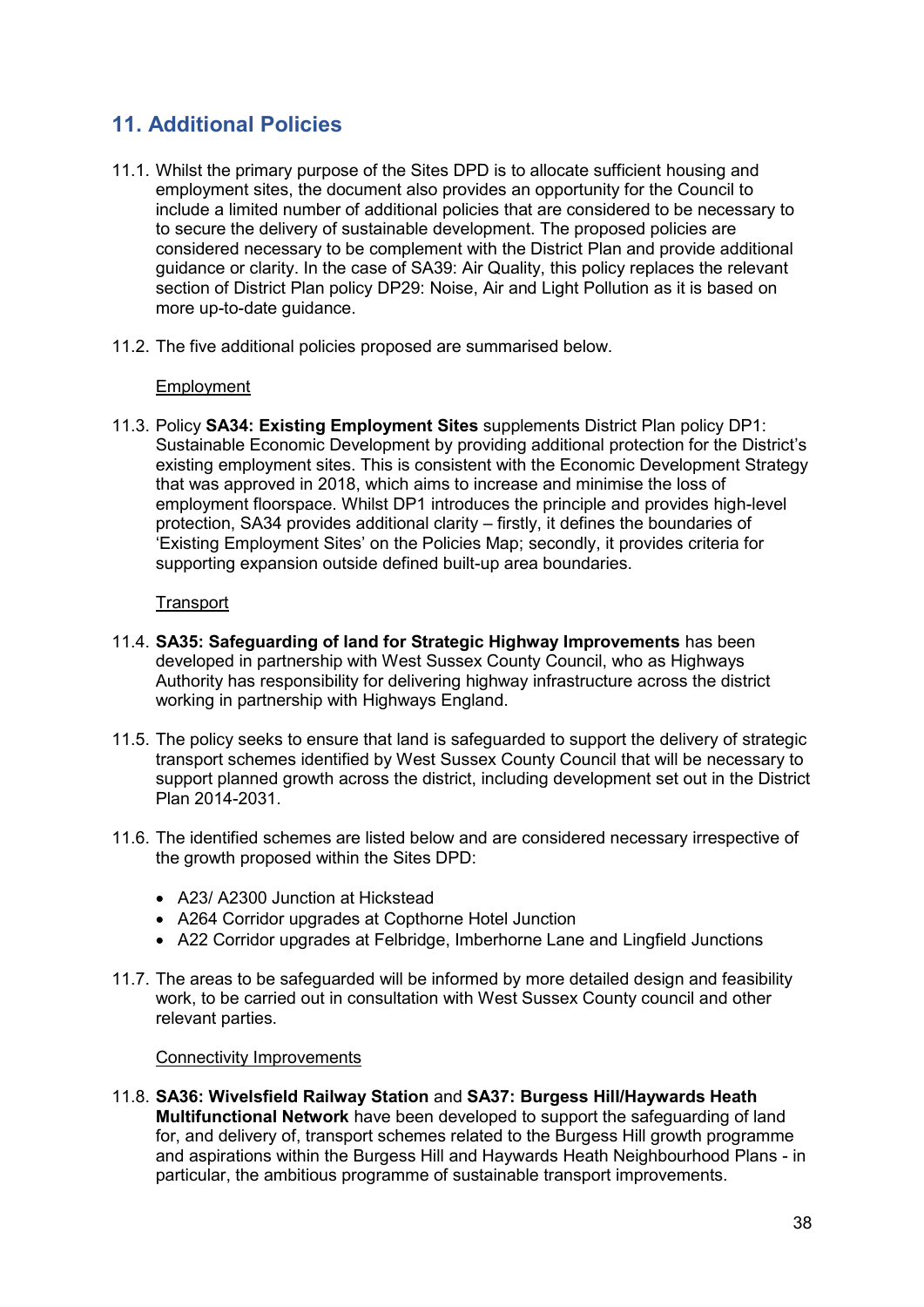## <span id="page-39-0"></span>**11. Additional Policies**

- 11.1. Whilst the primary purpose of the Sites DPD is to allocate sufficient housing and employment sites, the document also provides an opportunity for the Council to include a limited number of additional policies that are considered to be necessary to to secure the delivery of sustainable development. The proposed policies are considered necessary to be complement with the District Plan and provide additional guidance or clarity. In the case of SA39: Air Quality, this policy replaces the relevant section of District Plan policy DP29: Noise, Air and Light Pollution as it is based on more up-to-date guidance.
- 11.2. The five additional policies proposed are summarised below.

#### Employment

11.3. Policy **SA34: Existing Employment Sites** supplements District Plan policy DP1: Sustainable Economic Development by providing additional protection for the District's existing employment sites. This is consistent with the Economic Development Strategy that was approved in 2018, which aims to increase and minimise the loss of employment floorspace. Whilst DP1 introduces the principle and provides high-level protection, SA34 provides additional clarity – firstly, it defines the boundaries of 'Existing Employment Sites' on the Policies Map; secondly, it provides criteria for supporting expansion outside defined built-up area boundaries.

#### **Transport**

- 11.4. **SA35: Safeguarding of land for Strategic Highway Improvements** has been developed in partnership with West Sussex County Council, who as Highways Authority has responsibility for delivering highway infrastructure across the district working in partnership with Highways England.
- 11.5. The policy seeks to ensure that land is safeguarded to support the delivery of strategic transport schemes identified by West Sussex County Council that will be necessary to support planned growth across the district, including development set out in the District Plan 2014-2031.
- 11.6. The identified schemes are listed below and are considered necessary irrespective of the growth proposed within the Sites DPD:
	- A23/ A2300 Junction at Hickstead
	- A264 Corridor upgrades at Copthorne Hotel Junction
	- A22 Corridor upgrades at Felbridge, Imberhorne Lane and Lingfield Junctions
- 11.7. The areas to be safeguarded will be informed by more detailed design and feasibility work, to be carried out in consultation with West Sussex County council and other relevant parties.

#### Connectivity Improvements

11.8. **SA36: Wivelsfield Railway Station** and **SA37: Burgess Hill/Haywards Heath Multifunctional Network** have been developed to support the safeguarding of land for, and delivery of, transport schemes related to the Burgess Hill growth programme and aspirations within the Burgess Hill and Haywards Heath Neighbourhood Plans - in particular, the ambitious programme of sustainable transport improvements.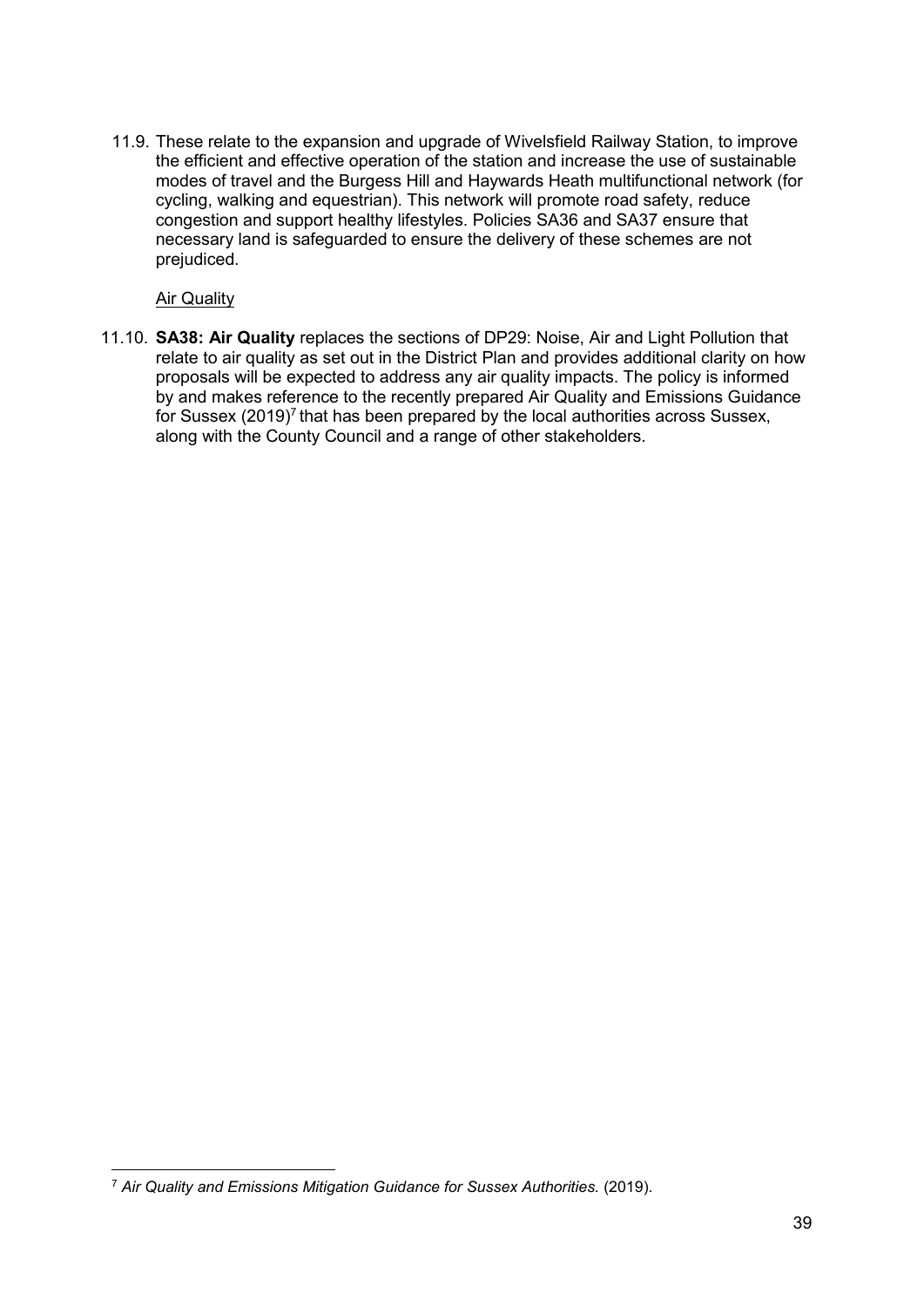11.9. These relate to the expansion and upgrade of Wivelsfield Railway Station, to improve the efficient and effective operation of the station and increase the use of sustainable modes of travel and the Burgess Hill and Haywards Heath multifunctional network (for cycling, walking and equestrian). This network will promote road safety, reduce congestion and support healthy lifestyles. Policies SA36 and SA37 ensure that necessary land is safeguarded to ensure the delivery of these schemes are not prejudiced.

Air Quality

 $\overline{a}$ 

11.10. **SA38: Air Quality** replaces the sections of DP29: Noise, Air and Light Pollution that relate to air quality as set out in the District Plan and provides additional clarity on how proposals will be expected to address any air quality impacts. The policy is informed by and makes reference to the recently prepared Air Quality and Emissions Guidance for Sussex (2019)<sup>7</sup> that has been prepared by the local authorities across Sussex, along with the County Council and a range of other stakeholders.

<sup>7</sup> *Air Quality and Emissions Mitigation Guidance for Sussex Authorities.* (2019).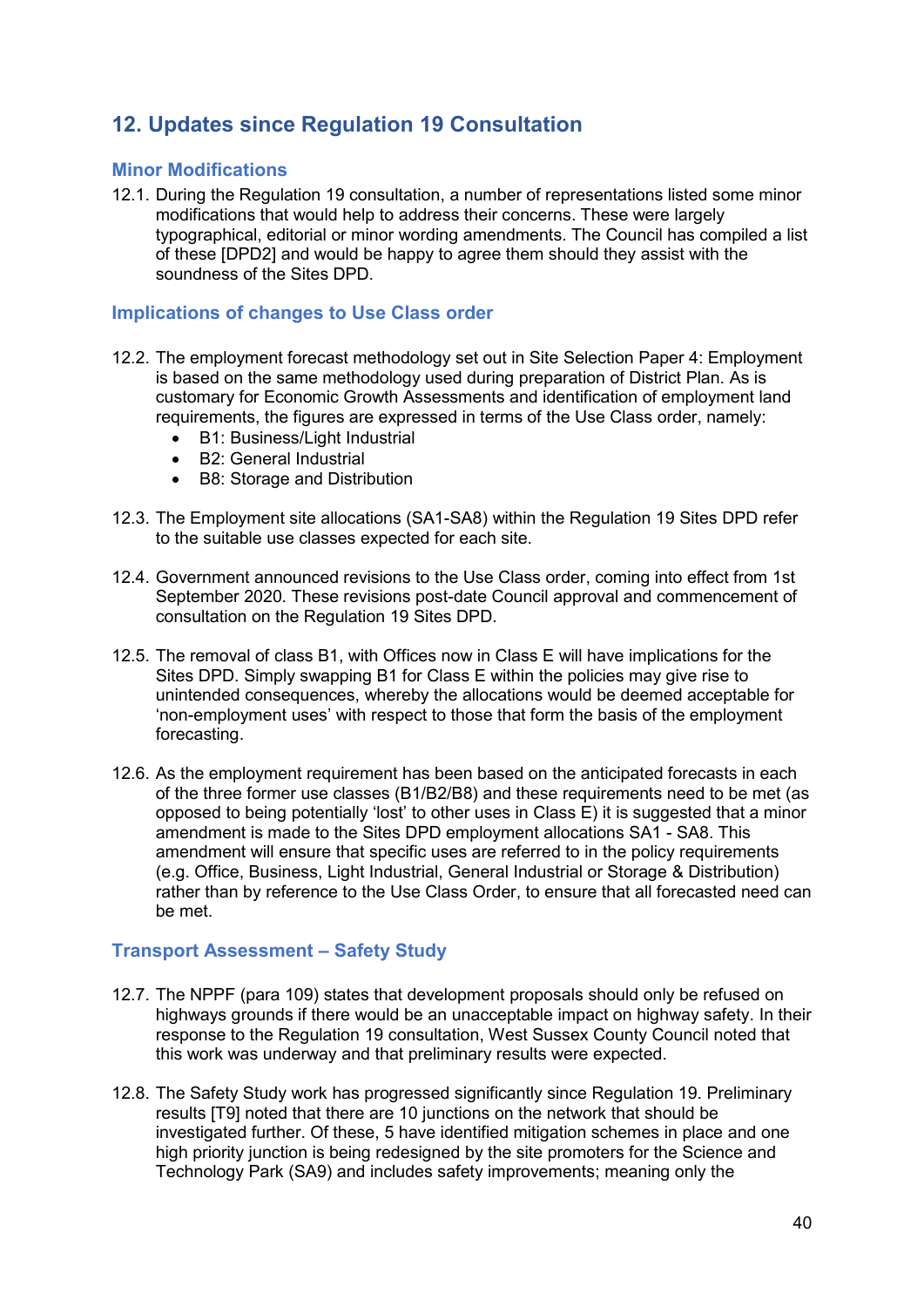## <span id="page-41-0"></span>**12. Updates since Regulation 19 Consultation**

#### <span id="page-41-1"></span>**Minor Modifications**

12.1. During the Regulation 19 consultation, a number of representations listed some minor modifications that would help to address their concerns. These were largely typographical, editorial or minor wording amendments. The Council has compiled a list of these [DPD2] and would be happy to agree them should they assist with the soundness of the Sites DPD.

#### <span id="page-41-2"></span>**Implications of changes to Use Class order**

- 12.2. The employment forecast methodology set out in Site Selection Paper 4: Employment is based on the same methodology used during preparation of District Plan. As is customary for Economic Growth Assessments and identification of employment land requirements, the figures are expressed in terms of the Use Class order, namely:
	- B1: Business/Light Industrial
	- B2: General Industrial
	- B8: Storage and Distribution
- 12.3. The Employment site allocations (SA1-SA8) within the Regulation 19 Sites DPD refer to the suitable use classes expected for each site.
- 12.4. Government announced revisions to the Use Class order, coming into effect from 1st September 2020. These revisions post-date Council approval and commencement of consultation on the Regulation 19 Sites DPD.
- 12.5. The removal of class B1, with Offices now in Class E will have implications for the Sites DPD. Simply swapping B1 for Class E within the policies may give rise to unintended consequences, whereby the allocations would be deemed acceptable for 'non-employment uses' with respect to those that form the basis of the employment forecasting.
- 12.6. As the employment requirement has been based on the anticipated forecasts in each of the three former use classes (B1/B2/B8) and these requirements need to be met (as opposed to being potentially 'lost' to other uses in Class E) it is suggested that a minor amendment is made to the Sites DPD employment allocations SA1 - SA8. This amendment will ensure that specific uses are referred to in the policy requirements (e.g. Office, Business, Light Industrial, General Industrial or Storage & Distribution) rather than by reference to the Use Class Order, to ensure that all forecasted need can be met.

#### <span id="page-41-3"></span>**Transport Assessment – Safety Study**

- 12.7. The NPPF (para 109) states that development proposals should only be refused on highways grounds if there would be an unacceptable impact on highway safety. In their response to the Regulation 19 consultation, West Sussex County Council noted that this work was underway and that preliminary results were expected.
- 12.8. The Safety Study work has progressed significantly since Regulation 19. Preliminary results [T9] noted that there are 10 junctions on the network that should be investigated further. Of these, 5 have identified mitigation schemes in place and one high priority junction is being redesigned by the site promoters for the Science and Technology Park (SA9) and includes safety improvements; meaning only the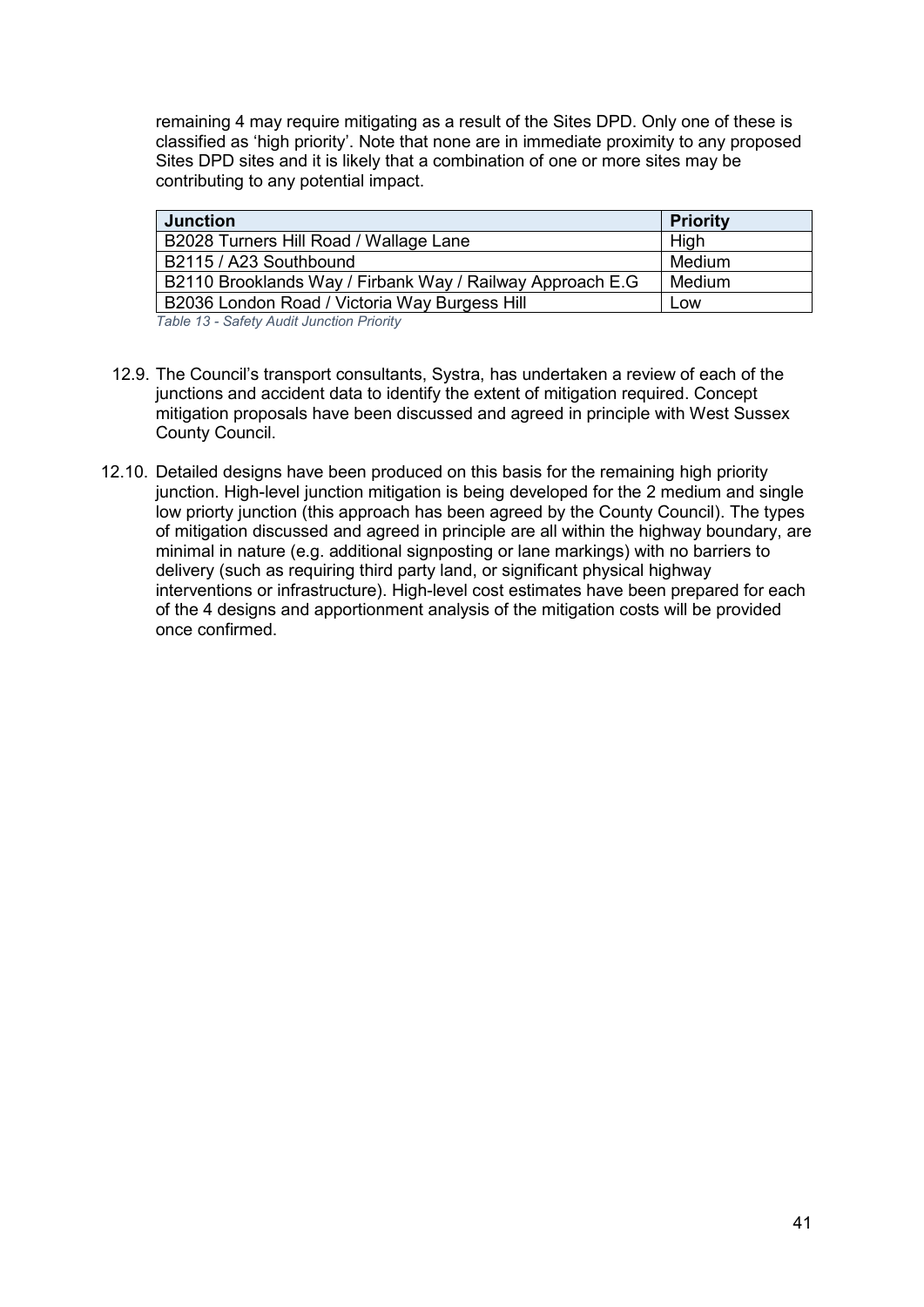remaining 4 may require mitigating as a result of the Sites DPD. Only one of these is classified as 'high priority'. Note that none are in immediate proximity to any proposed Sites DPD sites and it is likely that a combination of one or more sites may be contributing to any potential impact.

| <b>Junction</b>                                           | <b>Priority</b> |
|-----------------------------------------------------------|-----------------|
| B2028 Turners Hill Road / Wallage Lane                    | High            |
| B2115 / A23 Southbound                                    | Medium          |
| B2110 Brooklands Way / Firbank Way / Railway Approach E.G | Medium          |
| B2036 London Road / Victoria Way Burgess Hill             | Low             |

*Table 13 - Safety Audit Junction Priority*

- 12.9. The Council's transport consultants, Systra, has undertaken a review of each of the junctions and accident data to identify the extent of mitigation required. Concept mitigation proposals have been discussed and agreed in principle with West Sussex County Council.
- 12.10. Detailed designs have been produced on this basis for the remaining high priority junction. High-level junction mitigation is being developed for the 2 medium and single low priorty junction (this approach has been agreed by the County Council). The types of mitigation discussed and agreed in principle are all within the highway boundary, are minimal in nature (e.g. additional signposting or lane markings) with no barriers to delivery (such as requiring third party land, or significant physical highway interventions or infrastructure). High-level cost estimates have been prepared for each of the 4 designs and apportionment analysis of the mitigation costs will be provided once confirmed.